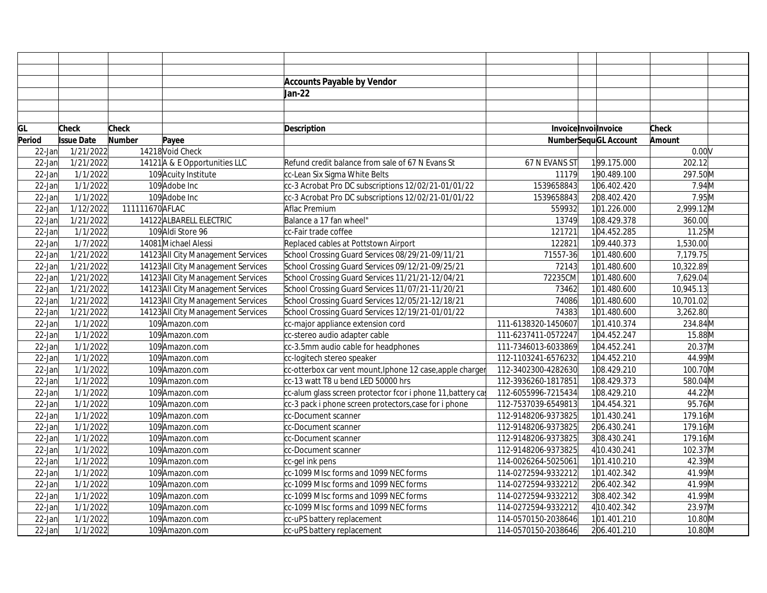|           |                   |                 |                                    | <b>Accounts Payable by Vendor</b>                           |                     |                             |              |  |
|-----------|-------------------|-----------------|------------------------------------|-------------------------------------------------------------|---------------------|-----------------------------|--------------|--|
|           |                   |                 |                                    | Jan-22                                                      |                     |                             |              |  |
|           |                   |                 |                                    |                                                             |                     |                             |              |  |
|           |                   |                 |                                    |                                                             |                     |                             |              |  |
| GL        | Check             | <b>Check</b>    |                                    | <b>Description</b>                                          |                     | Invoice Invoilnvoice        | <b>Check</b> |  |
| Period    | <b>Issue Date</b> | Number          | Payee                              |                                                             |                     | <b>NumberSequGL Account</b> | Amount       |  |
| $22$ -Jan | 1/21/2022         |                 | 14218 Void Check                   |                                                             |                     |                             | 0.00V        |  |
| $22$ -Jan | 1/21/2022         |                 | 14121 A & E Opportunities LLC      | Refund credit balance from sale of 67 N Evans St            | 67 N EVANS ST       | 199.175.000                 | 202.12       |  |
| $22$ -Jan | 1/1/2022          |                 | 109 Acuity Institute               | cc-Lean Six Sigma White Belts                               | 11179               | 190.489.100                 | 297.50M      |  |
| $22$ -Jan | 1/1/2022          |                 | 109 Adobe Inc                      | cc-3 Acrobat Pro DC subscriptions 12/02/21-01/01/22         | 1539658843          | 106.402.420                 | 7.94M        |  |
| $22$ -Jan | 1/1/2022          |                 | 109 Adobe Inc                      | cc-3 Acrobat Pro DC subscriptions 12/02/21-01/01/22         | 1539658843          | 208.402.420                 | 7.95M        |  |
| 22-Jan    | 1/12/2022         | 111111670 AFLAC |                                    | Aflac Premium                                               | 559932              | 101.226.000                 | 2,999.12M    |  |
| 22-Jan    | 1/21/2022         |                 | 14122 ALBARELL ELECTRIC            | Balance a 17 fan wheel"                                     | 13749               | 108.429.378                 | 360.00       |  |
| $22$ -Jan | 1/1/2022          |                 | 109 Aldi Store 96                  | cc-Fair trade coffee                                        | 121721              | 104.452.285                 | 11.25M       |  |
| 22-Jan    | 1/7/2022          |                 | 14081 Michael Alessi               | Replaced cables at Pottstown Airport                        | 122821              | 109.440.373                 | 1,530.00     |  |
| $22$ -Jan | 1/21/2022         |                 | 14123 All City Management Services | School Crossing Guard Services 08/29/21-09/11/21            | 71557-36            | 101.480.600                 | 7,179.75     |  |
| $22$ -Jan | 1/21/2022         |                 | 14123 All City Management Services | School Crossing Guard Services 09/12/21-09/25/21            | 72143               | 101.480.600                 | 10,322.89    |  |
| $22$ -Jan | 1/21/2022         |                 | 14123 All City Management Services | School Crossing Guard Services 11/21/21-12/04/21            | 72235CM             | 101.480.600                 | 7,629.04     |  |
| $22$ -Jan | 1/21/2022         |                 | 14123 All City Management Services | School Crossing Guard Services 11/07/21-11/20/21            | 73462               | 101.480.600                 | 10,945.13    |  |
| 22-Jan    | 1/21/2022         |                 | 14123 All City Management Services | School Crossing Guard Services 12/05/21-12/18/21            | 74086               | 101.480.600                 | 10,701.02    |  |
| $22$ -Jan | 1/21/2022         |                 | 14123 All City Management Services | School Crossing Guard Services 12/19/21-01/01/22            | 74383               | 101.480.600                 | 3,262.80     |  |
| 22-Jan    | 1/1/2022          |                 | 109 Amazon.com                     | cc-major appliance extension cord                           | 111-6138320-1450607 | 101.410.374                 | 234.84M      |  |
| 22-Jan    | 1/1/2022          |                 | 109 Amazon.com                     | cc-stereo audio adapter cable                               | 111-6237411-0572247 | 104.452.247                 | 15.88M       |  |
| 22-Jan    | 1/1/2022          |                 | 109 Amazon.com                     | cc-3.5mm audio cable for headphones                         | 111-7346013-6033869 | 104.452.241                 | 20.37M       |  |
| 22-Jan    | 1/1/2022          |                 | 109Amazon.com                      | cc-logitech stereo speaker                                  | 112-1103241-6576232 | 104.452.210                 | 44.99M       |  |
| 22-Jan    | 1/1/2022          |                 | 109 Amazon.com                     | cc-otterbox car vent mount, Iphone 12 case, apple charger   | 112-3402300-4282630 | 108.429.210                 | 100.70M      |  |
| $22$ -Jan | 1/1/2022          |                 | 109 Amazon.com                     | cc-13 watt T8 u bend LED 50000 hrs                          | 112-3936260-1817851 | 108.429.373                 | 580.04M      |  |
| $22$ -Jan | 1/1/2022          |                 | 109 Amazon.com                     | cc-alum glass screen protector fcor i phone 11, battery cas | 112-6055996-7215434 | 108.429.210                 | 44.22M       |  |
| 22-Jan    | 1/1/2022          |                 | 109 Amazon.com                     | cc-3 pack i phone screen protectors, case for i phone       | 112-7537039-6549813 | 104.454.321                 | 95.76M       |  |
| $22$ -Jan | 1/1/2022          |                 | 109 Amazon.com                     | cc-Document scanner                                         | 112-9148206-9373825 | 101.430.241                 | 179.16M      |  |
| 22-Jan    | 1/1/2022          |                 | 109 Amazon.com                     | cc-Document scanner                                         | 112-9148206-9373825 | 206.430.241                 | 179.16M      |  |
| 22-Jan    | 1/1/2022          |                 | 109Amazon.com                      | cc-Document scanner                                         | 112-9148206-9373825 | 308.430.241                 | 179.16M      |  |
| 22-Jan    | 1/1/2022          |                 | 109Amazon.com                      | cc-Document scanner                                         | 112-9148206-9373825 | 410.430.241                 | 102.37M      |  |
| 22-Jan    | 1/1/2022          |                 | 109 Amazon.com                     | cc-gel ink pens                                             | 114-0026264-5025061 | 101.410.210                 | 42.39M       |  |
| $22$ -Jan | 1/1/2022          |                 | 109 Amazon.com                     | cc-1099 MIsc forms and 1099 NEC forms                       | 114-0272594-9332212 | 101.402.342                 | 41.99M       |  |
| 22-Jan    | 1/1/2022          |                 | 109Amazon.com                      | cc-1099 MIsc forms and 1099 NEC forms                       | 114-0272594-9332212 | 206.402.342                 | 41.99M       |  |
| 22-Jan    | 1/1/2022          |                 | 109 Amazon.com                     | cc-1099 MIsc forms and 1099 NEC forms                       | 114-0272594-9332212 | 308.402.342                 | 41.99M       |  |
| 22-Jan    | 1/1/2022          |                 | 109 Amazon.com                     | cc-1099 MIsc forms and 1099 NEC forms                       | 114-0272594-9332212 | 4 10.402.342                | 23.97M       |  |
| 22-Jan    | 1/1/2022          |                 | 109 Amazon.com                     | cc-uPS battery replacement                                  | 114-0570150-2038646 | 101.401.210                 | 10.80M       |  |
| $22$ -Jan | 1/1/2022          |                 | 109 Amazon.com                     | cc-uPS battery replacement                                  | 114-0570150-2038646 | 206.401.210                 | 10.80M       |  |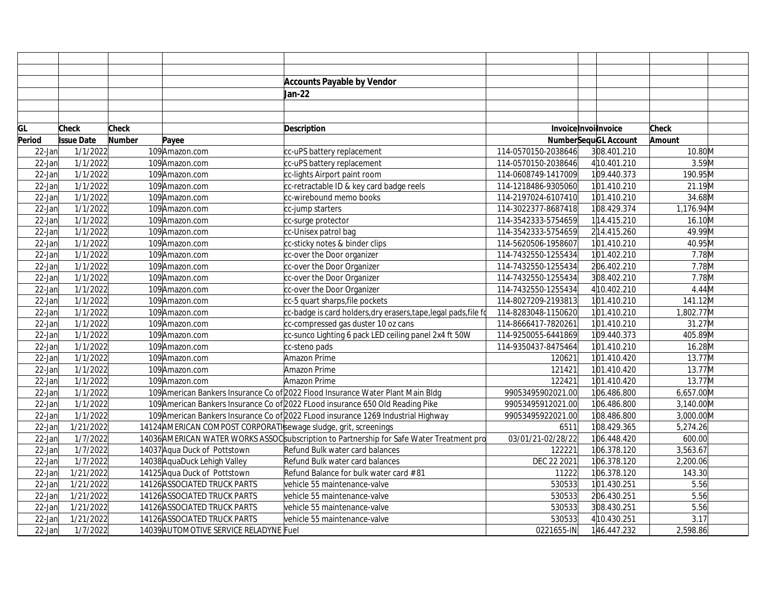|           |                   |              |                                                                  | <b>Accounts Payable by Vendor</b>                                                         |                     |                             |              |  |
|-----------|-------------------|--------------|------------------------------------------------------------------|-------------------------------------------------------------------------------------------|---------------------|-----------------------------|--------------|--|
|           |                   |              |                                                                  | Jan-22                                                                                    |                     |                             |              |  |
|           |                   |              |                                                                  |                                                                                           |                     |                             |              |  |
|           |                   |              |                                                                  |                                                                                           |                     |                             |              |  |
| GL        | Check             | <b>Check</b> |                                                                  | <b>Description</b>                                                                        |                     | InvoiceInvoilnvoice         | <b>Check</b> |  |
| Period    | <b>Issue Date</b> | Number       | Payee                                                            |                                                                                           |                     | <b>NumberSequGL Account</b> | Amount       |  |
| 22-Jan    | 1/1/2022          |              | 109 Amazon.com                                                   | cc-uPS battery replacement                                                                | 114-0570150-2038646 | 308.401.210                 | 10.80M       |  |
| $22$ -Jan | 1/1/2022          |              | 109 Amazon.com                                                   | cc-uPS battery replacement                                                                | 114-0570150-2038646 | 4 10.401.210                | 3.59M        |  |
| $22$ -Jan | 1/1/2022          |              | 109 Amazon.com                                                   | cc-lights Airport paint room                                                              | 114-0608749-1417009 | 109.440.373                 | 190.95M      |  |
| 22-Jan    | 1/1/2022          |              | 109 Amazon.com                                                   | cc-retractable ID & key card badge reels                                                  | 114-1218486-9305060 | 101.410.210                 | 21.19M       |  |
| 22-Jan    | 1/1/2022          |              | 109 Amazon.com                                                   | cc-wirebound memo books                                                                   | 114-2197024-6107410 | 101.410.210                 | 34.68M       |  |
| 22-Jan    | 1/1/2022          |              | 109 Amazon.com                                                   | cc-jump starters                                                                          | 114-3022377-8687418 | 108.429.374                 | 1,176.94M    |  |
| 22-Jan    | 1/1/2022          |              | 109 Amazon.com                                                   | cc-surge protector                                                                        | 114-3542333-5754659 | 114.415.210                 | 16.10M       |  |
| 22-Jan    | 1/1/2022          |              | 109 Amazon.com                                                   | cc-Unisex patrol bag                                                                      | 114-3542333-5754659 | 214.415.260                 | 49.99M       |  |
| 22-Jan    | 1/1/2022          |              | 109 Amazon.com                                                   | cc-sticky notes & binder clips                                                            | 114-5620506-1958607 | 101.410.210                 | 40.95M       |  |
| 22-Jan    | 1/1/2022          |              | 109 Amazon.com                                                   | cc-over the Door organizer                                                                | 114-7432550-1255434 | 101.402.210                 | 7.78M        |  |
| $22$ -Jan | 1/1/2022          |              | 109 Amazon.com                                                   | cc-over the Door Organizer                                                                | 114-7432550-1255434 | 206.402.210                 | 7.78M        |  |
| 22-Jan    | 1/1/2022          |              | 109 Amazon.com                                                   | cc-over the Door Organizer                                                                | 114-7432550-1255434 | 308.402.210                 | 7.78M        |  |
| 22-Jan    | 1/1/2022          |              | 109 Amazon.com                                                   | cc-over the Door Organizer                                                                | 114-7432550-1255434 | 4 10.402.210                | 4.44M        |  |
| 22-Jan    | 1/1/2022          |              | 109 Amazon.com                                                   | cc-5 quart sharps, file pockets                                                           | 114-8027209-2193813 | 101.410.210                 | 141.12M      |  |
| 22-Jan    | 1/1/2022          |              | 109 Amazon.com                                                   | cc-badge is card holders,dry erasers,tape,legal pads,file fo                              | 114-8283048-1150620 | 101.410.210                 | 1,802.77M    |  |
| 22-Jan    | 1/1/2022          |              | 109 Amazon.com                                                   | cc-compressed gas duster 10 oz cans                                                       | 114-8666417-7820261 | 101.410.210                 | 31.27M       |  |
| 22-Jan    | 1/1/2022          |              | 109 Amazon.com                                                   | cc-sunco Lighting 6 pack LED ceiling panel 2x4 ft 50W                                     | 114-9250055-6441869 | 109.440.373                 | 405.89M      |  |
| 22-Jan    | 1/1/2022          |              | 109 Amazon.com                                                   | cc-steno pads                                                                             | 114-9350437-8475464 | 101.410.210                 | 16.28M       |  |
| 22-Jan    | 1/1/2022          |              | 109 Amazon.com                                                   | Amazon Prime                                                                              | 120621              | 101.410.420                 | 13.77M       |  |
| $22$ -Jan | 1/1/2022          |              | 109 Amazon.com                                                   | Amazon Prime                                                                              | 121421              | 101.410.420                 | 13.77M       |  |
| 22-Jan    | 1/1/2022          |              | 109 Amazon.com                                                   | Amazon Prime                                                                              | 122421              | 101.410.420                 | 13.77M       |  |
| $22$ -Jan | 1/1/2022          |              |                                                                  | 109 American Bankers Insurance Co of 2022 Flood Insurance Water Plant Main Bldg           | 99053495902021.00   | 106.486.800                 | 6,657.00M    |  |
| 22-Jan    | 1/1/2022          |              |                                                                  | 109 American Bankers Insurance Co of 2022 FLood insurance 650 Old Reading Pike            | 99053495912021.00   | 106.486.800                 | 3,140.00M    |  |
| 22-Jan    | 1/1/2022          |              |                                                                  | 109 American Bankers Insurance Co of 2022 FLood insurance 1269 Industrial Highway         | 99053495922021.00   | 108.486.800                 | 3,000.00M    |  |
| 22-Jan    | 1/21/2022         |              | 14124 AMERICAN COMPOST CORPORATI sewage sludge, grit, screenings |                                                                                           | 6511                | 108.429.365                 | 5,274.26     |  |
| 22-Jan    | 1/7/2022          |              |                                                                  | 14036 AMERICAN WATER WORKS ASSOC subscription to Partnership for Safe Water Treatment pro | 03/01/21-02/28/22   | 106.448.420                 | 600.00       |  |
| 22-Jan    | 1/7/2022          |              | 14037 Aqua Duck of Pottstown                                     | Refund Bulk water card balances                                                           | 122221              | 106.378.120                 | 3,563.67     |  |
| 22-Jan    | 1/7/2022          |              | 14038 AquaDuck Lehigh Valley                                     | Refund Bulk water card balances                                                           | DEC 22 2021         | 106.378.120                 | 2,200.06     |  |
| 22-Jan    | 1/21/2022         |              | 14125 Aqua Duck of Pottstown                                     | Refund Balance for bulk water card #81                                                    | 11222               | 106.378.120                 | 143.30       |  |
| 22-Jan    | 1/21/2022         |              | 14126 ASSOCIATED TRUCK PARTS                                     | vehicle 55 maintenance-valve                                                              | 530533              | 101.430.251                 | 5.56         |  |
| 22-Jan    | 1/21/2022         |              | 14126 ASSOCIATED TRUCK PARTS                                     | vehicle 55 maintenance-valve                                                              | 530533              | 206.430.251                 | 5.56         |  |
| 22-Jan    | 1/21/2022         |              | 14126 ASSOCIATED TRUCK PARTS                                     | vehicle 55 maintenance-valve                                                              | 530533              | 308.430.251                 | 5.56         |  |
| 22-Jan    | 1/21/2022         |              | 14126 ASSOCIATED TRUCK PARTS                                     | vehicle 55 maintenance-valve                                                              | 530533              | 410.430.251                 | 3.17         |  |
| $22$ -Jan | 1/7/2022          |              | 14039 AUTOMOTIVE SERVICE RELADYNE Fuel                           |                                                                                           | 0221655-IN          | 146.447.232                 | 2,598.86     |  |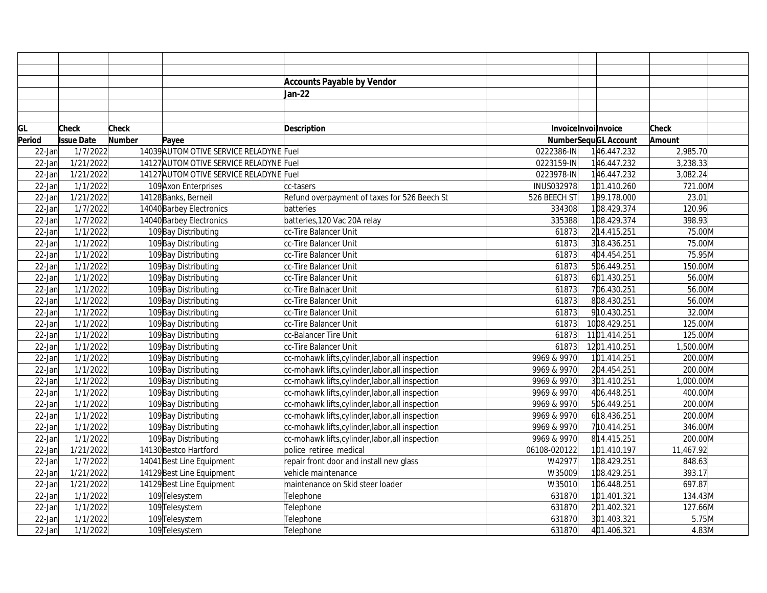|           |                   |               |                                        | <b>Accounts Payable by Vendor</b>                |                      |                             |           |
|-----------|-------------------|---------------|----------------------------------------|--------------------------------------------------|----------------------|-----------------------------|-----------|
|           |                   |               |                                        | Jan-22                                           |                      |                             |           |
|           |                   |               |                                        |                                                  |                      |                             |           |
|           |                   |               |                                        |                                                  |                      |                             |           |
| GL        | Check             | <b>Check</b>  |                                        | Description                                      | Invoice Invoilnvoice |                             | Check     |
| Period    | <b>Issue Date</b> | <b>Number</b> | Payee                                  |                                                  |                      | <b>NumberSequGL Account</b> | Amount    |
| 22-Jan    | 1/7/2022          |               | 14039 AUTOMOTIVE SERVICE RELADYNE Fuel |                                                  | 0222386-IN           | 146.447.232                 | 2,985.70  |
| 22-Jan    | 1/21/2022         |               | 14127 AUTOMOTIVE SERVICE RELADYNE Fuel |                                                  | 0223159-IN           | 146.447.232                 | 3,238.33  |
| $22$ -Jan | 1/21/2022         |               | 14127 AUTOMOTIVE SERVICE RELADYNE Fuel |                                                  | 0223978-IN           | 146.447.232                 | 3,082.24  |
| $22$ -Jan | 1/1/2022          |               | 109 Axon Enterprises                   | cc-tasers                                        | INUS032978           | 101.410.260                 | 721.00M   |
| 22-Jan    | 1/21/2022         |               | 14128 Banks, Berneil                   | Refund overpayment of taxes for 526 Beech St     | 526 BEECH ST         | 199.178.000                 | 23.01     |
| 22-Jan    | 1/7/2022          |               | 14040 Barbey Electronics               | batteries                                        | 334308               | 108.429.374                 | 120.96    |
| 22-Jan    | 1/7/2022          |               | 14040 Barbey Electronics               | batteries, 120 Vac 20A relay                     | 335388               | 108.429.374                 | 398.93    |
| 22-Jan    | 1/1/2022          |               | 109 Bay Distributing                   | cc-Tire Balancer Unit                            | 61873                | 214.415.251                 | 75.00M    |
| 22-Jan    | 1/1/2022          |               | 109Bay Distributing                    | cc-Tire Balancer Unit                            | 61873                | 318.436.251                 | 75.00M    |
| 22-Jan    | 1/1/2022          |               | 109 Bay Distributing                   | cc-Tire Balancer Unit                            | 61873                | 404.454.251                 | 75.95M    |
| 22-Jan    | 1/1/2022          |               | 109 Bay Distributing                   | cc-Tire Balancer Unit                            | 61873                | 506.449.251                 | 150.00M   |
| 22-Jan    | 1/1/2022          |               | 109Bay Distributing                    | cc-Tire Balancer Unit                            | 61873                | 601.430.251                 | 56.00M    |
| 22-Jan    | 1/1/2022          |               | 109 Bay Distributing                   | cc-Tire Balnacer Unit                            | 61873                | 706.430.251                 | 56.00M    |
| $22$ -Jan | 1/1/2022          |               | 109 Bay Distributing                   | cc-Tire Balancer Unit                            | 61873                | 808.430.251                 | 56.00M    |
| 22-Jan    | 1/1/2022          |               | 109 Bay Distributing                   | cc-Tire Balancer Unit                            | 61873                | 910.430.251                 | 32.00M    |
| 22-Jan    | 1/1/2022          |               | 109 Bay Distributing                   | cc-Tire Balancer Unit                            | 61873                | 1008.429.251                | 125.00M   |
| 22-Jan    | 1/1/2022          |               | 109 Bay Distributing                   | cc-Balancer Tire Unit                            | 61873                | 1101.414.251                | 125.00M   |
| 22-Jan    | 1/1/2022          |               | 109 Bay Distributing                   | cc-Tire Balancer Unit                            | 61873                | 1201.410.251                | 1,500.00M |
| $22$ -Jan | 1/1/2022          |               | 109 Bay Distributing                   | cc-mohawk lifts, cylinder, labor, all inspection | 9969 & 9970          | 101.414.251                 | 200.00M   |
| 22-Jan    | 1/1/2022          |               | 109 Bay Distributing                   | cc-mohawk lifts, cylinder, labor, all inspection | 9969 & 9970          | 204.454.251                 | 200.00M   |
| 22-Jan    | 1/1/2022          |               | 109 Bay Distributing                   | cc-mohawk lifts, cylinder, labor, all inspection | 9969 & 9970          | 301.410.251                 | 1,000.00M |
| 22-Jan    | 1/1/2022          |               | 109Bay Distributing                    | cc-mohawk lifts,cylinder,labor,all inspection    | 9969 & 9970          | 406.448.251                 | 400.00M   |
| $22$ -Jan | 1/1/2022          |               | 109 Bay Distributing                   | cc-mohawk lifts,cylinder,labor,all inspection    | 9969 & 9970          | 506.449.251                 | 200.00M   |
| $22$ -Jan | 1/1/2022          |               | 109 Bay Distributing                   | cc-mohawk lifts, cylinder, labor, all inspection | 9969 & 9970          | 618.436.251                 | 200.00M   |
| 22-Jan    | 1/1/2022          |               | 109 Bay Distributing                   | cc-mohawk lifts, cylinder, labor, all inspection | 9969 & 9970          | 710.414.251                 | 346.00M   |
| 22-Jan    | 1/1/2022          |               | 109 Bay Distributing                   | cc-mohawk lifts,cylinder,labor,all inspection    | 9969 & 9970          | 814.415.251                 | 200.00M   |
| 22-Jan    | 1/21/2022         |               | 14130 Bestco Hartford                  | police retiree medical                           | 06108-020122         | 101.410.197                 | 11,467.92 |
| $22$ -Jan | 1/7/2022          |               | 14041 Best Line Equipment              | repair front door and install new glass          | W42977               | 108.429.251                 | 848.63    |
| $22$ -Jan | 1/21/2022         |               | 14129 Best Line Equipment              | vehicle maintenance                              | W35009               | 108.429.251                 | 393.17    |
| $22$ -Jan | 1/21/2022         |               | 14129 Best Line Equipment              | maintenance on Skid steer loader                 | W35010               | 106.448.251                 | 697.87    |
| $22$ -Jan | 1/1/2022          |               | 109 Telesystem                         | Telephone                                        | 631870               | 101.401.321                 | 134.43M   |
| 22-Jan    | 1/1/2022          |               | 109 Telesystem                         | Telephone                                        | 631870               | 201.402.321                 | 127.66M   |
| 22-Jan    | 1/1/2022          |               | 109 Telesystem                         | Telephone                                        | 631870               | 301.403.321                 | 5.75M     |
| $22$ -Jan | 1/1/2022          |               | 109 Telesystem                         | Telephone                                        | 631870               | 401.406.321                 | $4.83$ M  |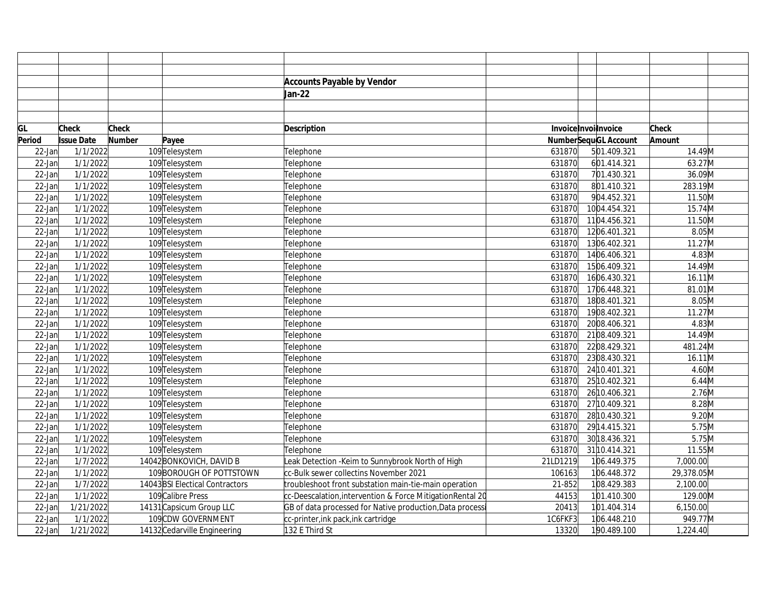|           |                   |               |                                 | <b>Accounts Payable by Vendor</b>                         |          |                             |              |  |
|-----------|-------------------|---------------|---------------------------------|-----------------------------------------------------------|----------|-----------------------------|--------------|--|
|           |                   |               |                                 | Jan-22                                                    |          |                             |              |  |
|           |                   |               |                                 |                                                           |          |                             |              |  |
|           |                   |               |                                 |                                                           |          |                             |              |  |
| GL        | <b>Check</b>      | <b>Check</b>  |                                 | <b>Description</b>                                        |          | InvoiceInvoilnvoice         | <b>Check</b> |  |
| Period    | <b>Issue Date</b> | <b>Number</b> | Payee                           |                                                           |          | <b>NumberSequGL Account</b> | Amount       |  |
| $22$ -Jan | 1/1/2022          |               | 109Telesystem                   | Telephone                                                 | 631870   | 501.409.321                 | 14.49M       |  |
| $22$ -Jan | 1/1/2022          |               | 109 Telesystem                  | Telephone                                                 | 631870   | 601.414.321                 | 63.27M       |  |
| $22$ -Jan | 1/1/2022          |               | 109 Telesystem                  | Telephone                                                 | 631870   | 701.430.321                 | 36.09M       |  |
| 22-Jan    | 1/1/2022          |               | 109 Telesystem                  | Telephone                                                 | 631870   | 801.410.321                 | 283.19M      |  |
| $22$ -Jan | 1/1/2022          |               | 109Telesystem                   | Telephone                                                 | 631870   | 904.452.321                 | 11.50M       |  |
| $22$ -Jan | 1/1/2022          |               | 109 Telesystem                  | Telephone                                                 | 631870   | 1004.454.321                | 15.74M       |  |
| 22-Jan    | 1/1/2022          |               | 109 Telesystem                  | Telephone                                                 | 631870   | 1104.456.321                | 11.50M       |  |
| 22-Jan    | 1/1/2022          |               | 109 Telesystem                  | Telephone                                                 | 631870   | 1206.401.321                | 8.05M        |  |
| 22-Jan    | 1/1/2022          |               | 109 Telesystem                  | Telephone                                                 | 631870   | 1306.402.321                | 11.27M       |  |
| 22-Jan    | 1/1/2022          |               | 109 Telesystem                  | Telephone                                                 | 631870   | 1406.406.321                | 4.83M        |  |
| 22-Jan    | 1/1/2022          |               | 109 Telesystem                  | Telephone                                                 | 631870   | 1506.409.321                | 14.49M       |  |
| 22-Jan    | 1/1/2022          |               | 109 Telesystem                  | Telephone                                                 | 631870   | 1606.430.321                | $16.11$ M    |  |
| 22-Jan    | 1/1/2022          |               | 109 Telesystem                  | Telephone                                                 | 631870   | 1706.448.321                | 81.01M       |  |
| $22$ -Jan | 1/1/2022          |               | 109 Telesystem                  | Telephone                                                 | 631870   | 1808.401.321                | 8.05M        |  |
| $22$ -Jan | 1/1/2022          |               | 109 Telesystem                  | Telephone                                                 | 631870   | 1908.402.321                | 11.27M       |  |
| 22-Jan    | 1/1/2022          |               | 109 Telesystem                  | Telephone                                                 | 631870   | 2008.406.321                | 4.83M        |  |
| $22$ -Jan | 1/1/2022          |               | 109 Telesystem                  | Telephone                                                 | 631870   | 2108.409.321                | 14.49M       |  |
| 22-Jan    | 1/1/2022          |               | 109 Telesystem                  | Telephone                                                 | 631870   | 2208.429.321                | 481.24M      |  |
| $22$ -Jan | 1/1/2022          |               | 109 Telesystem                  | Telephone                                                 | 631870   | 2308.430.321                | 16.11M       |  |
| 22-Jan    | 1/1/2022          |               | 109 Telesystem                  | Telephone                                                 | 631870   | 24 10.401.321               | 4.60M        |  |
| 22-Jan    | 1/1/2022          |               | 109 Telesystem                  | Telephone                                                 | 631870   | 2510.402.321                | $6.44$ M     |  |
| 22-Jan    | 1/1/2022          |               | 109 Telesystem                  | Telephone                                                 | 631870   | 26 10.406.321               | 2.76M        |  |
| $22$ -Jan | 1/1/2022          |               | 109 Telesystem                  | Telephone                                                 | 631870   | 27 10.409.321               | $8.28$ M     |  |
| 22-Jan    | 1/1/2022          |               | 109 Telesystem                  | Telephone                                                 | 631870   | 28 10.430.321               | 9.20M        |  |
| 22-Jan    | 1/1/2022          |               | 109 Telesystem                  | Telephone                                                 | 631870   | 2914.415.321                | 5.75M        |  |
| 22-Jan    | 1/1/2022          |               | 109 Telesystem                  | Telephone                                                 | 631870   | 30 18.436.321               | 5.75M        |  |
| 22-Jan    | 1/1/2022          |               | 109 Telesystem                  | Telephone                                                 | 631870   | 31 10.414.321               | 11.55M       |  |
| 22-Jan    | 1/7/2022          |               | 14042 BONKOVICH, DAVID B        | eak Detection - Keim to Sunnybrook North of High          | 21LD1219 | 106.449.375                 | 7,000.00     |  |
| 22-Jan    | 1/1/2022          |               | 109 BOROUGH OF POTTSTOWN        | cc-Bulk sewer collectins November 2021                    | 106163   | 106.448.372                 | 29,378.05M   |  |
| 22-Jan    | 1/7/2022          |               | 14043 BSI Electical Contractors | troubleshoot front substation main-tie-main operation     | 21-852   | 108.429.383                 | 2,100.00     |  |
| 22-Jan    | 1/1/2022          |               | 109 Calibre Press               | cc-Deescalation,intervention & Force MitigationRental 20  | 44153    | 101.410.300                 | 129.00M      |  |
| 22-Jan    | 1/21/2022         |               | 14131 Capsicum Group LLC        | GB of data processed for Native production, Data processi | 20413    | 101.404.314                 | 6,150.00     |  |
| 22-Jan    | 1/1/2022          |               | 109CDW GOVERNMENT               | cc-printer, ink pack, ink cartridge                       | 1C6FKF3  | 106.448.210                 | 949.77M      |  |
| $22$ -Jan | 1/21/2022         |               | 14132 Cedarville Engineering    | 132 E Third St                                            | 13320    | 190.489.100                 | 1,224.40     |  |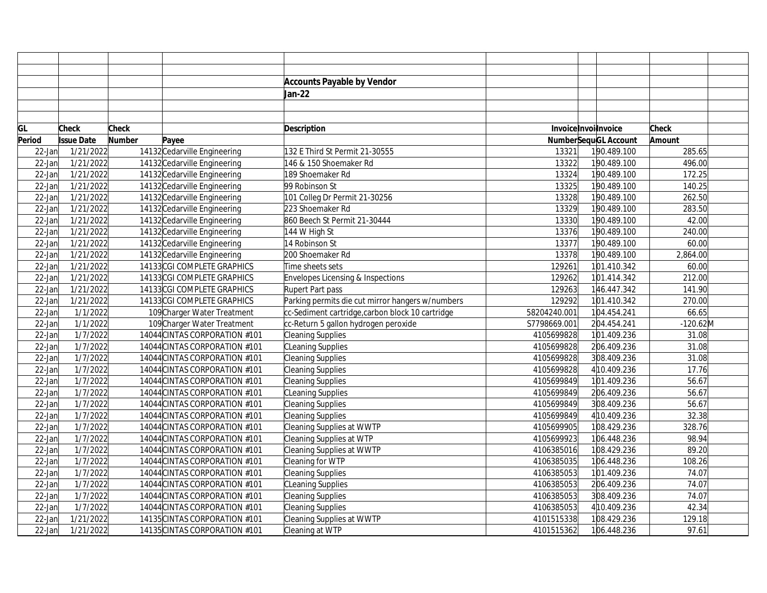|           |                   |               |                               | <b>Accounts Payable by Vendor</b>                |              |                      |              |  |
|-----------|-------------------|---------------|-------------------------------|--------------------------------------------------|--------------|----------------------|--------------|--|
|           |                   |               |                               | Jan-22                                           |              |                      |              |  |
|           |                   |               |                               |                                                  |              |                      |              |  |
|           |                   |               |                               |                                                  |              |                      |              |  |
| GL        | <b>Check</b>      | <b>Check</b>  |                               | <b>Description</b>                               |              | InvoiceInvoilnvoice  | <b>Check</b> |  |
| Period    | <b>Issue Date</b> | <b>Number</b> | Payee                         |                                                  |              | NumberSequGL Account | Amount       |  |
| 22-Jan    | 1/21/2022         |               | 14132 Cedarville Engineering  | 132 E Third St Permit 21-30555                   | 13321        | 190.489.100          | 285.65       |  |
| $22$ -Jan | 1/21/2022         |               | 14132 Cedarville Engineering  | 146 & 150 Shoemaker Rd                           | 13322        | 190.489.100          | 496.00       |  |
| $22$ -Jan | 1/21/2022         |               | 14132 Cedarville Engineering  | 189 Shoemaker Rd                                 | 13324        | 190.489.100          | 172.25       |  |
| $22$ -Jan | 1/21/2022         |               | 14132 Cedarville Engineering  | 99 Robinson St                                   | 13325        | 190.489.100          | 140.25       |  |
| $22$ -Jan | 1/21/2022         |               | 14132 Cedarville Engineering  | 101 Colleg Dr Permit 21-30256                    | 13328        | 190.489.100          | 262.50       |  |
| $22$ -Jan | 1/21/2022         |               | 14132 Cedarville Engineering  | 223 Shoemaker Rd                                 | 13329        | 190.489.100          | 283.50       |  |
| $22$ -Jan | 1/21/2022         |               | 14132 Cedarville Engineering  | 860 Beech St Permit 21-30444                     | 13330        | 190.489.100          | 42.00        |  |
| $22$ -Jan | 1/21/2022         |               | 14132 Cedarville Engineering  | 144 W High St                                    | 13376        | 190.489.100          | 240.00       |  |
| $22$ -Jan | 1/21/2022         |               | 14132 Cedarville Engineering  | 14 Robinson St                                   | 13377        | 190.489.100          | 60.00        |  |
| $22$ -Jan | 1/21/2022         |               | 14132 Cedarville Engineering  | 200 Shoemaker Rd                                 | 13378        | 190.489.100          | 2,864.00     |  |
| $22$ -Jan | 1/21/2022         |               | 14133 CGI COMPLETE GRAPHICS   | Time sheets sets                                 | 129261       | 101.410.342          | 60.00        |  |
| $22$ -Jan | 1/21/2022         |               | 14133 CGI COMPLETE GRAPHICS   | Envelopes Licensing & Inspections                | 129262       | 101.414.342          | 212.00       |  |
| $22$ -Jan | 1/21/2022         |               | 14133 CGI COMPLETE GRAPHICS   | Rupert Part pass                                 | 129263       | 146.447.342          | 141.90       |  |
| $22$ -Jan | 1/21/2022         |               | 14133 CGI COMPLETE GRAPHICS   | Parking permits die cut mirror hangers w/numbers | 129292       | 101.410.342          | 270.00       |  |
| $22$ -Jan | 1/1/2022          |               | 109 Charger Water Treatment   | cc-Sediment cartridge, carbon block 10 cartridge | 58204240.001 | 104.454.241          | 66.65        |  |
| $22$ -Jan | 1/1/2022          |               | 109 Charger Water Treatment   | cc-Return 5 gallon hydrogen peroxide             | S7798669.001 | 204.454.241          | $-120.62$ M  |  |
| $22$ -Jan | 1/7/2022          |               | 14044 CINTAS CORPORATION #101 | Cleaning Supplies                                | 4105699828   | 101.409.236          | 31.08        |  |
| $22$ -Jan | 1/7/2022          |               | 14044 CINTAS CORPORATION #101 | CLeaning Supplies                                | 4105699828   | 206.409.236          | 31.08        |  |
| $22$ -Jan | 1/7/2022          |               | 14044 CINTAS CORPORATION #101 | Cleaning Supplies                                | 4105699828   | 308.409.236          | 31.08        |  |
| $22$ -Jan | 1/7/2022          |               | 14044 CINTAS CORPORATION #101 | Cleaning Supplies                                | 4105699828   | 4 10.409.236         | 17.76        |  |
| $22$ -Jan | 1/7/2022          |               | 14044 CINTAS CORPORATION #101 | Cleaning Supplies                                | 4105699849   | 101.409.236          | 56.67        |  |
| $22$ -Jan | 1/7/2022          |               | 14044 CINTAS CORPORATION #101 | CLeaning Supplies                                | 4105699849   | 206.409.236          | 56.67        |  |
| $22$ -Jan | 1/7/2022          |               | 14044 CINTAS CORPORATION #101 | Cleaning Supplies                                | 4105699849   | 308.409.236          | 56.67        |  |
| $22$ -Jan | 1/7/2022          |               | 14044 CINTAS CORPORATION #101 | Cleaning Supplies                                | 4105699849   | 4 10.409.236         | 32.38        |  |
| $22$ -Jan | 1/7/2022          |               | 14044 CINTAS CORPORATION #101 | Cleaning Supplies at WWTP                        | 4105699905   | 108.429.236          | 328.76       |  |
| $22$ -Jan | 1/7/2022          |               | 14044 CINTAS CORPORATION #101 | Cleaning Supplies at WTP                         | 4105699923   | 106.448.236          | 98.94        |  |
| $22$ -Jan | 1/7/2022          |               | 14044 CINTAS CORPORATION #101 | Cleaning Supplies at WWTP                        | 4106385016   | 108.429.236          | 89.20        |  |
| $22$ -Jan | 1/7/2022          |               | 14044 CINTAS CORPORATION #101 | Cleaning for WTP                                 | 4106385035   | 106.448.236          | 108.26       |  |
| $22$ -Jan | 1/7/2022          |               | 14044 CINTAS CORPORATION #101 | Cleaning Supplies                                | 4106385053   | 101.409.236          | 74.07        |  |
| $22$ -Jan | 1/7/2022          |               | 14044 CINTAS CORPORATION #101 | CLeaning Supplies                                | 4106385053   | 206.409.236          | 74.07        |  |
| $22$ -Jan | 1/7/2022          |               | 14044 CINTAS CORPORATION #101 | Cleaning Supplies                                | 4106385053   | 308.409.236          | 74.07        |  |
| $22$ -Jan | 1/7/2022          |               | 14044 CINTAS CORPORATION #101 | Cleaning Supplies                                | 4106385053   | 4 10.409.236         | 42.34        |  |
| $22$ -Jan | 1/21/2022         |               | 14135 CINTAS CORPORATION #101 | Cleaning Supplies at WWTP                        | 4101515338   | 108.429.236          | 129.18       |  |
| $22$ -Jan | 1/21/2022         |               | 14135 CINTAS CORPORATION #101 | Cleaning at WTP                                  | 4101515362   | 106.448.236          | 97.61        |  |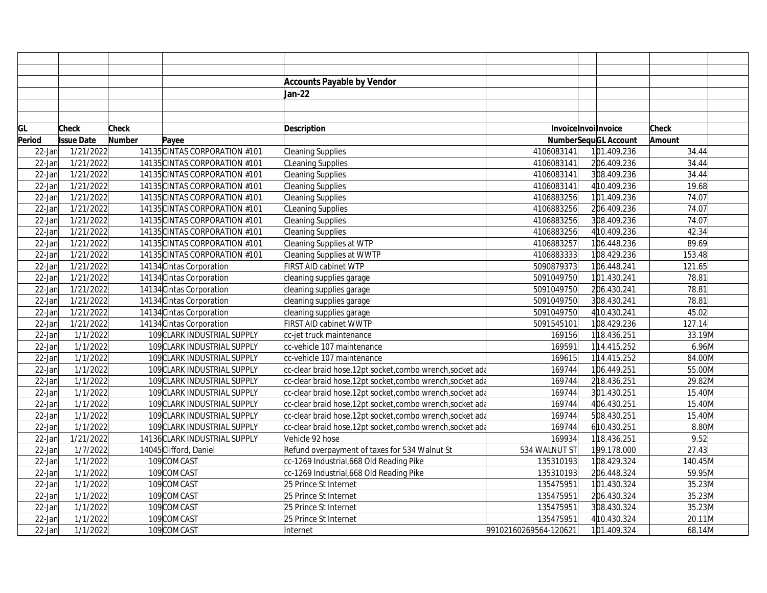|           |                        |               |                               | <b>Accounts Payable by Vendor</b>                          |                       |                             |          |  |
|-----------|------------------------|---------------|-------------------------------|------------------------------------------------------------|-----------------------|-----------------------------|----------|--|
|           |                        |               |                               | Jan-22                                                     |                       |                             |          |  |
|           |                        |               |                               |                                                            |                       |                             |          |  |
|           |                        |               |                               |                                                            |                       |                             |          |  |
| GL        | Check                  | Check         |                               | <b>Description</b>                                         |                       | Invoice Invoilnvoice        | Check    |  |
| Period    | <b>Issue Date</b>      | <b>Number</b> | Payee                         |                                                            |                       | <b>NumberSequGL Account</b> | Amount   |  |
| $22$ -Jan | 1/21/2022              |               | 14135 CINTAS CORPORATION #101 | Cleaning Supplies                                          | 4106083141            | 101.409.236                 | 34.44    |  |
| $22$ -Jan | 1/21/2022              |               | 14135 CINTAS CORPORATION #101 | <b>CLeaning Supplies</b>                                   | 4106083141            | 206.409.236                 | 34.44    |  |
| $22$ -Jan | 1/21/2022              |               | 14135 CINTAS CORPORATION #101 | Cleaning Supplies                                          | 4106083141            | 308.409.236                 | 34.44    |  |
| $22$ -Jan | 1/21/2022              |               | 14135 CINTAS CORPORATION #101 | Cleaning Supplies                                          | 4106083141            | 4 10.409.236                | 19.68    |  |
| $22$ -Jan | 1/21/2022              |               | 14135 CINTAS CORPORATION #101 | Cleaning Supplies                                          | 4106883256            | 101.409.236                 | 74.07    |  |
| $22$ -Jan | 1/21/2022              |               | 14135 CINTAS CORPORATION #101 | <b>CLeaning Supplies</b>                                   | 4106883256            | 206.409.236                 | 74.07    |  |
| 22-Jan    | 1/21/2022              |               | 14135 CINTAS CORPORATION #101 | Cleaning Supplies                                          | 4106883256            | 308.409.236                 | 74.07    |  |
| $22$ -Jan | 1/21/2022              |               | 14135 CINTAS CORPORATION #101 | Cleaning Supplies                                          | 4106883256            | 4 10.409.236                | 42.34    |  |
| $22$ -Jan | 1/21/2022              |               | 14135 CINTAS CORPORATION #101 | Cleaning Supplies at WTP                                   | 4106883257            | 106.448.236                 | 89.69    |  |
| $22$ -Jan | $\overline{1/21/2022}$ |               | 14135 CINTAS CORPORATION #101 | Cleaning Supplies at WWTP                                  | 4106883333            | 108.429.236                 | 153.48   |  |
| $22$ -Jan | 1/21/2022              |               | 14134 Cintas Corporation      | FIRST AID cabinet WTP                                      | 5090879373            | 106.448.241                 | 121.65   |  |
| $22$ -Jan | 1/21/2022              |               | 14134 Cintas Corporation      | cleaning supplies garage                                   | 5091049750            | 101.430.241                 | 78.81    |  |
| $22$ -Jan | 1/21/2022              |               | 14134 Cintas Corporation      | cleaning supplies garage                                   | 5091049750            | 206.430.241                 | 78.81    |  |
| $22$ -Jan | 1/21/2022              |               | 14134 Cintas Corporation      | cleaning supplies garage                                   | 5091049750            | 308.430.241                 | 78.81    |  |
| 22-Jan    | 1/21/2022              |               | 14134 Cintas Corporation      | cleaning supplies garage                                   | 5091049750            | 4 10.430.241                | 45.02    |  |
| $22$ -Jan | 1/21/2022              |               | 14134 Cintas Corporation      | FIRST AID cabinet WWTP                                     | 5091545101            | 108.429.236                 | 127.14   |  |
| $22$ -Jan | 1/1/2022               |               | 109 CLARK INDUSTRIAL SUPPLY   | cc-jet truck maintenance                                   | 169156                | 118.436.251                 | 33.19M   |  |
| $22$ -Jan | 1/1/2022               |               | 109 CLARK INDUSTRIAL SUPPLY   | cc-vehicle 107 maintenance                                 | 169591                | 114.415.252                 | $6.96$ M |  |
| $22$ -Jan | 1/1/2022               |               | 109 CLARK INDUSTRIAL SUPPLY   | cc-vehicle 107 maintenance                                 | 169615                | 114.415.252                 | 84.00M   |  |
| $22$ -Jan | 1/1/2022               |               | 109 CLARK INDUSTRIAL SUPPLY   | cc-clear braid hose,12pt socket,combo wrench,socket ada    | 169744                | 106.449.251                 | 55.00M   |  |
| 22-Jan    | 1/1/2022               |               | 109 CLARK INDUSTRIAL SUPPLY   | cc-clear braid hose,12pt socket,combo wrench,socket ada    | 169744                | 218.436.251                 | 29.82M   |  |
| $22$ -Jan | 1/1/2022               |               | 109 CLARK INDUSTRIAL SUPPLY   | cc-clear braid hose, 12pt socket, combo wrench, socket ada | 169744                | 301.430.251                 | 15.40M   |  |
| $22$ -Jan | 1/1/2022               |               | 109 CLARK INDUSTRIAL SUPPLY   | cc-clear braid hose,12pt socket,combo wrench,socket ada    | 169744                | 406.430.251                 | 15.40M   |  |
| $22$ -Jan | 1/1/2022               |               | 109 CLARK INDUSTRIAL SUPPLY   | cc-clear braid hose,12pt socket,combo wrench,socket ada    | 169744                | 508.430.251                 | 15.40M   |  |
| 22-Jan    | 1/1/2022               |               | 109 CLARK INDUSTRIAL SUPPLY   | cc-clear braid hose,12pt socket,combo wrench,socket ada    | 169744                | 610.430.251                 | 8.80M    |  |
| $22$ -Jan | 1/21/2022              |               | 14136 CLARK INDUSTRIAL SUPPLY | Vehicle 92 hose                                            | 169934                | 118.436.251                 | 9.52     |  |
| $22$ -Jan | 1/7/2022               |               | 14045 Clifford, Daniel        | Refund overpayment of taxes for 534 Walnut St              | 534 WALNUT ST         | 199.178.000                 | 27.43    |  |
| $22$ -Jan | 1/1/2022               |               | 109COMCAST                    | cc-1269 Industrial,668 Old Reading Pike                    | 135310193             | 108.429.324                 | 140.45M  |  |
| $22$ -Jan | 1/1/2022               |               | 109COMCAST                    | cc-1269 Industrial, 668 Old Reading Pike                   | 135310193             | 206.448.324                 | 59.95M   |  |
| 22-Jan    | 1/1/2022               |               | 109COMCAST                    | 25 Prince St Internet                                      | 135475951             | 101.430.324                 | 35.23M   |  |
| $22$ -Jan | 1/1/2022               |               | 109COMCAST                    | 25 Prince St Internet                                      | 135475951             | 206.430.324                 | 35.23M   |  |
| $22$ -Jan | 1/1/2022               |               | 109COMCAST                    | 25 Prince St Internet                                      | 135475951             | 308.430.324                 | 35.23M   |  |
| 22-Jan    | 1/1/2022               |               | 109COMCAST                    | 25 Prince St Internet                                      | 135475951             | 410.430.324                 | 20.11M   |  |
| $22$ -Jan | 1/1/2022               |               | 109COMCAST                    | Internet                                                   | 99102160269564-120621 | 101.409.324                 | 68.14M   |  |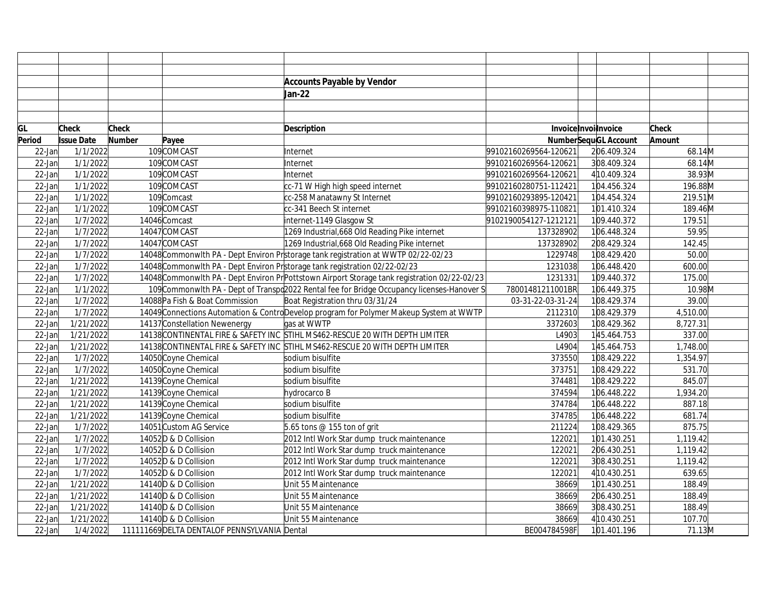|           |                   |               |                                              | <b>Accounts Payable by Vendor</b>                                                             |                       |                             |          |
|-----------|-------------------|---------------|----------------------------------------------|-----------------------------------------------------------------------------------------------|-----------------------|-----------------------------|----------|
|           |                   |               |                                              | Jan-22                                                                                        |                       |                             |          |
|           |                   |               |                                              |                                                                                               |                       |                             |          |
|           |                   |               |                                              |                                                                                               |                       |                             |          |
| GL        | <b>Check</b>      | <b>Check</b>  |                                              | <b>Description</b>                                                                            | Invoice Invoilnvoice  |                             | Check    |
| Period    | <b>Issue Date</b> | <b>Number</b> | Payee                                        |                                                                                               |                       | <b>NumberSequGL Account</b> | Amount   |
| 22-Jan    | 1/1/2022          |               | 109COMCAST                                   | Internet                                                                                      | 99102160269564-120621 | 206.409.324                 | 68.14M   |
| $22$ -Jan | 1/1/2022          |               | 109COMCAST                                   | Internet                                                                                      | 99102160269564-120621 | 308.409.324                 | 68.14M   |
| $22$ -Jan | 1/1/2022          |               | 109COMCAST                                   | Internet                                                                                      | 99102160269564-120621 | 4 10.409.324                | 38.93M   |
| $22$ -Jan | 1/1/2022          |               | 109COMCAST                                   | cc-71 W High high speed internet                                                              | 99102160280751-112421 | 104.456.324                 | 196.88M  |
| 22-Jan    | 1/1/2022          |               | 109 Comcast                                  | cc-258 Manatawny St Internet                                                                  | 99102160293895-120421 | 104.454.324                 | 219.51M  |
| 22-Jan    | 1/1/2022          |               | 109COMCAST                                   | cc-341 Beech St internet                                                                      | 99102160398975-110821 | 101.410.324                 | 189.46M  |
| 22-Jan    | 1/7/2022          |               | 14046 Comcast                                | internet-1149 Glasgow St                                                                      | 9102190054127-1212121 | 109.440.372                 | 179.51   |
| 22-Jan    | 1/7/2022          |               | 14047COMCAST                                 | 1269 Industrial, 668 Old Reading Pike internet                                                | 137328902             | 106.448.324                 | 59.95    |
| 22-Jan    | 1/7/2022          |               | 14047COMCAST                                 | 1269 Industrial, 668 Old Reading Pike internet                                                | 137328902             | 208.429.324                 | 142.45   |
| 22-Jan    | 1/7/2022          |               |                                              | 14048 CommonwIth PA - Dept Environ Prstorage tank registration at WWTP 02/22-02/23            | 1229748               | 108.429.420                 | 50.00    |
| $22$ -Jan | 1/7/2022          |               |                                              | 14048 CommonwIth PA - Dept Environ Prstorage tank registration 02/22-02/23                    | 1231038               | 106.448.420                 | 600.00   |
| 22-Jan    | 1/7/2022          |               |                                              | 14048 CommonwIth PA - Dept Environ Pr Pottstown Airport Storage tank registration 02/22-02/23 | 1231331               | 109.440.372                 | 175.00   |
| 22-Jan    | 1/1/2022          |               |                                              | 109 CommonwIth PA - Dept of Transpd2022 Rental fee for Bridge Occupancy licenses-Hanover S    | 78001481211001BR      | 106.449.375                 | 10.98M   |
| $22$ -Jan | 1/7/2022          |               | 14088 Pa Fish & Boat Commission              | Boat Registration thru 03/31/24                                                               | 03-31-22-03-31-24     | 108.429.374                 | 39.00    |
| 22-Jan    | 1/7/2022          |               |                                              | 14049 Connections Automation & Contro Develop program for Polymer Makeup System at WWTP       | 2112310               | 108.429.379                 | 4,510.00 |
| 22-Jan    | 1/21/2022         |               | 14137 Constellation Newenergy                | gas at WWTP                                                                                   | 3372603               | 108.429.362                 | 8,727.31 |
| $22$ -Jan | 1/21/2022         |               |                                              | 14138 CONTINENTAL FIRE & SAFETY INC STIHL MS462-RESCUE 20 WITH DEPTH LIMITER                  | L4903                 | 145.464.753                 | 337.00   |
| $22$ -Jan | 1/21/2022         |               |                                              | 14138 CONTINENTAL FIRE & SAFETY INC STIHL MS462-RESCUE 20 WITH DEPTH LIMITER                  | L4904                 | 145.464.753                 | 1,748.00 |
| $22$ -Jan | 1/7/2022          |               | 14050 Coyne Chemical                         | sodium bisulfite                                                                              | 373550                | 108.429.222                 | 1,354.97 |
| $22$ -Jan | 1/7/2022          |               | 14050 Coyne Chemical                         | sodium bisulfite                                                                              | 373751                | 108.429.222                 | 531.70   |
| $22$ -Jan | 1/21/2022         |               | 14139 Coyne Chemical                         | sodium bisulfite                                                                              | 374481                | 108.429.222                 | 845.07   |
| $22$ -Jan | 1/21/2022         |               | 14139 Coyne Chemical                         | hydrocarco B                                                                                  | 374594                | 106.448.222                 | 1,934.20 |
| $22$ -Jan | 1/21/2022         |               | 14139 Coyne Chemical                         | sodium bisulfite                                                                              | 374784                | 106.448.222                 | 887.18   |
| $22$ -Jan | 1/21/2022         |               | 14139 Coyne Chemical                         | sodium bisulfite                                                                              | 374785                | 106.448.222                 | 681.74   |
| 22-Jan    | 1/7/2022          |               | 14051 Custom AG Service                      | 5.65 tons $@$ 155 ton of grit                                                                 | 211224                | 108.429.365                 | 875.75   |
| $22$ -Jan | 1/7/2022          |               | 14052D & D Collision                         | 2012 Intl Work Star dump truck maintenance                                                    | 122021                | 101.430.251                 | 1,119.42 |
| 22-Jan    | 1/7/2022          |               | 14052D & D Collision                         | 2012 Intl Work Star dump truck maintenance                                                    | 122021                | 206.430.251                 | 1,119.42 |
| 22-Jan    | 1/7/2022          |               | 14052D & D Collision                         | 2012 Intl Work Star dump truck maintenance                                                    | 122021                | 308.430.251                 | 1,119.42 |
| 22-Jan    | 1/7/2022          |               | 14052D & D Collision                         | 2012 Intl Work Star dump truck maintenance                                                    | 122021                | 4 10.430.251                | 639.65   |
| 22-Jan    | 1/21/2022         |               | 14140 B & D Collision                        | Unit 55 Maintenance                                                                           | 38669                 | 101.430.251                 | 188.49   |
| $22$ -Jan | 1/21/2022         |               | 14140 B & D Collision                        | Unit 55 Maintenance                                                                           | 38669                 | 206.430.251                 | 188.49   |
| 22-Jan    | 1/21/2022         |               | 14140 B & D Collision                        | Unit 55 Maintenance                                                                           | 38669                 | 308.430.251                 | 188.49   |
| 22-Jan    | 1/21/2022         |               | 14140 B & D Collision                        | Unit 55 Maintenance                                                                           | 38669                 | 4 10.430.251                | 107.70   |
| $22$ -Jan | 1/4/2022          |               | 111111669 DELTA DENTALOF PENNSYLVANIA Dental |                                                                                               | BE004784598F          | 101.401.196                 | 71.13M   |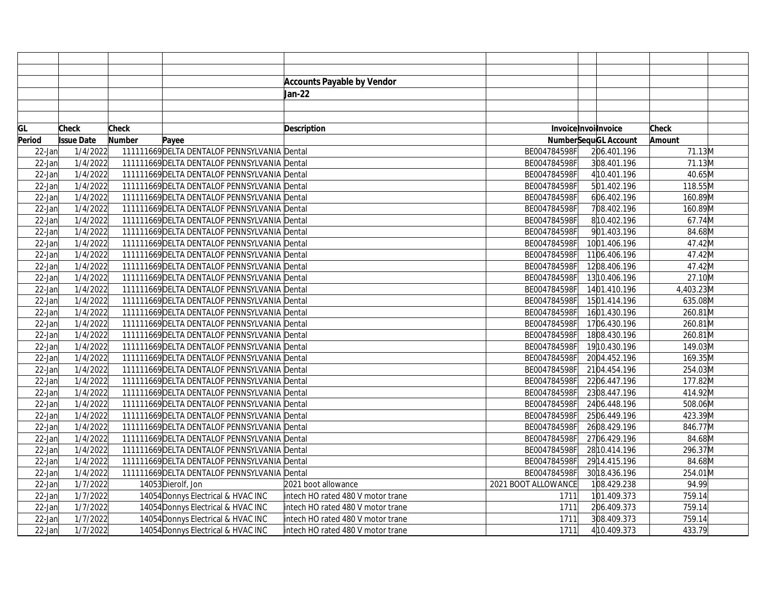|        |                   |               |                                              | <b>Accounts Payable by Vendor</b> |                     |                      |           |  |
|--------|-------------------|---------------|----------------------------------------------|-----------------------------------|---------------------|----------------------|-----------|--|
|        |                   |               |                                              | Jan-22                            |                     |                      |           |  |
|        |                   |               |                                              |                                   |                     |                      |           |  |
|        |                   |               |                                              |                                   |                     |                      |           |  |
| GL     | <b>Check</b>      | <b>Check</b>  |                                              | <b>Description</b>                |                     | Invoice Invoilnvoice | Check     |  |
| Period | <b>Issue Date</b> | <b>Number</b> | Payee                                        |                                   |                     | NumberSequGL Account | Amount    |  |
| 22-Jan | 1/4/2022          |               | 111111669 DELTA DENTALOF PENNSYLVANIA Dental |                                   | BE004784598F        | 206.401.196          | 71.13M    |  |
| 22-Jan | 1/4/2022          |               | 111111669 DELTA DENTALOF PENNSYLVANIA Dental |                                   | BE004784598F        | 308.401.196          | 71.13M    |  |
| 22-Jan | 1/4/2022          |               | 111111669 DELTA DENTALOF PENNSYLVANIA Dental |                                   | BE004784598F        | 4 10.401.196         | 40.65M    |  |
| 22-Jan | 1/4/2022          |               | 111111669 DELTA DENTALOF PENNSYLVANIA Dental |                                   | BE004784598F        | 501.402.196          | 118.55M   |  |
| 22-Jan | 1/4/2022          |               | 111111669 DELTA DENTALOF PENNSYLVANIA Dental |                                   | BE004784598F        | 606.402.196          | 160.89M   |  |
| 22-Jan | 1/4/2022          |               | 111111669 DELTA DENTALOF PENNSYLVANIA Dental |                                   | BE004784598F        | 708.402.196          | 160.89M   |  |
| 22-Jan | 1/4/2022          |               | 111111669 DELTA DENTALOF PENNSYLVANIA Dental |                                   | BE004784598F        | 810.402.196          | 67.74M    |  |
| 22-Jan | 1/4/2022          |               | 111111669 DELTA DENTALOF PENNSYLVANIA Dental |                                   | BE004784598F        | 901.403.196          | 84.68M    |  |
| 22-Jan | 1/4/2022          |               | 111111669 DELTA DENTALOF PENNSYLVANIA Dental |                                   | BE004784598F        | 1001.406.196         | 47.42M    |  |
| 22-Jan | 1/4/2022          |               | 111111669 DELTA DENTALOF PENNSYLVANIA Dental |                                   | BE004784598F        | 1106.406.196         | 47.42M    |  |
| 22-Jan | 1/4/2022          |               | 111111669 DELTA DENTALOF PENNSYLVANIA Dental |                                   | BE004784598F        | 1208.406.196         | 47.42M    |  |
| 22-Jan | 1/4/2022          |               | 111111669 DELTA DENTALOF PENNSYLVANIA Dental |                                   | BE004784598F        | 13 10.406.196        | 27.10M    |  |
| 22-Jan | 1/4/2022          |               | 111111669 DELTA DENTALOF PENNSYLVANIA Dental |                                   | BE004784598F        | 1401.410.196         | 4,403.23M |  |
| 22-Jan | 1/4/2022          |               | 111111669 DELTA DENTALOF PENNSYLVANIA Dental |                                   | BE004784598F        | 1501.414.196         | 635.08M   |  |
| 22-Jan | 1/4/2022          |               | 111111669 DELTA DENTALOF PENNSYLVANIA Dental |                                   | BE004784598F        | 1601.430.196         | 260.81M   |  |
| 22-Jan | 1/4/2022          |               | 111111669 DELTA DENTALOF PENNSYLVANIA Dental |                                   | BE004784598F        | 1706.430.196         | 260.81M   |  |
| 22-Jan | 1/4/2022          |               | 111111669 DELTA DENTALOF PENNSYLVANIA Dental |                                   | BE004784598F        | 1808.430.196         | 260.81M   |  |
| 22-Jan | 1/4/2022          |               | 111111669 DELTA DENTALOF PENNSYLVANIA Dental |                                   | BE004784598F        | 1910.430.196         | 149.03M   |  |
| 22-Jan | 1/4/2022          |               | 111111669 DELTA DENTALOF PENNSYLVANIA Dental |                                   | BE004784598F        | 2004.452.196         | 169.35M   |  |
| 22-Jan | 1/4/2022          |               | 111111669 DELTA DENTALOF PENNSYLVANIA Dental |                                   | BE004784598F        | 2104.454.196         | 254.03M   |  |
| 22-Jan | 1/4/2022          |               | 111111669 DELTA DENTALOF PENNSYLVANIA Dental |                                   | BE004784598F        | 2206.447.196         | 177.82M   |  |
| 22-Jan | 1/4/2022          |               | 111111669 DELTA DENTALOF PENNSYLVANIA Dental |                                   | BE004784598F        | 2308.447.196         | 414.92M   |  |
| 22-Jan | 1/4/2022          |               | 111111669 DELTA DENTALOF PENNSYLVANIA Dental |                                   | BE004784598F        | 2406.448.196         | 508.06M   |  |
| 22-Jan | 1/4/2022          |               | 111111669 DELTA DENTALOF PENNSYLVANIA Dental |                                   | BE004784598F        | 2506.449.196         | 423.39M   |  |
| 22-Jan | 1/4/2022          |               | 111111669 DELTA DENTALOF PENNSYLVANIA Dental |                                   | BE004784598F        | 2608.429.196         | 846.77M   |  |
| 22-Jan | 1/4/2022          |               | 111111669 DELTA DENTALOF PENNSYLVANIA Dental |                                   | BE004784598F        | 2706.429.196         | 84.68M    |  |
| 22-Jan | 1/4/2022          |               | 111111669 DELTA DENTALOF PENNSYLVANIA Dental |                                   | BE004784598F        | 28 10.414.196        | 296.37M   |  |
| 22-Jan | 1/4/2022          |               | 111111669 DELTA DENTALOF PENNSYLVANIA Dental |                                   | BE004784598F        | 29 14.415.196        | 84.68M    |  |
| 22-Jan | 1/4/2022          |               | 111111669 DELTA DENTALOF PENNSYLVANIA Dental |                                   | BE004784598F        | 30 18.436.196        | 254.01M   |  |
| 22-Jan | 1/7/2022          |               | 14053 Dierolf, Jon                           | 2021 boot allowance               | 2021 BOOT ALLOWANCE | 108.429.238          | 94.99     |  |
| 22-Jan | 1/7/2022          |               | 14054 Donnys Electrical & HVAC INC           | intech HO rated 480 V motor trane | 1711                | 101.409.373          | 759.14    |  |
| 22-Jan | 1/7/2022          |               | 14054 Donnys Electrical & HVAC INC           | intech HO rated 480 V motor trane | 1711                | 206.409.373          | 759.14    |  |
| 22-Jan | 1/7/2022          |               | 14054 Donnys Electrical & HVAC INC           | intech HO rated 480 V motor trane | 1711                | 308.409.373          | 759.14    |  |
| 22-Jan | 1/7/2022          |               | 14054 Donnys Electrical & HVAC INC           | intech HO rated 480 V motor trane | 1711                | 4 10.409.373         | 433.79    |  |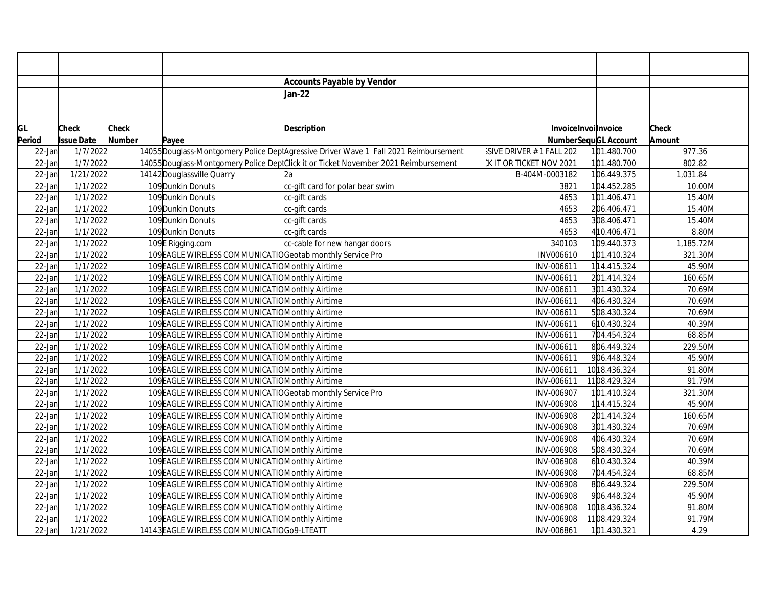|           |                      |               | <b>Accounts Payable by Vendor</b>                                                    |                          |                             |              |
|-----------|----------------------|---------------|--------------------------------------------------------------------------------------|--------------------------|-----------------------------|--------------|
|           |                      |               | Jan-22                                                                               |                          |                             |              |
|           |                      |               |                                                                                      |                          |                             |              |
|           |                      |               |                                                                                      |                          |                             |              |
| GL        | <b>Check</b>         | Check         | Description                                                                          |                          | Invoice Invoilnvoice        | <b>Check</b> |
| Period    | <b>Issue Date</b>    | <b>Number</b> | Payee                                                                                |                          | <b>NumberSequGL Account</b> | Amount       |
| $22$ -Jan | 1/7/2022             |               | 14055 Douglass-Montgomery Police DeptAgressive Driver Wave 1 Fall 2021 Reimbursement | SIVE DRIVER # 1 FALL 202 | 101.480.700                 | 977.36       |
| $22$ -Jan | $\frac{1}{7}/7/2022$ |               | 14055 Douglass-Montgomery Police DeptClick it or Ticket November 2021 Reimbursement  | IK IT OR TICKET NOV 2021 | 101.480.700                 | 802.82       |
| $22$ -Jan | 1/21/2022            |               | 14142 Douglassville Quarry<br>l2a                                                    | B-404M-0003182           | 106.449.375                 | 1,031.84     |
| $22$ -Jan | 1/1/2022             |               | 109 Dunkin Donuts<br>cc-gift card for polar bear swim                                | 3821                     | 104.452.285                 | 10.00M       |
| $22$ -Jan | 1/1/2022             |               | 109Dunkin Donuts<br>cc-gift cards                                                    | 4653                     | 101.406.471                 | 15.40M       |
| $22$ -Jan | 1/1/2022             |               | 109Dunkin Donuts<br>cc-gift cards                                                    | 4653                     | 206.406.471                 | 15.40M       |
| 22-Jan    | 1/1/2022             |               | 109Dunkin Donuts<br>cc-gift cards                                                    | 4653                     | 308.406.471                 | 15.40M       |
| $22$ -Jan | 1/1/2022             |               | 109Dunkin Donuts<br>cc-gift cards                                                    | 4653                     | 4 10.406.471                | $8.80$ M     |
| $22$ -Jan | 1/1/2022             |               | 109E Rigging.com<br>cc-cable for new hangar doors                                    | 340103                   | 109.440.373                 | 1,185.72M    |
| 22-Jan    | 1/1/2022             |               | 109 EAGLE WIRELESS COMMUNICATIO Geotab monthly Service Pro                           | INV006610                | 101.410.324                 | 321.30M      |
| 22-Jan    | 1/1/2022             |               | 109 EAGLE WIRELESS COMMUNICATIO Monthly Airtime                                      | INV-006611               | 114.415.324                 | 45.90M       |
| $22$ -Jan | 1/1/2022             |               | 109 EAGLE WIRELESS COMMUNICATIO Monthly Airtime                                      | INV-006611               | 201.414.324                 | 160.65M      |
| 22-Jan    | 1/1/2022             |               | 109 EAGLE WIRELESS COMMUNICATIO Monthly Airtime                                      | INV-006611               | 301.430.324                 | 70.69M       |
| 22-Jan    | 1/1/2022             |               | 109 EAGLE WIRELESS COMMUNICATIO Monthly Airtime                                      | INV-006611               | 406.430.324                 | 70.69M       |
| 22-Jan    | 1/1/2022             |               | 109 EAGLE WIRELESS COMMUNICATIO Monthly Airtime                                      | INV-006611               | 508.430.324                 | 70.69M       |
| 22-Jan    | 1/1/2022             |               | 109 EAGLE WIRELESS COMMUNICATIO Monthly Airtime                                      | INV-006611               | 6 10.430.324                | 40.39M       |
| $22$ -Jan | 1/1/2022             |               | 109 EAGLE WIRELESS COMMUNICATIO Monthly Airtime                                      | INV-006611               | 704.454.324                 | 68.85M       |
| 22-Jan    | 1/1/2022             |               | 109 EAGLE WIRELESS COMMUNICATIO Monthly Airtime                                      | INV-006611               | 806.449.324                 | 229.50M      |
| $22$ -Jan | 1/1/2022             |               | 109 EAGLE WIRELESS COMMUNICATIO Monthly Airtime                                      | INV-006611               | 906.448.324                 | 45.90M       |
| $22$ -Jan | 1/1/2022             |               | 109 EAGLE WIRELESS COMMUNICATIO Monthly Airtime                                      | INV-006611               | 10 18.436.324               | 91.80M       |
| $22$ -Jan | 1/1/2022             |               | 109 EAGLE WIRELESS COMMUNICATIO Monthly Airtime                                      | INV-006611               | 1108.429.324                | 91.79M       |
| $22$ -Jan | 1/1/2022             |               | 109 EAGLE WIRELESS COMMUNICATIO Geotab monthly Service Pro                           | INV-006907               | 101.410.324                 | 321.30M      |
| 22-Jan    | 1/1/2022             |               | 109 EAGLE WIRELESS COMMUNICATIO Monthly Airtime                                      | INV-006908               | 114.415.324                 | 45.90M       |
| 22-Jan    | 1/1/2022             |               | 109 EAGLE WIRELESS COMMUNICATIO Monthly Airtime                                      | INV-006908               | 201.414.324                 | 160.65M      |
| 22-Jan    | 1/1/2022             |               | 109 EAGLE WIRELESS COMMUNICATIO Monthly Airtime                                      | INV-006908               | 301.430.324                 | 70.69M       |
| 22-Jan    | 1/1/2022             |               | 109 EAGLE WIRELESS COMMUNICATIO Monthly Airtime                                      | INV-006908               | 406.430.324                 | 70.69M       |
| 22-Jan    | 1/1/2022             |               | 109 EAGLE WIRELESS COMMUNICATIO Monthly Airtime                                      | INV-006908               | 508.430.324                 | 70.69M       |
| $22$ -Jan | 1/1/2022             |               | 109 EAGLE WIRELESS COMMUNICATIO Monthly Airtime                                      | INV-006908               | 610.430.324                 | 40.39M       |
| $22$ -Jan | 1/1/2022             |               | 109 EAGLE WIRELESS COMMUNICATIO Monthly Airtime                                      | INV-006908               | 704.454.324                 | 68.85M       |
| $22$ -Jan | 1/1/2022             |               | 109 EAGLE WIRELESS COMMUNICATIO Monthly Airtime                                      | INV-006908               | 806.449.324                 | 229.50M      |
| 22-Jan    | $\frac{1}{1}$ 1/2022 |               | 109 EAGLE WIRELESS COMMUNICATIO Monthly Airtime                                      | INV-006908               | 906.448.324                 | 45.90M       |
| 22-Jan    | 1/1/2022             |               | 109 EAGLE WIRELESS COMMUNICATIO Monthly Airtime                                      | INV-006908               | 10 18.436.324               | 91.80M       |
| 22-Jan    | 1/1/2022             |               | 109 EAGLE WIRELESS COMMUNICATIO Monthly Airtime                                      | INV-006908               | 1108.429.324                | 91.79M       |
| $22$ -Jan | 1/21/2022            |               | 14143 EAGLE WIRELESS COMMUNICATIOG09-LTEATT                                          | INV-006861               | 101.430.321                 | 4.29         |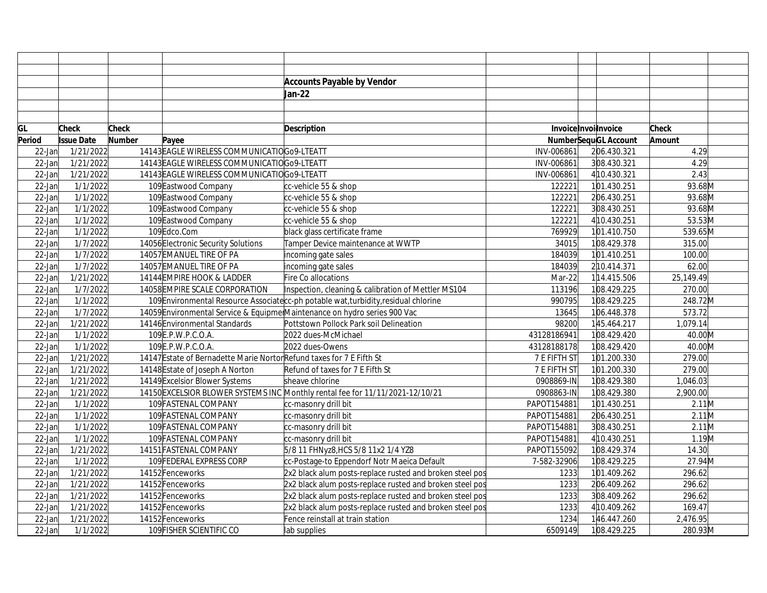|           |                       |              |                                                                       | <b>Accounts Payable by Vendor</b>                                                   |              |                      |           |  |
|-----------|-----------------------|--------------|-----------------------------------------------------------------------|-------------------------------------------------------------------------------------|--------------|----------------------|-----------|--|
|           |                       |              |                                                                       | Jan-22                                                                              |              |                      |           |  |
|           |                       |              |                                                                       |                                                                                     |              |                      |           |  |
|           |                       |              |                                                                       |                                                                                     |              |                      |           |  |
| GL        | Check                 | <b>Check</b> |                                                                       | Description                                                                         |              | InvoiceInvoilnvoice  | Check     |  |
| Period    | <b>Issue Date</b>     | Number       | Payee                                                                 |                                                                                     |              | NumberSequGL Account | Amount    |  |
| $22$ -Jan | 1/21/2022             |              | 14143 EAGLE WIRELESS COMMUNICATIOGO9-LTEATT                           |                                                                                     | INV-006861   | 206.430.321          | 4.29      |  |
| $22$ -Jan | 1/21/2022             |              | 14143 EAGLE WIRELESS COMMUNICATIOG09-LTEATT                           |                                                                                     | INV-006861   | 308.430.321          | 4.29      |  |
| $22$ -Jan | 1/21/2022             |              | 14143 EAGLE WIRELESS COMMUNICATIOG09-LTEATT                           |                                                                                     | INV-006861   | 410.430.321          | 2.43      |  |
| $22$ -Jan | 1/1/2022              |              | 109 Eastwood Company                                                  | cc-vehicle 55 & shop                                                                | 122221       | 101.430.251          | 93.68M    |  |
| $22$ -Jan | 1/1/2022              |              | 109 Eastwood Company                                                  | cc-vehicle 55 & shop                                                                | 122221       | 206.430.251          | 93.68M    |  |
| $22$ -Jan | 1/1/2022              |              | 109 Eastwood Company                                                  | cc-vehicle 55 & shop                                                                | 122221       | 308.430.251          | 93.68M    |  |
| 22-Jan    | 1/1/2022              |              | 109 Eastwood Company                                                  | cc-vehicle 55 & shop                                                                | 122221       | 4 10.430.251         | 53.53M    |  |
| 22-Jan    | 1/1/2022              |              | 109Edco.Com                                                           | black glass certificate frame                                                       | 769929       | 101.410.750          | 539.65M   |  |
| 22-Jan    | 1/7/2022              |              | 14056 Electronic Security Solutions                                   | Tamper Device maintenance at WWTP                                                   | 34015        | 108.429.378          | 315.00    |  |
| 22-Jan    | 1/7/2022              |              | 14057 EMANUEL TIRE OF PA                                              | incoming gate sales                                                                 | 184039       | 101.410.251          | 100.00    |  |
| 22-Jan    | 1/7/2022              |              | 14057 EMANUEL TIRE OF PA                                              | incoming gate sales                                                                 | 184039       | 210.414.371          | 62.00     |  |
| 22-Jan    | 1/21/2022             |              | 14144 EMPIRE HOOK & LADDER                                            | Fire Co allocations                                                                 | Mar-22       | 114.415.506          | 25,149.49 |  |
| $22$ -Jan | 1/7/2022              |              | 14058 EMPIRE SCALE CORPORATION                                        | Inspection, cleaning & calibration of Mettler MS104                                 | 113196       | 108.429.225          | 270.00    |  |
| $22$ -Jan | 1/1/2022              |              |                                                                       | 109 Environmental Resource Associate c-ph potable wat, turbidity, residual chlorine | 990795       | 108.429.225          | 248.72M   |  |
| 22-Jan    | 1/7/2022              |              |                                                                       | 14059 Environmental Service & Equipmer Maintenance on hydro series 900 Vac          | 13645        | 106.448.378          | 573.72    |  |
| 22-Jan    | 1/21/2022             |              | 14146 Environmental Standards                                         | Pottstown Pollock Park soil Delineation                                             | 98200        | 145.464.217          | 1,079.14  |  |
| $22$ -Jan | 1/1/2022              |              | 109E.P.W.P.C.O.A.                                                     | 2022 dues-McMichael                                                                 | 43128186941  | 108.429.420          | 40.00M    |  |
| 22-Jan    | $\frac{1}{1}$ /1/2022 |              | 109 E.P.W.P.C.O.A.                                                    | 2022 dues-Owens                                                                     | 43128188178  | 108.429.420          | 40.00M    |  |
| $22$ -Jan | 1/21/2022             |              | 14147 Estate of Bernadette Marie Nortor Refund taxes for 7 E Fifth St |                                                                                     | 7 E FIFTH ST | 101.200.330          | 279.00    |  |
| 22-Jan    | 1/21/2022             |              | 14148 Estate of Joseph A Norton                                       | Refund of taxes for 7 E Fifth St                                                    | 7 E FIFTH ST | 101.200.330          | 279.00    |  |
| $22$ -Jan | 1/21/2022             |              | 14149 Excelsior Blower Systems                                        | sheave chlorine                                                                     | 0908869-IN   | 108.429.380          | 1,046.03  |  |
| $22$ -Jan | 1/21/2022             |              |                                                                       | 14150 EXCELSIOR BLOWER SYSTEMS INC Monthly rental fee for 11/11/2021-12/10/21       | 0908863-IN   | 108.429.380          | 2,900.00  |  |
| $22$ -Jan | 1/1/2022              |              | 109 FASTENAL COMPANY                                                  | cc-masonry drill bit                                                                | PAPOT154881  | 101.430.251          | $2.11$ M  |  |
| $22$ -Jan | 1/1/2022              |              | 109 FASTENAL COMPANY                                                  | cc-masonry drill bit                                                                | PAPOT154881  | 206.430.251          | 2.11M     |  |
| 22-Jan    | 1/1/2022              |              | 109 FASTENAL COMPANY                                                  | cc-masonry drill bit                                                                | PAPOT154881  | 308.430.251          | $2.11$ M  |  |
| $22$ -Jan | 1/1/2022              |              | 109 FASTENAL COMPANY                                                  | cc-masonry drill bit                                                                | PAPOT154881  | 4 10.430.251         | 1.19M     |  |
| $22$ -Jan | 1/21/2022             |              | 14151 FASTENAL COMPANY                                                | 5/8 11 FHNyz8, HCS 5/8 11x2 1/4 YZ8                                                 | PAPOT155092  | 108.429.374          | 14.30     |  |
| $22$ -Jan | 1/1/2022              |              | 109 FEDERAL EXPRESS CORP                                              | cc-Postage-to Eppendorf Notr Maeica Default                                         | 7-582-32906  | 108.429.225          | 27.94M    |  |
| $22$ -Jan | 1/21/2022             |              | 14152Fenceworks                                                       | 2x2 black alum posts-replace rusted and broken steel pos                            | 1233         | 101.409.262          | 296.62    |  |
| $22$ -Jan | 1/21/2022             |              | 14152 Fenceworks                                                      | 2x2 black alum posts-replace rusted and broken steel pos                            | 1233         | 206.409.262          | 296.62    |  |
| $22$ -Jan | 1/21/2022             |              | 14152 Fenceworks                                                      | 2x2 black alum posts-replace rusted and broken steel pos                            | 1233         | 308.409.262          | 296.62    |  |
| 22-Jan    | 1/21/2022             |              | 14152 Fenceworks                                                      | 2x2 black alum posts-replace rusted and broken steel pos                            | 1233         | 4 10.409.262         | 169.47    |  |
| $22$ -Jan | 1/21/2022             |              | 14152Fenceworks                                                       | Fence reinstall at train station                                                    | 1234         | 146.447.260          | 2,476.95  |  |
| $22$ -Jan | 1/1/2022              |              | 109 FISHER SCIENTIFIC CO                                              | lab supplies                                                                        | 6509149      | 108.429.225          | 280.93M   |  |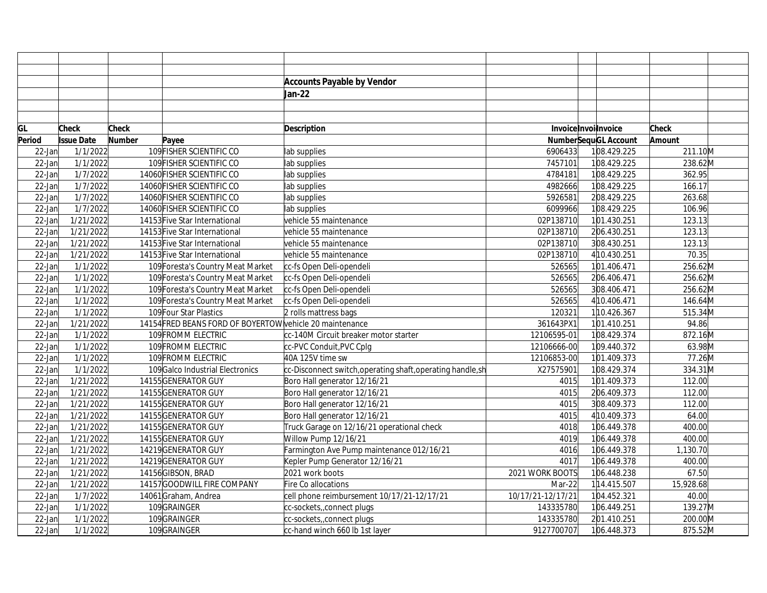|           |                   |               |                                                          | <b>Accounts Payable by Vendor</b>                        |                   |                             |           |  |
|-----------|-------------------|---------------|----------------------------------------------------------|----------------------------------------------------------|-------------------|-----------------------------|-----------|--|
|           |                   |               |                                                          | Jan-22                                                   |                   |                             |           |  |
|           |                   |               |                                                          |                                                          |                   |                             |           |  |
|           |                   |               |                                                          |                                                          |                   |                             |           |  |
| GL        | <b>Check</b>      | <b>Check</b>  |                                                          | <b>Description</b>                                       |                   | Invoice Invoilnvoice        | Check     |  |
| Period    | <b>Issue Date</b> | <b>Number</b> | Payee                                                    |                                                          |                   | <b>NumberSequGL Account</b> | Amount    |  |
| $22$ -Jan | 1/1/2022          |               | 109 FISHER SCIENTIFIC CO                                 | lab supplies                                             | 6906433           | 108.429.225                 | 211.10M   |  |
| $22$ -Jan | 1/1/2022          |               | 109 FISHER SCIENTIFIC CO                                 | lab supplies                                             | 7457101           | 108.429.225                 | 238.62M   |  |
| $22$ -Jan | 1/7/2022          |               | 14060 FISHER SCIENTIFIC CO                               | lab supplies                                             | 4784181           | 108.429.225                 | 362.95    |  |
| $22$ -Jan | 1/7/2022          |               | 14060 FISHER SCIENTIFIC CO                               | lab supplies                                             | 4982666           | 108.429.225                 | 166.17    |  |
| $22$ -Jan | 1/7/2022          |               | 14060 FISHER SCIENTIFIC CO                               | lab supplies                                             | 5926581           | 208.429.225                 | 263.68    |  |
| $22$ -Jan | 1/7/2022          |               | 14060 FISHER SCIENTIFIC CO                               | lab supplies                                             | 6099966           | 108.429.225                 | 106.96    |  |
| 22-Jan    | 1/21/2022         |               | 14153 Five Star International                            | vehicle 55 maintenance                                   | 02P138710         | 101.430.251                 | 123.13    |  |
| $22$ -Jan | 1/21/2022         |               | 14153 Five Star International                            | vehicle 55 maintenance                                   | 02P138710         | 206.430.251                 | 123.13    |  |
| $22$ -Jan | 1/21/2022         |               | 14153 Five Star International                            | vehicle 55 maintenance                                   | 02P138710         | 308.430.251                 | 123.13    |  |
| $22$ -Jan | 1/21/2022         |               | 14153 Five Star International                            | vehicle 55 maintenance                                   | 02P138710         | 4 10.430.251                | 70.35     |  |
| $22$ -Jan | 1/1/2022          |               | 109 Foresta's Country Meat Market                        | cc-fs Open Deli-opendeli                                 | 526565            | 101.406.471                 | 256.62M   |  |
| $22$ -Jan | 1/1/2022          |               | 109 Foresta's Country Meat Market                        | cc-fs Open Deli-opendeli                                 | 526565            | 206.406.471                 | 256.62M   |  |
| $22$ -Jan | 1/1/2022          |               | 109 Foresta's Country Meat Market                        | cc-fs Open Deli-opendeli                                 | 526565            | 308.406.471                 | 256.62M   |  |
| $22$ -Jan | 1/1/2022          |               | 109 Foresta's Country Meat Market                        | cc-fs Open Deli-opendeli                                 | 526565            | 4 10.406.471                | 146.64M   |  |
| $22$ -Jan | 1/1/2022          |               | 109 Four Star Plastics                                   | 2 rolls mattress bags                                    | 120321            | 110.426.367                 | 515.34M   |  |
| $22$ -Jan | 1/21/2022         |               | 14154 FRED BEANS FORD OF BOYERTOW vehicle 20 maintenance |                                                          | 361643PX1         | 101.410.251                 | 94.86     |  |
| $22$ -Jan | 1/1/2022          |               | 109 FROMM ELECTRIC                                       | cc-140M Circuit breaker motor starter                    | 12106595-01       | 108.429.374                 | 872.16M   |  |
| $22$ -Jan | 1/1/2022          |               | 109 FROMM ELECTRIC                                       | cc-PVC Conduit,PVC Cplg                                  | 12106666-00       | 109.440.372                 | 63.98M    |  |
| $22$ -Jan | 1/1/2022          |               | 109 FROMM ELECTRIC                                       | 40A 125V time sw                                         | 12106853-00       | 101.409.373                 | 77.26M    |  |
| 22-Jan    | 1/1/2022          |               | 109 Galco Industrial Electronics                         | cc-Disconnect switch,operating shaft,operating handle,sh | X27575901         | 108.429.374                 | 334.31M   |  |
| $22$ -Jan | 1/21/2022         |               | 14155GENERATOR GUY                                       | Boro Hall generator 12/16/21                             | 4015              | 101.409.373                 | 112.00    |  |
| $22$ -Jan | 1/21/2022         |               | 14155GENERATOR GUY                                       | Boro Hall generator 12/16/21                             | 4015              | 206.409.373                 | 112.00    |  |
| $22$ -Jan | 1/21/2022         |               | 14155GENERATOR GUY                                       | Boro Hall generator 12/16/21                             | 4015              | 308.409.373                 | 112.00    |  |
| $22$ -Jan | 1/21/2022         |               | 14155GENERATOR GUY                                       | Boro Hall generator 12/16/21                             | 4015              | 4 10.409.373                | 64.00     |  |
| $22$ -Jan | 1/21/2022         |               | 14155GENERATOR GUY                                       | Truck Garage on 12/16/21 operational check               | 4018              | 106.449.378                 | 400.00    |  |
| $22$ -Jan | 1/21/2022         |               | 14155GENERATOR GUY                                       | Willow Pump 12/16/21                                     | 4019              | 106.449.378                 | 400.00    |  |
| 22-Jan    | 1/21/2022         |               | 14219 GENERATOR GUY                                      | Farmington Ave Pump maintenance 012/16/21                | 4016              | 106.449.378                 | 1,130.70  |  |
| 22-Jan    | 1/21/2022         |               | 14219 GENERATOR GUY                                      | Kepler Pump Generator 12/16/21                           | 4017              | 106.449.378                 | 400.00    |  |
| 22-Jan    | 1/21/2022         |               | 14156GIBSON, BRAD                                        | 2021 work boots                                          | 2021 WORK BOOTS   | 106.448.238                 | 67.50     |  |
| $22$ -Jan | 1/21/2022         |               | 14157GOODWILL FIRE COMPANY                               | Fire Co allocations                                      | Mar-22            | 114.415.507                 | 15,928.68 |  |
| $22$ -Jan | 1/7/2022          |               | 14061Graham, Andrea                                      | cell phone reimbursement 10/17/21-12/17/21               | 10/17/21-12/17/21 | 104.452.321                 | 40.00     |  |
| $22$ -Jan | 1/1/2022          |               | 109GRAINGER                                              | cc-sockets, connect plugs                                | 143335780         | 106.449.251                 | 139.27M   |  |
| 22-Jan    | 1/1/2022          |               | 109GRAINGER                                              | cc-sockets, connect plugs                                | 143335780         | 201.410.251                 | 200.00M   |  |
| $22$ -Jan | 1/1/2022          |               | 109GRAINGER                                              | cc-hand winch 660 lb 1st layer                           | 9127700707        | 106.448.373                 | 875.52M   |  |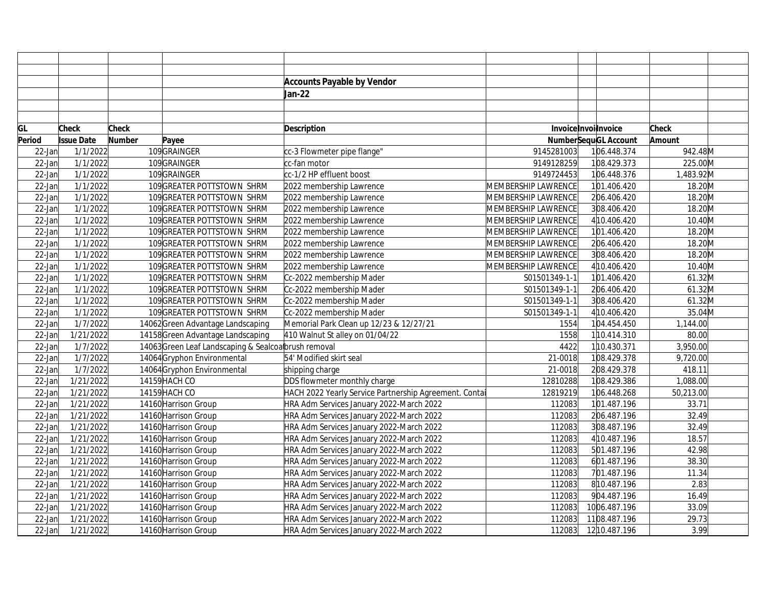|        |                   |              |                                                    | <b>Accounts Payable by Vendor</b>                      |                     |                             |              |  |
|--------|-------------------|--------------|----------------------------------------------------|--------------------------------------------------------|---------------------|-----------------------------|--------------|--|
|        |                   |              |                                                    | Jan-22                                                 |                     |                             |              |  |
|        |                   |              |                                                    |                                                        |                     |                             |              |  |
|        |                   |              |                                                    |                                                        |                     |                             |              |  |
| GL     | <b>Check</b>      | <b>Check</b> |                                                    | <b>Description</b>                                     | InvoiceInvoilnvoice |                             | <b>Check</b> |  |
| Period | <b>Issue Date</b> | Number       | Payee                                              |                                                        |                     | <b>NumberSequGL Account</b> | Amount       |  |
| 22-Jan | 1/1/2022          |              | 109GRAINGER                                        | cc-3 Flowmeter pipe flange"                            | 9145281003          | 106.448.374                 | 942.48M      |  |
| 22-Jan | 1/1/2022          |              | 109GRAINGER                                        | cc-fan motor                                           | 9149128259          | 108.429.373                 | 225.00M      |  |
| 22-Jan | 1/1/2022          |              | 109GRAINGER                                        | $cc$ -1/2 HP effluent boost                            | 9149724453          | 106.448.376                 | 1,483.92M    |  |
| 22-Jan | 1/1/2022          |              | 109 GREATER POTTSTOWN SHRM                         | 2022 membership Lawrence                               | MEMBERSHIP LAWRENCE | 101.406.420                 | 18.20M       |  |
| 22-Jan | 1/1/2022          |              | 109 GREATER POTTSTOWN SHRM                         | 2022 membership Lawrence                               | MEMBERSHIP LAWRENCE | 206.406.420                 | 18.20M       |  |
| 22-Jan | 1/1/2022          |              | 109 GREATER POTTSTOWN SHRM                         | 2022 membership Lawrence                               | MEMBERSHIP LAWRENCE | 308.406.420                 | 18.20M       |  |
| 22-Jan | 1/1/2022          |              | 109 GREATER POTTSTOWN SHRM                         | 2022 membership Lawrence                               | MEMBERSHIP LAWRENCE | 4 10.406.420                | 10.40M       |  |
| 22-Jan | 1/1/2022          |              | 109 GREATER POTTSTOWN SHRM                         | 2022 membership Lawrence                               | MEMBERSHIP LAWRENCE | 101.406.420                 | 18.20M       |  |
| 22-Jan | 1/1/2022          |              | 109 GREATER POTTSTOWN SHRM                         | 2022 membership Lawrence                               | MEMBERSHIP LAWRENCE | 206.406.420                 | 18.20M       |  |
| 22-Jan | 1/1/2022          |              | 109 GREATER POTTSTOWN SHRM                         | 2022 membership Lawrence                               | MEMBERSHIP LAWRENCE | 308.406.420                 | 18.20M       |  |
| 22-Jan | 1/1/2022          |              | 109 GREATER POTTSTOWN SHRM                         | 2022 membership Lawrence                               | MEMBERSHIP LAWRENCE | 4 10.406.420                | 10.40M       |  |
| 22-Jan | 1/1/2022          |              | 109 GREATER POTTSTOWN SHRM                         | Cc-2022 membership Mader                               | S01501349-1-1       | 101.406.420                 | 61.32M       |  |
| 22-Jan | 1/1/2022          |              | 109 GREATER POTTSTOWN SHRM                         | Cc-2022 membership Mader                               | S01501349-1-1       | 206.406.420                 | 61.32M       |  |
| 22-Jan | 1/1/2022          |              | 109 GREATER POTTSTOWN SHRM                         | Cc-2022 membership Mader                               | S01501349-1-1       | 308.406.420                 | 61.32M       |  |
| 22-Jan | 1/1/2022          |              | 109 GREATER POTTSTOWN SHRM                         | Cc-2022 membership Mader                               | S01501349-1-1       | 4 10.406.420                | 35.04M       |  |
| 22-Jan | 1/7/2022          |              | 14062 Green Advantage Landscaping                  | Memorial Park Clean up 12/23 & 12/27/21                | 1554                | 104.454.450                 | 1,144.00     |  |
| 22-Jan | 1/21/2022         |              | 14158 Green Advantage Landscaping                  | 410 Walnut St alley on 01/04/22                        | 1558                | 110.414.310                 | 80.00        |  |
| 22-Jan | 1/7/2022          |              | 14063Green Leaf Landscaping & Sealcoabrush removal |                                                        | 4422                | 110.430.371                 | 3,950.00     |  |
| 22-Jan | 1/7/2022          |              | 14064 Gryphon Environmental                        | 54' Modified skirt seal                                | 21-0018             | 108.429.378                 | 9,720.00     |  |
| 22-Jan | 1/7/2022          |              | 14064 Gryphon Environmental                        | shipping charge                                        | 21-0018             | 208.429.378                 | 418.11       |  |
| 22-Jan | 1/21/2022         |              | 14159 HACH CO                                      | DDS flowmeter monthly charge                           | 12810288            | 108.429.386                 | 1,088.00     |  |
| 22-Jan | 1/21/2022         |              | 14159 HACH CO                                      | HACH 2022 Yearly Service Partnership Agreement. Contai | 12819219            | 106.448.268                 | 50,213.00    |  |
| 22-Jar | 1/21/2022         |              | 14160 Harrison Group                               | HRA Adm Services January 2022-March 2022               | 112083              | 101.487.196                 | 33.71        |  |
| 22-Jan | 1/21/2022         |              | 14160 Harrison Group                               | HRA Adm Services January 2022-March 2022               | 112083              | 206.487.196                 | 32.49        |  |
| 22-Jan | 1/21/2022         |              | 14160 Harrison Group                               | HRA Adm Services January 2022-March 2022               | 112083              | 308.487.196                 | 32.49        |  |
| 22-Jan | 1/21/2022         |              | 14160 Harrison Group                               | HRA Adm Services January 2022-March 2022               | 112083              | 4 10.487.196                | 18.57        |  |
| 22-Jan | 1/21/2022         |              | 14160 Harrison Group                               | HRA Adm Services January 2022-March 2022               | 112083              | 501.487.196                 | 42.98        |  |
| 22-Jan | 1/21/2022         |              | 14160 Harrison Group                               | HRA Adm Services January 2022-March 2022               | 112083              | 601.487.196                 | 38.30        |  |
| 22-Jan | 1/21/2022         |              | 14160 Harrison Group                               | HRA Adm Services January 2022-March 2022               | 112083              | 701.487.196                 | 11.34        |  |
| 22-Jan | 1/21/2022         |              | 14160 Harrison Group                               | HRA Adm Services January 2022-March 2022               | 112083              | 810.487.196                 | 2.83         |  |
| 22-Jan | 1/21/2022         |              | 14160 Harrison Group                               | HRA Adm Services January 2022-March 2022               | 112083              | 904.487.196                 | 16.49        |  |
| 22-Jar | 1/21/2022         |              | 14160 Harrison Group                               | HRA Adm Services January 2022-March 2022               | 112083              | 1006.487.196                | 33.09        |  |
| 22-Jar | 1/21/2022         |              | 14160 Harrison Group                               | HRA Adm Services January 2022-March 2022               | 112083              | 1108.487.196                | 29.73        |  |
| 22-Jan | 1/21/2022         |              | 14160 Harrison Group                               | HRA Adm Services January 2022-March 2022               | 112083              | 12 10.487.196               | 3.99         |  |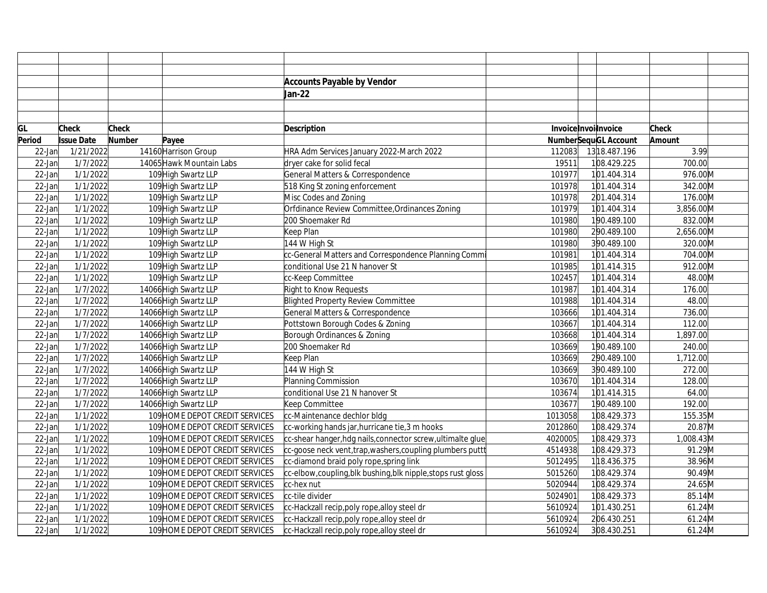|           |                   |               |                                | <b>Accounts Payable by Vendor</b>                           |         |                             |              |  |
|-----------|-------------------|---------------|--------------------------------|-------------------------------------------------------------|---------|-----------------------------|--------------|--|
|           |                   |               |                                | Jan-22                                                      |         |                             |              |  |
|           |                   |               |                                |                                                             |         |                             |              |  |
|           |                   |               |                                |                                                             |         |                             |              |  |
| GL        | <b>Check</b>      | <b>Check</b>  |                                | Description                                                 |         | InvoiceInvoilnvoice         | <b>Check</b> |  |
| Period    | <b>Issue Date</b> | <b>Number</b> | Payee                          |                                                             |         | <b>NumberSequGL Account</b> | Amount       |  |
| $22$ -Jan | 1/21/2022         |               | 14160 Harrison Group           | HRA Adm Services January 2022-March 2022                    | 112083  | 13 18.487.196               | 3.99         |  |
| $22$ -Jan | 1/7/2022          |               | 14065 Hawk Mountain Labs       | dryer cake for solid fecal                                  | 19511   | 108.429.225                 | 700.00       |  |
| 22-Jan    | 1/1/2022          |               | 109 High Swartz LLP            | General Matters & Correspondence                            | 101977  | 101.404.314                 | 976.00M      |  |
| $22$ -Jan | 1/1/2022          |               | 109 High Swartz LLP            | 518 King St zoning enforcement                              | 101978  | 101.404.314                 | 342.00M      |  |
| 22-Jan    | 1/1/2022          |               | 109 High Swartz LLP            | Misc Codes and Zoning                                       | 101978  | 201.404.314                 | 176.00M      |  |
| 22-Jan    | 1/1/2022          |               | 109 High Swartz LLP            | Orfdinance Review Committee, Ordinances Zoning              | 101979  | 101.404.314                 | 3,856.00M    |  |
| 22-Jan    | 1/1/2022          |               | 109 High Swartz LLP            | 200 Shoemaker Rd                                            | 101980  | 190.489.100                 | 832.00M      |  |
| 22-Jan    | 1/1/2022          |               | 109 High Swartz LLP            | Keep Plan                                                   | 101980  | 290.489.100                 | 2,656.00M    |  |
| 22-Jan    | 1/1/2022          |               | 109 High Swartz LLP            | 144 W High St                                               | 101980  | 390.489.100                 | 320.00M      |  |
| 22-Jan    | 1/1/2022          |               | 109 High Swartz LLP            | cc-General Matters and Correspondence Planning Comm         | 101981  | 101.404.314                 | 704.00M      |  |
| 22-Jan    | 1/1/2022          |               | 109 High Swartz LLP            | conditional Use 21 N hanover St                             | 101985  | 101.414.315                 | 912.00M      |  |
| 22-Jan    | 1/1/2022          |               | 109 High Swartz LLP            | cc-Keep Committee                                           | 102457  | 101.404.314                 | 48.00M       |  |
| 22-Jan    | 1/7/2022          |               | 14066 High Swartz LLP          | Right to Know Requests                                      | 101987  | 101.404.314                 | 176.00       |  |
| 22-Jan    | 1/7/2022          |               | 14066 High Swartz LLP          | <b>Blighted Property Review Committee</b>                   | 101988  | 101.404.314                 | 48.00        |  |
| 22-Jan    | 1/7/2022          |               | 14066 High Swartz LLP          | General Matters & Correspondence                            | 103666  | 101.404.314                 | 736.00       |  |
| 22-Jan    | 1/7/2022          |               | 14066 High Swartz LLP          | Pottstown Borough Codes & Zoning                            | 103667  | 101.404.314                 | 112.00       |  |
| $22$ -Jan | 1/7/2022          |               | 14066 High Swartz LLP          | Borough Ordinances & Zoning                                 | 103668  | 101.404.314                 | 1,897.00     |  |
| 22-Jan    | 1/7/2022          |               | 14066 High Swartz LLP          | 200 Shoemaker Rd                                            | 103669  | 190.489.100                 | 240.00       |  |
| $22$ -Jan | 1/7/2022          |               | 14066 High Swartz LLP          | Keep Plan                                                   | 103669  | 290.489.100                 | 1,712.00     |  |
| 22-Jan    | 1/7/2022          |               | 14066 High Swartz LLP          | 144 W High St                                               | 103669  | 390.489.100                 | 272.00       |  |
| 22-Jan    | 1/7/2022          |               | 14066 High Swartz LLP          | Planning Commission                                         | 103670  | 101.404.314                 | 128.00       |  |
| $22$ -Jan | 1/7/2022          |               | 14066 High Swartz LLP          | conditional Use 21 N hanover St                             | 103674  | 101.414.315                 | 64.00        |  |
| 22-Jan    | 1/7/2022          |               | 14066 High Swartz LLP          | Keep Committee                                              | 103677  | 190.489.100                 | 192.00       |  |
| 22-Jan    | 1/1/2022          |               | 109 HOME DEPOT CREDIT SERVICES | cc-Maintenance dechlor bldg                                 | 1013058 | 108.429.373                 | 155.35M      |  |
| 22-Jan    | 1/1/2022          |               | 109 HOME DEPOT CREDIT SERVICES | cc-working hands jar, hurricane tie, 3 m hooks              | 2012860 | 108.429.374                 | 20.87M       |  |
| 22-Jan    | 1/1/2022          |               | 109 HOME DEPOT CREDIT SERVICES | cc-shear hanger, hdg nails, connector screw, ultimalte glue | 4020005 | 108.429.373                 | 1,008.43M    |  |
| 22-Jan    | 1/1/2022          |               | 109 HOME DEPOT CREDIT SERVICES | cc-goose neck vent, trap, washers, coupling plumbers puttt  | 4514938 | 108.429.373                 | 91.29M       |  |
| 22-Jan    | 1/1/2022          |               | 109 HOME DEPOT CREDIT SERVICES | cc-diamond braid poly rope, spring link                     | 5012495 | 118.436.375                 | 38.96M       |  |
| 22-Jan    | 1/1/2022          |               | 109 HOME DEPOT CREDIT SERVICES | cc-elbow,coupling,blk bushing,blk nipple,stops rust gloss   | 5015260 | 108.429.374                 | 90.49M       |  |
| 22-Jan    | 1/1/2022          |               | 109 HOME DEPOT CREDIT SERVICES | cc-hex nut                                                  | 5020944 | 108.429.374                 | 24.65M       |  |
| 22-Jan    | 1/1/2022          |               | 109 HOME DEPOT CREDIT SERVICES | cc-tile divider                                             | 5024901 | 108.429.373                 | 85.14M       |  |
| 22-Jan    | 1/1/2022          |               | 109 HOME DEPOT CREDIT SERVICES | cc-Hackzall recip, poly rope, alloy steel dr                | 5610924 | 101.430.251                 | 61.24M       |  |
| 22-Jan    | 1/1/2022          |               | 109 HOME DEPOT CREDIT SERVICES | cc-Hackzall recip, poly rope, alloy steel dr                | 5610924 | 206.430.251                 | 61.24M       |  |
| $22$ -Jan | 1/1/2022          |               | 109 HOME DEPOT CREDIT SERVICES | cc-Hackzall recip, poly rope, alloy steel dr                | 5610924 | 308.430.251                 | 61.24M       |  |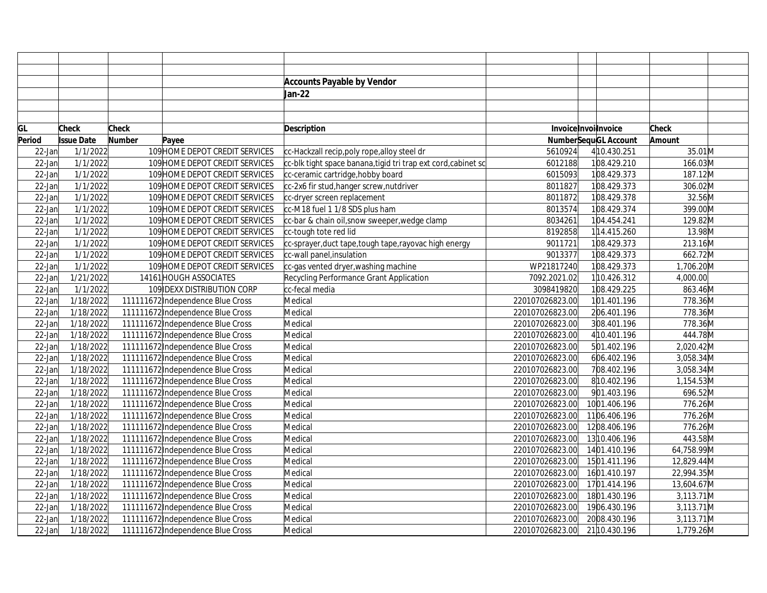|           |                   |               |                                   | <b>Accounts Payable by Vendor</b>                              |                 |                             |              |  |
|-----------|-------------------|---------------|-----------------------------------|----------------------------------------------------------------|-----------------|-----------------------------|--------------|--|
|           |                   |               |                                   | Jan-22                                                         |                 |                             |              |  |
|           |                   |               |                                   |                                                                |                 |                             |              |  |
|           |                   |               |                                   |                                                                |                 |                             |              |  |
| GL        | Check             | <b>Check</b>  |                                   | <b>Description</b>                                             |                 | Invoice Invoilnvoice        | <b>Check</b> |  |
| Period    | <b>Issue Date</b> | <b>Number</b> | Payee                             |                                                                |                 | <b>NumberSequGL Account</b> | Amount       |  |
| 22-Jan    | 1/1/2022          |               | 109 HOME DEPOT CREDIT SERVICES    | cc-Hackzall recip, poly rope, alloy steel dr                   | 5610924         | 4 10.430.251                | 35.01M       |  |
| $22$ -Jan | 1/1/2022          |               | 109 HOME DEPOT CREDIT SERVICES    | cc-blk tight space banana, tigid tri trap ext cord, cabinet sc | 6012188         | 108.429.210                 | 166.03M      |  |
| $22$ -Jan | 1/1/2022          |               | 109 HOME DEPOT CREDIT SERVICES    | cc-ceramic cartridge, hobby board                              | 6015093         | 108.429.373                 | 187.12M      |  |
| $22$ -Jan | 1/1/2022          |               | 109 HOME DEPOT CREDIT SERVICES    | cc-2x6 fir stud, hanger screw, nutdriver                       | 8011827         | 108.429.373                 | 306.02M      |  |
| $22$ -Jan | 1/1/2022          |               | 109 HOME DEPOT CREDIT SERVICES    | cc-dryer screen replacement                                    | 8011872         | 108.429.378                 | 32.56M       |  |
| $22$ -Jan | 1/1/2022          |               | 109 HOME DEPOT CREDIT SERVICES    | cc-M18 fuel 1 1/8 SDS plus ham                                 | 8013574         | 108.429.374                 | 399.00M      |  |
| 22-Jan    | 1/1/2022          |               | 109 HOME DEPOT CREDIT SERVICES    | cc-bar & chain oil, snow sweeper, wedge clamp                  | 8034261         | 104.454.241                 | 129.82M      |  |
| $22$ -Jan | 1/1/2022          |               | 109 HOME DEPOT CREDIT SERVICES    | cc-tough tote red lid                                          | 8192858         | 114.415.260                 | 13.98M       |  |
| $22$ -Jan | 1/1/2022          |               | 109 HOME DEPOT CREDIT SERVICES    | cc-sprayer, duct tape, tough tape, rayovac high energy         | 9011721         | 108.429.373                 | 213.16M      |  |
| $22$ -Jan | 1/1/2022          |               | 109 HOME DEPOT CREDIT SERVICES    | cc-wall panel, insulation                                      | 9013377         | 108.429.373                 | 662.72M      |  |
| $22$ -Jan | 1/1/2022          |               | 109 HOME DEPOT CREDIT SERVICES    | cc-gas vented dryer, washing machine                           | WP21817240      | 108.429.373                 | 1,706.20M    |  |
| $22$ -Jan | 1/21/2022         |               | 14161 HOUGH ASSOCIATES            | Recycling Performance Grant Application                        | 7092.2021.02    | 110.426.312                 | 4,000.00     |  |
| $22$ -Jan | 1/1/2022          |               | 109 IDEXX DISTRIBUTION CORP       | cc-fecal media                                                 | 3098419820      | 108.429.225                 | 863.46M      |  |
| 22-Jan    | 1/18/2022         |               | 111111672 Independence Blue Cross | Medical                                                        | 220107026823.00 | 101.401.196                 | 778.36M      |  |
| 22-Jan    | 1/18/2022         |               | 111111672 Independence Blue Cross | Medical                                                        | 220107026823.00 | 206.401.196                 | 778.36M      |  |
| 22-Jan    | 1/18/2022         |               | 111111672 Independence Blue Cross | Medical                                                        | 220107026823.00 | 308.401.196                 | 778.36M      |  |
| $22$ -Jan | 1/18/2022         |               | 111111672 Independence Blue Cross | Medical                                                        | 220107026823.00 | 4 10.401.196                | 444.78M      |  |
| $22$ -Jan | 1/18/2022         |               | 111111672 Independence Blue Cross | Medical                                                        | 220107026823.00 | 501.402.196                 | 2,020.42M    |  |
| $22$ -Jan | 1/18/2022         |               | 111111672 Independence Blue Cross | Medical                                                        | 220107026823.00 | 606.402.196                 | 3,058.34M    |  |
| $22$ -Jan | 1/18/2022         |               | 111111672 Independence Blue Cross | Medical                                                        | 220107026823.00 | 708.402.196                 | 3,058.34M    |  |
| $22$ -Jan | 1/18/2022         |               | 111111672 Independence Blue Cross | Medical                                                        | 220107026823.00 | 810.402.196                 | 1,154.53M    |  |
| $22$ -Jan | 1/18/2022         |               | 111111672 Independence Blue Cross | Medical                                                        | 220107026823.00 | 901.403.196                 | 696.52M      |  |
| 22-Jan    | 1/18/2022         |               | 111111672 Independence Blue Cross | Medical                                                        | 220107026823.00 | 1001.406.196                | 776.26M      |  |
| $22$ -Jan | 1/18/2022         |               | 111111672 Independence Blue Cross | Medical                                                        | 220107026823.00 | 1106.406.196                | 776.26M      |  |
| 22-Jan    | 1/18/2022         |               | 111111672 Independence Blue Cross | Medical                                                        | 220107026823.00 | 1208.406.196                | 776.26M      |  |
| $22$ -Jan | 1/18/2022         |               | 111111672 Independence Blue Cross | Medical                                                        | 220107026823.00 | 13 10.406.196               | 443.58M      |  |
| $22$ -Jan | 1/18/2022         |               | 111111672 Independence Blue Cross | Medical                                                        | 220107026823.00 | 1401.410.196                | 64,758.99M   |  |
| $22$ -Jan | 1/18/2022         |               | 111111672 Independence Blue Cross | Medical                                                        | 220107026823.00 | 1501.411.196                | 12,829.44M   |  |
| $22$ -Jan | 1/18/2022         |               | 111111672 Independence Blue Cross | Medical                                                        | 220107026823.00 | 1601.410.197                | 22,994.35M   |  |
| $22$ -Jan | 1/18/2022         |               | 111111672 Independence Blue Cross | Medical                                                        | 220107026823.00 | 1701.414.196                | 13,604.67M   |  |
| $22$ -Jan | 1/18/2022         |               | 111111672 Independence Blue Cross | Medical                                                        | 220107026823.00 | 1801.430.196                | $3,113.71$ M |  |
| 22-Jan    | 1/18/2022         |               | 111111672 Independence Blue Cross | Medical                                                        | 220107026823.00 | 1906.430.196                | $3,113.71$ M |  |
| 22-Jan    | 1/18/2022         |               | 111111672 Independence Blue Cross | Medical                                                        | 220107026823.00 | 2008.430.196                | 3,113.71M    |  |
| $22$ -Jan | 1/18/2022         |               | 111111672 Independence Blue Cross | Medical                                                        | 220107026823.00 | 21 10.430.196               | 1,779.26M    |  |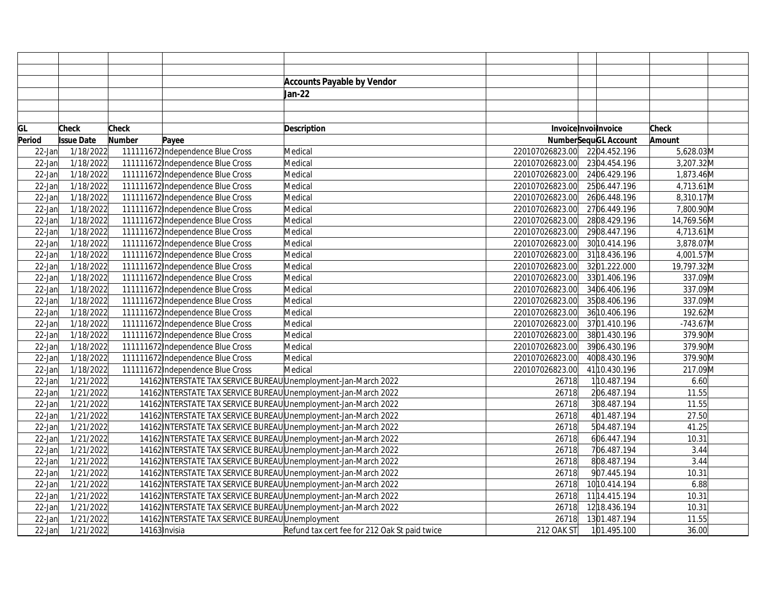|           |                   |               |                                                                 | <b>Accounts Payable by Vendor</b>             |                 |                             |              |
|-----------|-------------------|---------------|-----------------------------------------------------------------|-----------------------------------------------|-----------------|-----------------------------|--------------|
|           |                   |               |                                                                 | Jan-22                                        |                 |                             |              |
|           |                   |               |                                                                 |                                               |                 |                             |              |
|           |                   |               |                                                                 |                                               |                 |                             |              |
| GL        | <b>Check</b>      | Check         |                                                                 | Description                                   |                 | Invoice Invoilnvoice        | <b>Check</b> |
| Period    | <b>Issue Date</b> | <b>Number</b> | Payee                                                           |                                               |                 | <b>NumberSequGL Account</b> | Amount       |
| $22$ -Jan | 1/18/2022         |               | 111111672 Independence Blue Cross                               | Medical                                       | 220107026823.00 | 2204.452.196                | 5,628.03M    |
| $22$ -Jan | 1/18/2022         |               | 111111672 Independence Blue Cross                               | Medical                                       | 220107026823.00 | 2304.454.196                | 3,207.32M    |
| $22$ -Jan | 1/18/2022         |               | 111111672 Independence Blue Cross                               | Medical                                       | 220107026823.00 | 2406.429.196                | 1,873.46M    |
| $22$ -Jan | 1/18/2022         |               | 111111672 Independence Blue Cross                               | Medical                                       | 220107026823.00 | 2506.447.196                | 4,713.61M    |
| $22$ -Jan | 1/18/2022         |               | 111111672 Independence Blue Cross                               | Medical                                       | 220107026823.00 | 2606.448.196                | 8,310.17M    |
| $22$ -Jan | 1/18/2022         |               | 111111672 Independence Blue Cross                               | Medical                                       | 220107026823.00 | 2706.449.196                | 7,800.90M    |
| $22$ -Jan | 1/18/2022         |               | 111111672 Independence Blue Cross                               | Medical                                       | 220107026823.00 | 2808.429.196                | 14,769.56M   |
| $22$ -Jan | 1/18/2022         |               | 111111672 Independence Blue Cross                               | Medical                                       | 220107026823.00 | 2908.447.196                | 4,713.61M    |
| $22$ -Jan | 1/18/2022         |               | 111111672 Independence Blue Cross                               | Medical                                       | 220107026823.00 | 30 10.414.196               | 3,878.07M    |
| $22$ -Jan | 1/18/2022         |               | 111111672 Independence Blue Cross                               | Medical                                       | 220107026823.00 | 31 18.436.196               | 4,001.57M    |
| $22$ -Jan | 1/18/2022         |               | 111111672 Independence Blue Cross                               | Medical                                       | 220107026823.00 | 3201.222.000                | 19,797.32M   |
| $22$ -Jan | 1/18/2022         |               | 111111672 Independence Blue Cross                               | Medical                                       | 220107026823.00 | 3301.406.196                | 337.09M      |
| $22$ -Jan | 1/18/2022         |               | 111111672 Independence Blue Cross                               | Medical                                       | 220107026823.00 | 3406.406.196                | 337.09M      |
| $22$ -Jan | 1/18/2022         |               | 111111672 Independence Blue Cross                               | Medical                                       | 220107026823.00 | 3508.406.196                | 337.09M      |
| $22$ -Jan | 1/18/2022         |               | 111111672 Independence Blue Cross                               | Medical                                       | 220107026823.00 | 36 10.406.196               | 192.62M      |
| $22$ -Jan | 1/18/2022         |               | 111111672 Independence Blue Cross                               | Medical                                       | 220107026823.00 | 3701.410.196                | $-743.67M$   |
| $22$ -Jan | 1/18/2022         |               | 111111672 Independence Blue Cross                               | Medical                                       | 220107026823.00 | 3801.430.196                | 379.90M      |
| $22$ -Jan | 1/18/2022         |               | 111111672 Independence Blue Cross                               | Medical                                       | 220107026823.00 | 3906.430.196                | 379.90M      |
| $22$ -Jan | 1/18/2022         |               | 111111672 Independence Blue Cross                               | Medical                                       | 220107026823.00 | 4008.430.196                | 379.90M      |
| $22$ -Jan | 1/18/2022         |               | 111111672 Independence Blue Cross                               | Medical                                       | 220107026823.00 | 41 10.430.196               | 217.09M      |
| $22$ -Jan | 1/21/2022         |               | 14162 INTERSTATE TAX SERVICE BUREAU Unemployment-Jan-March 2022 |                                               | 26718           | 110.487.194                 | 6.60         |
| $22$ -Jan | 1/21/2022         |               | 14162 INTERSTATE TAX SERVICE BUREAU Unemployment-Jan-March 2022 |                                               | 26718           | 206.487.194                 | 11.55        |
| $22$ -Jan | 1/21/2022         |               | 14162 INTERSTATE TAX SERVICE BUREAU Unemployment-Jan-March 2022 |                                               | 26718           | 308.487.194                 | 11.55        |
| $22$ -Jan | 1/21/2022         |               | 14162 INTERSTATE TAX SERVICE BUREAU Unemployment-Jan-March 2022 |                                               | 26718           | 401.487.194                 | 27.50        |
| $22$ -Jan | 1/21/2022         |               | 14162 INTERSTATE TAX SERVICE BUREAU Unemployment-Jan-March 2022 |                                               | 26718           | 504.487.194                 | 41.25        |
| $22$ -Jan | 1/21/2022         |               | 14162 INTERSTATE TAX SERVICE BUREAU Unemployment-Jan-March 2022 |                                               | 26718           | 606.447.194                 | 10.31        |
| $22$ -Jan | 1/21/2022         |               | 14162 INTERSTATE TAX SERVICE BUREAU Unemployment-Jan-March 2022 |                                               | 26718           | 706.487.194                 | 3.44         |
| $22$ -Jan | 1/21/2022         |               | 14162 INTERSTATE TAX SERVICE BUREAU Unemployment-Jan-March 2022 |                                               | 26718           | 808.487.194                 | 3.44         |
| $22$ -Jan | 1/21/2022         |               | 14162 INTERSTATE TAX SERVICE BUREAU Unemployment-Jan-March 2022 |                                               | 26718           | 907.445.194                 | 10.31        |
| $22$ -Jan | 1/21/2022         |               | 14162 INTERSTATE TAX SERVICE BUREAU Unemployment-Jan-March 2022 |                                               | 26718           | 10 10.414.194               | 6.88         |
| $22$ -Jan | 1/21/2022         |               | 14162 INTERSTATE TAX SERVICE BUREAU Unemployment-Jan-March 2022 |                                               | 26718           | 11 14.415.194               | 10.31        |
| $22$ -Jan | 1/21/2022         |               | 14162 INTERSTATE TAX SERVICE BUREAU Unemployment-Jan-March 2022 |                                               | 26718           | 12 18.436.194               | 10.31        |
| 22-Jan    | 1/21/2022         |               | 14162 INTERSTATE TAX SERVICE BUREAU Unemployment                |                                               | 26718           | 1301.487.194                | 11.55        |
| $22$ -Jan | 1/21/2022         |               | 14163 Invisia                                                   | Refund tax cert fee for 212 Oak St paid twice | 212 OAK ST      | 101.495.100                 | 36.00        |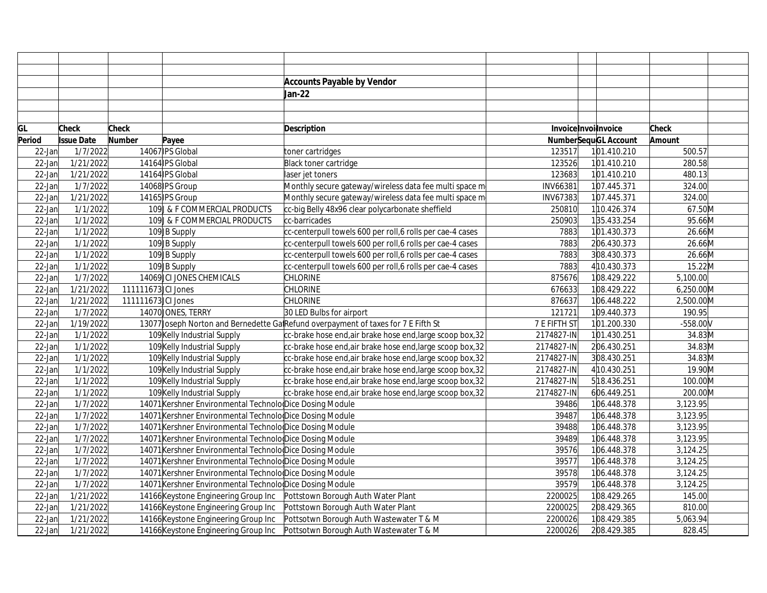|           |                   |                    |                                                          | <b>Accounts Payable by Vendor</b>                                                  |                 |                             |                         |  |
|-----------|-------------------|--------------------|----------------------------------------------------------|------------------------------------------------------------------------------------|-----------------|-----------------------------|-------------------------|--|
|           |                   |                    |                                                          | Jan-22                                                                             |                 |                             |                         |  |
|           |                   |                    |                                                          |                                                                                    |                 |                             |                         |  |
|           |                   |                    |                                                          |                                                                                    |                 |                             |                         |  |
| GL        | <b>Check</b>      | <b>Check</b>       |                                                          | <b>Description</b>                                                                 |                 | InvoiceInvoilnvoice         | <b>Check</b>            |  |
| Period    | <b>Issue Date</b> | <b>Number</b>      | Payee                                                    |                                                                                    |                 | <b>NumberSequGL Account</b> | Amount                  |  |
| $22$ -Jan | 1/7/2022          |                    | 14067 IPS Global                                         | toner cartridges                                                                   | 123517          | 101.410.210                 | 500.57                  |  |
| $22$ -Jan | 1/21/2022         |                    | 14164 PS Global                                          | Black toner cartridge                                                              | 123526          | 101.410.210                 | 280.58                  |  |
| $22$ -Jan | 1/21/2022         |                    | 14164 IPS Global                                         | laser jet toners                                                                   | 123683          | 101.410.210                 | 480.13                  |  |
| $22$ -Jan | 1/7/2022          |                    | 14068 IPS Group                                          | Monthly secure gateway/wireless data fee multi space m                             | <b>INV66381</b> | 107.445.371                 | 324.00                  |  |
| $22$ -Jan | 1/21/2022         |                    | 14165 IPS Group                                          | Monthly secure gateway/wireless data fee multi space m                             | <b>INV67383</b> | 107.445.371                 | 324.00                  |  |
| $22$ -Jan | 1/1/2022          |                    | 109 & F COMMERCIAL PRODUCTS                              | cc-big Belly 48x96 clear polycarbonate sheffield                                   | 250810          | 110.426.374                 | 67.50M                  |  |
| 22-Jan    | 1/1/2022          |                    | 109 & F COMMERCIAL PRODUCTS                              | cc-barricades                                                                      | 250903          | 135.433.254                 | 95.66M                  |  |
| $22$ -Jan | 1/1/2022          |                    | 109JB Supply                                             | cc-centerpull towels 600 per roll,6 rolls per cae-4 cases                          | 7883            | 101.430.373                 | 26.66M                  |  |
| $22$ -Jan | 1/1/2022          |                    | 109JB Supply                                             | cc-centerpull towels 600 per roll, 6 rolls per cae-4 cases                         | 7883            | 206.430.373                 | 26.66M                  |  |
| $22$ -Jan | 1/1/2022          |                    | 109JB Supply                                             | cc-centerpull towels 600 per roll, 6 rolls per cae-4 cases                         | 7883            | 308.430.373                 | 26.66M                  |  |
| $22$ -Jan | 1/1/2022          |                    | 109JB Supply                                             | cc-centerpull towels 600 per roll,6 rolls per cae-4 cases                          | 7883            | 4 10.430.373                | 15.22M                  |  |
| 22-Jan    | 1/7/2022          |                    | 14069 CI JONES CHEMICALS                                 | <b>CHLORINE</b>                                                                    | 875676          | 108.429.222                 | 5,100.00                |  |
| $22$ -Jan | 1/21/2022         | 111111673 CI Jones |                                                          | <b>CHLORINE</b>                                                                    | 676633          | 108.429.222                 | 6,250.00M               |  |
| $22$ -Jan | 1/21/2022         | 111111673 CI Jones |                                                          | <b>CHLORINE</b>                                                                    | 876637          | 106.448.222                 | 2,500.00M               |  |
| $22$ -Jan | 1/7/2022          |                    | 14070 JONES, TERRY                                       | 30 LED Bulbs for airport                                                           | 121721          | 109.440.373                 | 190.95                  |  |
| $22$ -Jan | 1/19/2022         |                    |                                                          | 13077 Joseph Norton and Bernedette GalRefund overpayment of taxes for 7 E Fifth St | 7 E FIFTH ST    | 101.200.330                 | $-558.00V$              |  |
| $22$ -Jan | 1/1/2022          |                    | 109 Kelly Industrial Supply                              | cc-brake hose end, air brake hose end, large scoop box, 32                         | 2174827-IN      | 101.430.251                 | 34.83M                  |  |
| $22$ -Jan | 1/1/2022          |                    | 109 Kelly Industrial Supply                              | cc-brake hose end, air brake hose end, large scoop box, 32                         | 2174827-IN      | 206.430.251                 | 34.83M                  |  |
| $22$ -Jan | 1/1/2022          |                    | 109 Kelly Industrial Supply                              | cc-brake hose end, air brake hose end, large scoop box, 32                         | 2174827-IN      | 308.430.251                 | 34.83M                  |  |
| $22$ -Jan | 1/1/2022          |                    | 109 Kelly Industrial Supply                              | cc-brake hose end,air brake hose end, large scoop box, 32                          | 2174827-IN      | 4 10.430.251                | 19.90M                  |  |
| 22-Jan    | 1/1/2022          |                    | 109 Kelly Industrial Supply                              | cc-brake hose end, air brake hose end, large scoop box, 32                         | 2174827-IN      | 518.436.251                 | 100.00M                 |  |
| $22$ -Jan | 1/1/2022          |                    | 109 Kelly Industrial Supply                              | cc-brake hose end, air brake hose end, large scoop box, 32                         | 2174827-IN      | 606.449.251                 | $200.00  \overline{M} $ |  |
| $22$ -Jan | 1/7/2022          |                    | 14071 Kershner Environmental Technolo Dice Dosing Module |                                                                                    | 39486           | 106.448.378                 | 3,123.95                |  |
| 22-Jan    | 1/7/2022          |                    | 14071 Kershner Environmental Technolo Dice Dosing Module |                                                                                    | 39487           | 106.448.378                 | 3,123.95                |  |
| 22-Jan    | 1/7/2022          |                    | 14071 Kershner Environmental Technolo Dice Dosing Module |                                                                                    | 39488           | 106.448.378                 | 3,123.95                |  |
| $22$ -Jan | 1/7/2022          |                    | 14071 Kershner Environmental Technolo Dice Dosing Module |                                                                                    | 39489           | 106.448.378                 | 3,123.95                |  |
| $22$ -Jan | 1/7/2022          |                    | 14071 Kershner Environmental Technolo Dice Dosing Module |                                                                                    | 39576           | 106.448.378                 | 3,124.25                |  |
| 22-Jan    | 1/7/2022          |                    | 14071 Kershner Environmental Technolo Dice Dosing Module |                                                                                    | 39577           | 106.448.378                 | 3,124.25                |  |
| $22$ -Jan | 1/7/2022          |                    | 14071 Kershner Environmental Technolo Dice Dosing Module |                                                                                    | 39578           | 106.448.378                 | 3,124.25                |  |
| 22-Jan    | 1/7/2022          |                    | 14071 Kershner Environmental Technolo Dice Dosing Module |                                                                                    | 39579           | 106.448.378                 | 3,124.25                |  |
| $22$ -Jan | 1/21/2022         |                    | 14166 Keystone Engineering Group Inc                     | Pottstown Borough Auth Water Plant                                                 | 2200025         | 108.429.265                 | 145.00                  |  |
| $22$ -Jan | 1/21/2022         |                    | 14166 Keystone Engineering Group Inc                     | Pottstown Borough Auth Water Plant                                                 | 2200025         | 208.429.365                 | 810.00                  |  |
| 22-Jan    | 1/21/2022         |                    | 14166 Keystone Engineering Group Inc                     | Pottsotwn Borough Auth Wastewater T & M                                            | 2200026         | 108.429.385                 | 5,063.94                |  |
| $22$ -Jan | 1/21/2022         |                    | 14166 Keystone Engineering Group Inc                     | Pottsotwn Borough Auth Wastewater T & M                                            | 2200026         | 208.429.385                 | 828.45                  |  |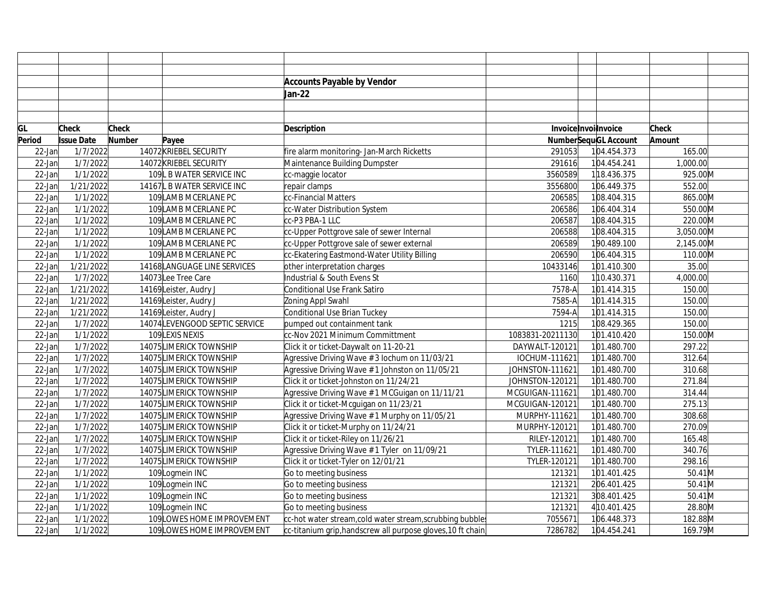|           |                   |              |                                | <b>Accounts Payable by Vendor</b>                           |                  |                      |                      |  |
|-----------|-------------------|--------------|--------------------------------|-------------------------------------------------------------|------------------|----------------------|----------------------|--|
|           |                   |              |                                | Jan-22                                                      |                  |                      |                      |  |
|           |                   |              |                                |                                                             |                  |                      |                      |  |
|           |                   |              |                                |                                                             |                  |                      |                      |  |
| GL        | <b>Check</b>      | <b>Check</b> |                                | <b>Description</b>                                          |                  | Invoice Invoilnvoice | <b>Check</b>         |  |
| Period    | <b>Issue Date</b> | Number       | Payee                          |                                                             |                  | NumberSequGL Account | Amount               |  |
| $22$ -Jan | 1/7/2022          |              | 14072 KRIEBEL SECURITY         | fire alarm monitoring- Jan-March Ricketts                   | 291053           | 104.454.373          | 165.00               |  |
| $22$ -Jan | 1/7/2022          |              | 14072 KRIEBEL SECURITY         | Maintenance Building Dumpster                               | 291616           | 104.454.241          | 1,000.00             |  |
| $22$ -Jan | 1/1/2022          |              | 109L B WATER SERVICE INC       | cc-maggie locator                                           | 3560589          | 118.436.375          | 925.00M              |  |
| $22$ -Jan | 1/21/2022         |              | 14167L B WATER SERVICE INC     | repair clamps                                               | 3556800          | 106.449.375          | 552.00               |  |
| $22$ -Jan | 1/1/2022          |              | 109 LAMB MCERLANE PC           | cc-Financial Matters                                        | 206585           | 108.404.315          | 865.00M              |  |
| $22$ -Jan | 1/1/2022          |              | 109 LAMB MCERLANE PC           | cc-Water Distribution System                                | 206586           | 106.404.314          | 550.00M              |  |
| 22-Jan    | 1/1/2022          |              | 109 LAMB MCERLANE PC           | cc-P3 PBA-1 LLC                                             | 206587           | 108.404.315          | 220.00M              |  |
| $22$ -Jan | 1/1/2022          |              | 109 LAMB MCERLANE PC           | cc-Upper Pottgrove sale of sewer Internal                   | 206588           | 108.404.315          | 3,050.00M            |  |
| $22$ -Jan | 1/1/2022          |              | 109 LAMB MCERLANE PC           | cc-Upper Pottgrove sale of sewer external                   | 206589           | 190.489.100          | 2,145.00M            |  |
| $22$ -Jan | 1/1/2022          |              | 109 LAMB MCERLANE PC           | cc-Ekatering Eastmond-Water Utility Billing                 | 206590           | 106.404.315          | $110.00\overline{M}$ |  |
| $22$ -Jan | 1/21/2022         |              | 14168 LANGUAGE LINE SERVICES   | other interpretation charges                                | 10433146         | 101.410.300          | 35.00                |  |
| $22$ -Jan | 1/7/2022          |              | 14073Lee Tree Care             | Industrial & South Evens St                                 | 1160             | 110.430.371          | 4,000.00             |  |
| $22$ -Jan | 1/21/2022         |              | 14169Leister, Audry J          | Conditional Use Frank Satiro                                | 7578-A           | 101.414.315          | 150.00               |  |
| 22-Jan    | 1/21/2022         |              | 14169Leister, Audry J          | Zoning Appl Swahl                                           | 7585-A           | 101.414.315          | 150.00               |  |
| $22$ -Jan | 1/21/2022         |              | 14169Leister, Audry J          | Conditional Use Brian Tuckey                                | 7594-A           | 101.414.315          | 150.00               |  |
| $22$ -Jan | 1/7/2022          |              | 14074 LEVENGOOD SEPTIC SERVICE | pumped out containment tank                                 | 1215             | 108.429.365          | 150.00               |  |
| $22$ -Jan | 1/1/2022          |              | 109LEXIS NEXIS                 | cc-Nov 2021 Minimum Committment                             | 1083831-20211130 | 101.410.420          | 150.00M              |  |
| $22$ -Jan | 1/7/2022          |              | 14075LIMERICK TOWNSHIP         | Click it or ticket-Daywalt on 11-20-21                      | DAYWALT-120121   | 101.480.700          | 297.22               |  |
| $22$ -Jan | 1/7/2022          |              | 14075LIMERICK TOWNSHIP         | Agressive Driving Wave # 3 lochum on 11/03/21               | IOCHUM-111621    | 101.480.700          | 312.64               |  |
| $22$ -Jan | 1/7/2022          |              | 14075LIMERICK TOWNSHIP         | Agressive Driving Wave # 1 Johnston on 11/05/21             | JOHNSTON-111621  | 101.480.700          | 310.68               |  |
| 22-Jan    | 1/7/2022          |              | 14075LIMERICK TOWNSHIP         | Click it or ticket-Johnston on 11/24/21                     | JOHNSTON-120121  | 101.480.700          | 271.84               |  |
| $22$ -Jan | 1/7/2022          |              | 14075LIMERICK TOWNSHIP         | Agressive Driving Wave #1 MCGuigan on 11/11/21              | MCGUIGAN-111621  | 101.480.700          | 314.44               |  |
| $22$ -Jan | 1/7/2022          |              | 14075LIMERICK TOWNSHIP         | Click it or ticket-Mcguigan on 11/23/21                     | MCGUIGAN-120121  | 101.480.700          | 275.13               |  |
| $22$ -Jan | 1/7/2022          |              | 14075LIMERICK TOWNSHIP         | Agressive Driving Wave #1 Murphy on 11/05/21                | MURPHY-111621    | 101.480.700          | 308.68               |  |
| 22-Jan    | 1/7/2022          |              | 14075LIMERICK TOWNSHIP         | Click it or ticket-Murphy on 11/24/21                       | MURPHY-120121    | 101.480.700          | 270.09               |  |
| 22-Jan    | 1/7/2022          |              | 14075LIMERICK TOWNSHIP         | Click it or ticket-Riley on 11/26/21                        | RILEY-120121     | 101.480.700          | 165.48               |  |
| $22$ -Jan | 1/7/2022          |              | 14075LIMERICK TOWNSHIP         | Agressive Driving Wave # 1 Tyler on 11/09/21                | TYLER-111621     | 101.480.700          | 340.76               |  |
| $22$ -Jan | 1/7/2022          |              | 14075LIMERICK TOWNSHIP         | Click it or ticket-Tyler on 12/01/21                        | TYLER-120121     | 101.480.700          | 298.16               |  |
| $22$ -Jan | 1/1/2022          |              | 109Logmein INC                 | Go to meeting business                                      | 121321           | 101.401.425          | $50.41$ M            |  |
| 22-Jan    | 1/1/2022          |              | 109Logmein INC                 | Go to meeting business                                      | 121321           | 206.401.425          | $50.41$ M            |  |
| $22$ -Jan | 1/1/2022          |              | 109Logmein INC                 | Go to meeting business                                      | 121321           | 308.401.425          | 50.41M               |  |
| $22$ -Jan | 1/1/2022          |              | 109Logmein INC                 | Go to meeting business                                      | 121321           | 4 10.401.425         | 28.80M               |  |
| 22-Jan    | 1/1/2022          |              | 109LOWES HOME IMPROVEMENT      | cc-hot water stream,cold water stream,scrubbing bubble;     | 7055671          | 106.448.373          | 182.88M              |  |
| $22$ -Jan | 1/1/2022          |              | 109 LOWES HOME IMPROVEMENT     | cc-titanium grip, handscrew all purpose gloves, 10 ft chain | 7286782          | 104.454.241          | 169.79M              |  |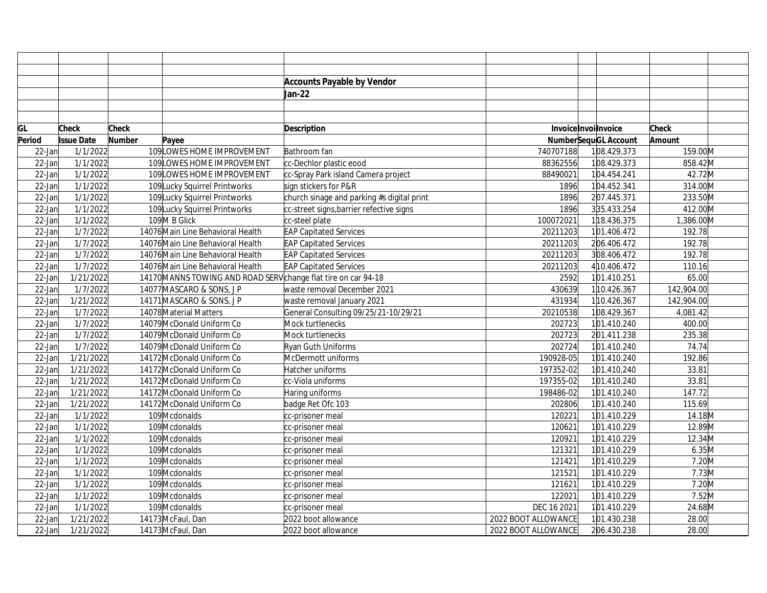|           |                   |               |                                                                | <b>Accounts Payable by Vendor</b>          |                      |                             |              |
|-----------|-------------------|---------------|----------------------------------------------------------------|--------------------------------------------|----------------------|-----------------------------|--------------|
|           |                   |               |                                                                | Jan-22                                     |                      |                             |              |
|           |                   |               |                                                                |                                            |                      |                             |              |
|           |                   |               |                                                                |                                            |                      |                             |              |
| GL        | Check             | <b>Check</b>  |                                                                | Description                                | Invoice Invoilnvoice |                             | <b>Check</b> |
| Period    | <b>Issue Date</b> | <b>Number</b> | Payee                                                          |                                            |                      | <b>NumberSequGL Account</b> | Amount       |
| 22-Jan    | 1/1/2022          |               | 109LOWES HOME IMPROVEMENT                                      | Bathroom fan                               | 740707188            | 108.429.373                 | 159.00M      |
| $22$ -Jan | 1/1/2022          |               | 109 LOWES HOME IMPROVEMENT                                     | cc-Dechlor plastic eood                    | 88362556             | 108.429.373                 | 858.42M      |
| 22-Jan    | 1/1/2022          |               | 109 LOWES HOME IMPROVEMENT                                     | cc-Spray Park island Camera project        | 88490021             | 104.454.241                 | 42.72M       |
| 22-Jan    | 1/1/2022          |               | 109 Lucky Squirrel Printworks                                  | sign stickers for P&R                      | 1896                 | 104.452.341                 | 314.00M      |
| 22-Jan    | 1/1/2022          |               | 109Lucky Squirrel Printworks                                   | church sinage and parking #s digital print | 1896                 | 207.445.371                 | 233.50M      |
| 22-Jan    | 1/1/2022          |               | 109Lucky Squirrel Printworks                                   | cc-street signs, barrier refective signs   | 1896                 | 335.433.254                 | 412.00M      |
| 22-Jan    | 1/1/2022          |               | 109M B Glick                                                   | cc-steel plate                             | 100072021            | 118.436.375                 | 1,386.00M    |
| 22-Jan    | 1/7/2022          |               | 14076 Main Line Behavioral Health                              | <b>EAP Capitated Services</b>              | 20211203             | 101.406.472                 | 192.78       |
| 22-Jan    | 1/7/2022          |               | 14076 Main Line Behavioral Health                              | <b>EAP Capitated Services</b>              | 20211203             | 206.406.472                 | 192.78       |
| 22-Jan    | 1/7/2022          |               | 14076 Main Line Behavioral Health                              | <b>EAP Capitated Services</b>              | 20211203             | 308.406.472                 | 192.78       |
| 22-Jan    | 1/7/2022          |               | 14076 Main Line Behavioral Health                              | <b>EAP Capitated Services</b>              | 20211203             | 4 10.406.472                | 110.16       |
| 22-Jan    | 1/21/2022         |               | 14170 MANNS TOWING AND ROAD SERV change flat tire on car 94-18 |                                            | 2592                 | 101.410.251                 | 65.00        |
| 22-Jan    | 1/7/2022          |               | 14077 MASCARO & SONS, J P                                      | waste removal December 2021                | 430639               | 110.426.367                 | 142,904.00   |
| 22-Jan    | 1/21/2022         |               | 14171 MASCARO & SONS, J P                                      | waste removal January 2021                 | 431934               | 110.426.367                 | 142,904.00   |
| 22-Jan    | 1/7/2022          |               | 14078 Material Matters                                         | General Consulting 09/25/21-10/29/21       | 20210538             | 108.429.367                 | 4,081.42     |
| 22-Jan    | 1/7/2022          |               | 14079 McDonald Uniform Co                                      | Mock turtlenecks                           | 202723               | 101.410.240                 | 400.00       |
| 22-Jan    | 1/7/2022          |               | 14079 McDonald Uniform Co                                      | Mock turtlenecks                           | 202723               | 201.411.238                 | 235.38       |
| 22-Jan    | 1/7/2022          |               | 14079 McDonald Uniform Co                                      | Ryan Guth Uniforms                         | 202724               | 101.410.240                 | 74.74        |
| 22-Jan    | 1/21/2022         |               | 14172 McDonald Uniform Co                                      | McDermott uniforms                         | 190928-05            | 101.410.240                 | 192.86       |
| 22-Jan    | 1/21/2022         |               | 14172 McDonald Uniform Co                                      | Hatcher uniforms                           | 197352-02            | 101.410.240                 | 33.81        |
| 22-Jan    | 1/21/2022         |               | 14172 McDonald Uniform Co                                      | cc-Viola uniforms                          | 197355-02            | 101.410.240                 | 33.81        |
| $22$ -Jan | 1/21/2022         |               | 14172 McDonald Uniform Co                                      | Haring uniforms                            | 198486-02            | 101.410.240                 | 147.72       |
| 22-Jan    | 1/21/2022         |               | 14172 McDonald Uniform Co                                      | badge Ret Ofc 103                          | 202806               | 101.410.240                 | 115.69       |
| 22-Jan    | 1/1/2022          |               | 109 Mcdonalds                                                  | cc-prisoner meal                           | 120221               | 101.410.229                 | 14.18M       |
| 22-Jan    | 1/1/2022          |               | 109 Mcdonalds                                                  | cc-prisoner meal                           | 120621               | 101.410.229                 | 12.89M       |
| 22-Jan    | 1/1/2022          |               | 109 Mcdonalds                                                  | cc-prisoner meal                           | 120921               | 101.410.229                 | 12.34M       |
| 22-Jan    | 1/1/2022          |               | 109 Mcdonalds                                                  | cc-prisoner meal                           | 121321               | 101.410.229                 | 6.35M        |
| 22-Jan    | 1/1/2022          |               | 109 Mcdonalds                                                  | cc-prisoner meal                           | 121421               | 101.410.229                 | $7.20$ M     |
| 22-Jan    | 1/1/2022          |               | 109 Mcdonalds                                                  | cc-prisoner meal                           | 121521               | 101.410.229                 | 7.73M        |
| 22-Jan    | 1/1/2022          |               | 109 Mcdonalds                                                  | cc-prisoner meal                           | 121621               | 101.410.229                 | $7.20$ M     |
| 22-Jan    | 1/1/2022          |               | 109 Mcdonalds                                                  | cc-prisoner meal                           | 122021               | 101.410.229                 | 7.52M        |
| 22-Jan    | 1/1/2022          |               | 109 Mcdonalds                                                  | cc-prisoner meal                           | DEC 16 2021          | 101.410.229                 | 24.68M       |
| 22-Jan    | 1/21/2022         |               | 14173 McFaul, Dan                                              | 2022 boot allowance                        | 2022 BOOT ALLOWANCE  | 101.430.238                 | 28.00        |
| $22$ -Jan | 1/21/2022         |               | 14173 McFaul, Dan                                              | 2022 boot allowance                        | 2022 BOOT ALLOWANCE  | 206.430.238                 | 28.00        |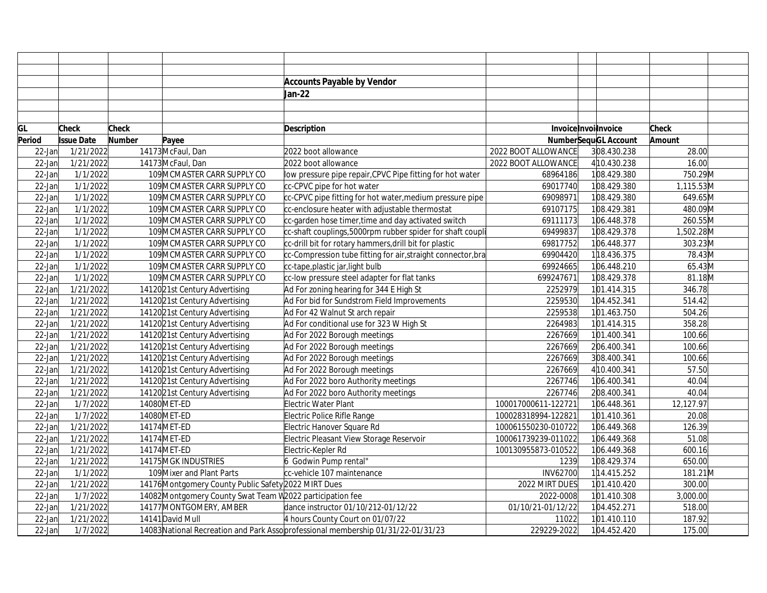|           |                   |               |                                                           | <b>Accounts Payable by Vendor</b>                                                 |                     |                             |              |
|-----------|-------------------|---------------|-----------------------------------------------------------|-----------------------------------------------------------------------------------|---------------------|-----------------------------|--------------|
|           |                   |               |                                                           | Jan-22                                                                            |                     |                             |              |
|           |                   |               |                                                           |                                                                                   |                     |                             |              |
|           |                   |               |                                                           |                                                                                   |                     |                             |              |
| GL        | <b>Check</b>      | <b>Check</b>  |                                                           | <b>Description</b>                                                                |                     | Invoice Invoilnvoice        | <b>Check</b> |
| Period    | <b>Issue Date</b> | <b>Number</b> | Payee                                                     |                                                                                   |                     | <b>NumberSequGL Account</b> | Amount       |
| $22$ -Jan | 1/21/2022         |               | 14173 McFaul, Dan                                         | 2022 boot allowance                                                               | 2022 BOOT ALLOWANCE | 308.430.238                 | 28.00        |
| $22$ -Jan | 1/21/2022         |               | 14173 McFaul, Dan                                         | 2022 boot allowance                                                               | 2022 BOOT ALLOWANCE | 4 10.430.238                | 16.00        |
| $22$ -Jan | 1/1/2022          |               | 109 MCMASTER CARR SUPPLY CO                               | low pressure pipe repair, CPVC Pipe fitting for hot water                         | 68964186            | 108.429.380                 | 750.29M      |
| $22$ -Jan | 1/1/2022          |               | 109 MCMASTER CARR SUPPLY CO                               | cc-CPVC pipe for hot water                                                        | 69017740            | 108.429.380                 | 1,115.53M    |
| $22$ -Jan | 1/1/2022          |               | 109 MCMASTER CARR SUPPLY CO                               | cc-CPVC pipe fitting for hot water, medium pressure pipe                          | 69098971            | 108.429.380                 | 649.65M      |
| $22$ -Jan | 1/1/2022          |               | 109 MCMASTER CARR SUPPLY CO                               | cc-enclosure heater with adjustable thermostat                                    | 69107175            | 108.429.381                 | 480.09M      |
| 22-Jan    | 1/1/2022          |               | 109 MCMASTER CARR SUPPLY CO                               | cc-garden hose timer, time and day activated switch                               | 69111173            | 106.448.378                 | 260.55M      |
| 22-Jan    | 1/1/2022          |               | 109 MCMASTER CARR SUPPLY CO                               | cc-shaft couplings, 5000rpm rubber spider for shaft coupli                        | 69499837            | 108.429.378                 | 1,502.28M    |
| $22$ -Jan | 1/1/2022          |               | 109 MCMASTER CARR SUPPLY CO                               | cc-drill bit for rotary hammers, drill bit for plastic                            | 69817752            | 106.448.377                 | 303.23M      |
| 22-Jan    | 1/1/2022          |               | 109 MCMASTER CARR SUPPLY CO                               | cc-Compression tube fitting for air, straight connector, bra                      | 69904420            | 118.436.375                 | 78.43M       |
| $22$ -Jan | 1/1/2022          |               | 109 MCMASTER CARR SUPPLY CO                               | cc-tape,plastic jar,light bulb                                                    | 69924665            | 106.448.210                 | 65.43M       |
| 22-Jan    | 1/1/2022          |               | 109 MCMASTER CARR SUPPLY CO                               | cc-low pressure steel adapter for flat tanks                                      | 699247671           | 108.429.378                 | 81.18M       |
| $22$ -Jan | 1/21/2022         |               | 1412021st Century Advertising                             | Ad For zoning hearing for 344 E High St                                           | 2252979             | 101.414.315                 | 346.78       |
| $22$ -Jan | 1/21/2022         |               | 1412021st Century Advertising                             | Ad For bid for Sundstrom Field Improvements                                       | 2259530             | 104.452.341                 | 514.42       |
| 22-Jan    | 1/21/2022         |               | 1412021st Century Advertising                             | Ad For 42 Walnut St arch repair                                                   | 2259538             | 101.463.750                 | 504.26       |
| 22-Jan    | 1/21/2022         |               | 1412021st Century Advertising                             | Ad For conditional use for 323 W High St                                          | 2264983             | 101.414.315                 | 358.28       |
| $22$ -Jan | 1/21/2022         |               | 1412021st Century Advertising                             | Ad For 2022 Borough meetings                                                      | 2267669             | 101.400.341                 | 100.66       |
| $22$ -Jan | 1/21/2022         |               | 1412021st Century Advertising                             | Ad For 2022 Borough meetings                                                      | 2267669             | 206.400.341                 | 100.66       |
| $22$ -Jan | 1/21/2022         |               | 1412021st Century Advertising                             | Ad For 2022 Borough meetings                                                      | 2267669             | 308.400.341                 | 100.66       |
| $22$ -Jan | 1/21/2022         |               | 1412021st Century Advertising                             | Ad For 2022 Borough meetings                                                      | 2267669             | 4 10.400.341                | 57.50        |
| $22$ -Jan | 1/21/2022         |               | 1412021st Century Advertising                             | Ad For 2022 boro Authority meetings                                               | 2267746             | 106.400.341                 | 40.04        |
| $22$ -Jan | 1/21/2022         |               | 1412021st Century Advertising                             | Ad For 2022 boro Authority meetings                                               | 2267746             | 208.400.341                 | 40.04        |
| $22$ -Jan | 1/7/2022          |               | 14080 MET-ED                                              | Electric Water Plant                                                              | 100017000611-122721 | 106.448.361                 | 12,127.97    |
| $22$ -Jan | 1/7/2022          |               | 14080 MET-ED                                              | Electric Police Rifle Range                                                       | 100028318994-122821 | 101.410.361                 | 20.08        |
| 22-Jan    | 1/21/2022         |               | 14174 MET-ED                                              | Electric Hanover Square Rd                                                        | 100061550230-010722 | 106.449.368                 | 126.39       |
| $22$ -Jan | 1/21/2022         |               | 14174 MET-ED                                              | Electric Pleasant View Storage Reservoir                                          | 100061739239-011022 | 106.449.368                 | 51.08        |
| $22$ -Jan | 1/21/2022         |               | 14174 MET-ED                                              | Electric-Kepler Rd                                                                | 100130955873-010522 | 106.449.368                 | 600.16       |
| $22$ -Jan | 1/21/2022         |               | 14175 MGK INDUSTRIES                                      | 6 Godwin Pump rental"                                                             | 1239                | 108.429.374                 | 650.00       |
| $22$ -Jan | 1/1/2022          |               | 109 Mixer and Plant Parts                                 | cc-vehicle 107 maintenance                                                        | <b>INV62700</b>     | 114.415.252                 | 181.21M      |
| $22$ -Jan | 1/21/2022         |               | 14176 Montgomery County Public Safety 2022 MIRT Dues      |                                                                                   | 2022 MIRT DUES      | 101.410.420                 | 300.00       |
| $22$ -Jan | 1/7/2022          |               | 14082 Montgomery County Swat Team W2022 participation fee |                                                                                   | 2022-0008           | 101.410.308                 | 3,000.00     |
| $22$ -Jan | 1/21/2022         |               | 14177 MONTGOMERY, AMBER                                   | dance instructor 01/10/212-01/12/22                                               | 01/10/21-01/12/22   | 104.452.271                 | 518.00       |
| 22-Jan    | 1/21/2022         |               | 14141 David Mull                                          | 4 hours County Court on 01/07/22                                                  | 11022               | 101.410.110                 | 187.92       |
| $22$ -Jan | 1/7/2022          |               |                                                           | 14083 National Recreation and Park Asso professional membership 01/31/22-01/31/23 | 229229-2022         | 104.452.420                 | 175.00       |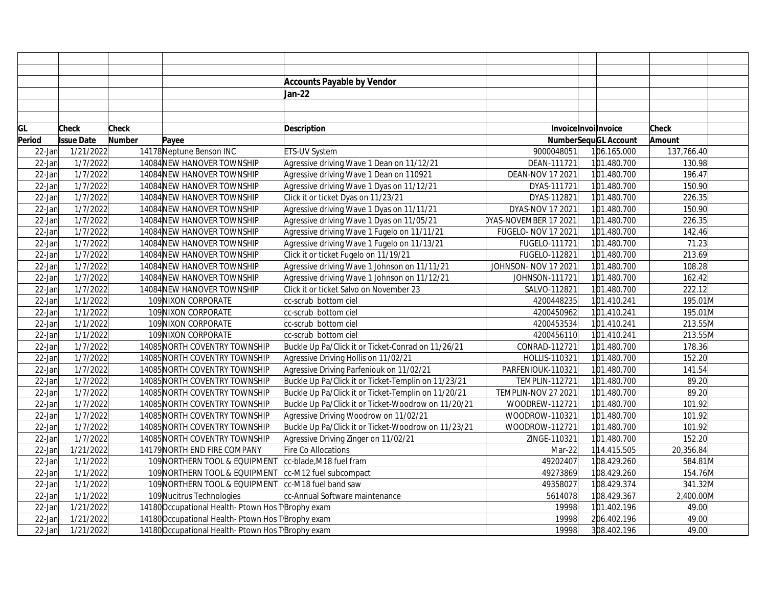|           |                   |               |                                                      | <b>Accounts Payable by Vendor</b>                   |                       |                             |              |
|-----------|-------------------|---------------|------------------------------------------------------|-----------------------------------------------------|-----------------------|-----------------------------|--------------|
|           |                   |               |                                                      | Jan-22                                              |                       |                             |              |
|           |                   |               |                                                      |                                                     |                       |                             |              |
|           |                   |               |                                                      |                                                     |                       |                             |              |
| GL        | <b>Check</b>      | <b>Check</b>  |                                                      | <b>Description</b>                                  |                       | Invoice Invoilnvoice        | <b>Check</b> |
| Period    | <b>Issue Date</b> | <b>Number</b> | Payee                                                |                                                     |                       | <b>NumberSequGL Account</b> | Amount       |
| $22$ -Jan | 1/21/2022         |               | 14178 Neptune Benson INC                             | ETS-UV System                                       | 9000048051            | 106.165.000                 | 137,766.40   |
| $22$ -Jan | 1/7/2022          |               | 14084 NEW HANOVER TOWNSHIP                           | Agressive driving Wave 1 Dean on 11/12/21           | DEAN-111721           | 101.480.700                 | 130.98       |
| 22-Jan    | 1/7/2022          |               | 14084 NEW HANOVER TOWNSHIP                           | Agressive driving Wave 1 Dean on 110921             | DEAN-NOV 17 2021      | 101.480.700                 | 196.47       |
| $22$ -Jan | 1/7/2022          |               | 14084 NEW HANOVER TOWNSHIP                           | Agressive driving Wave 1 Dyas on 11/12/21           | DYAS-111721           | 101.480.700                 | 150.90       |
| 22-Jan    | 1/7/2022          |               | 14084 NEW HANOVER TOWNSHIP                           | Click it or ticket Dyas on 11/23/21                 | DYAS-112821           | 101.480.700                 | 226.35       |
| 22-Jan    | 1/7/2022          |               | 14084 NEW HANOVER TOWNSHIP                           | Agressive driving Wave 1 Dyas on 11/11/21           | DYAS-NOV 17 2021      | 101.480.700                 | 150.90       |
| 22-Jan    | 1/7/2022          |               | 14084 NEW HANOVER TOWNSHIP                           | Agressive driving Wave 1 Dyas on 11/05/21           | DYAS-NOVEMBER 17 2021 | 101.480.700                 | 226.35       |
| 22-Jan    | 1/7/2022          |               | 14084 NEW HANOVER TOWNSHIP                           | Agressive driving Wave 1 Fugelo on 11/11/21         | FUGELO- NOV 17 2021   | 101.480.700                 | 142.46       |
| 22-Jan    | 1/7/2022          |               | 14084 NEW HANOVER TOWNSHIP                           | Agressive driving Wave 1 Fugelo on 11/13/21         | FUGELO-111721         | 101.480.700                 | 71.23        |
| 22-Jan    | 1/7/2022          |               | 14084 NEW HANOVER TOWNSHIP                           | Click it or ticket Fugelo on 11/19/21               | FUGELO-112821         | 101.480.700                 | 213.69       |
| 22-Jan    | 1/7/2022          |               | 14084NEW HANOVER TOWNSHIP                            | Agressive driving Wave 1 Johnson on 11/11/21        | JOHNSON- NOV 17 2021  | 101.480.700                 | 108.28       |
| 22-Jan    | 1/7/2022          |               | 14084 NEW HANOVER TOWNSHIP                           | Agressive driving Wave 1 Johnson on 11/12/21        | JOHNSON-111721        | 101.480.700                 | 162.42       |
| 22-Jan    | 1/7/2022          |               | 14084 NEW HANOVER TOWNSHIP                           | Click it or ticket Salvo on November 23             | SALVO-112821          | 101.480.700                 | 222.12       |
| $22$ -Jan | 1/1/2022          |               | 109 NIXON CORPORATE                                  | cc-scrub bottom ciel                                | 4200448235            | 101.410.241                 | 195.01M      |
| 22-Jan    | 1/1/2022          |               | 109 NIXON CORPORATE                                  | cc-scrub bottom ciel                                | 4200450962            | 101.410.241                 | 195.01M      |
| 22-Jan    | 1/1/2022          |               | 109 NIXON CORPORATE                                  | cc-scrub bottom ciel                                | 4200453534            | 101.410.241                 | 213.55M      |
| 22-Jan    | 1/1/2022          |               | 109 NIXON CORPORATE                                  | cc-scrub bottom ciel                                | 4200456110            | 101.410.241                 | 213.55M      |
| 22-Jan    | 1/7/2022          |               | 14085 NORTH COVENTRY TOWNSHIP                        | Buckle Up Pa/Click it or Ticket-Conrad on 11/26/21  | CONRAD-112721         | 101.480.700                 | 178.36       |
| $22$ -Jan | 1/7/2022          |               | 14085 NORTH COVENTRY TOWNSHIP                        | Agressive Driving Hollis on 11/02/21                | HOLLIS-110321         | 101.480.700                 | 152.20       |
| 22-Jan    | 1/7/2022          |               | 14085 NORTH COVENTRY TOWNSHIP                        | Agressive Driving Parfeniouk on 11/02/21            | PARFENIOUK-110321     | 101.480.700                 | 141.54       |
| 22-Jan    | 1/7/2022          |               | 14085 NORTH COVENTRY TOWNSHIP                        | Buckle Up Pa/Click it or Ticket-Templin on 11/23/21 | <b>TEMPLIN-112721</b> | 101.480.700                 | 89.20        |
| 22-Jan    | 1/7/2022          |               | 14085 NORTH COVENTRY TOWNSHIP                        | Buckle Up Pa/Click it or Ticket-Templin on 11/20/21 | TEMPLIN-NOV 27 2021   | 101.480.700                 | 89.20        |
| $22$ -Jan | 1/7/2022          |               | 14085 NORTH COVENTRY TOWNSHIP                        | Buckle Up Pa/Click it or Ticket-Woodrow on 11/20/21 | WOODREW-112721        | 101.480.700                 | 101.92       |
| 22-Jan    | 1/7/2022          |               | 14085 NORTH COVENTRY TOWNSHIP                        | Agressive Driving Woodrow on 11/02/21               | WOODROW-110321        | 101.480.700                 | 101.92       |
| 22-Jan    | 1/7/2022          |               | 14085 NORTH COVENTRY TOWNSHIP                        | Buckle Up Pa/Click it or Ticket-Woodrow on 11/23/21 | WOODROW-112721        | 101.480.700                 | 101.92       |
| $22$ -Jan | 1/7/2022          |               | 14085 NORTH COVENTRY TOWNSHIP                        | Agressive Driving Zinger on 11/02/21                | ZINGE-110321          | 101.480.700                 | 152.20       |
| $22$ -Jan | 1/21/2022         |               | 14179 NORTH END FIRE COMPANY                         | Fire Co Allocations                                 | Mar-22                | 114.415.505                 | 20,356.84    |
| $22$ -Jan | 1/1/2022          |               | 109NORTHERN TOOL & EQUIPMENT cc-blade, M18 fuel fram |                                                     | 49202407              | 108.429.260                 | 584.81M      |
| $22$ -Jan | 1/1/2022          |               | 109 NORTHERN TOOL & EQUIPMENT                        | cc-M12 fuel subcompact                              | 49273869              | 108.429.260                 | 154.76M      |
| 22-Jan    | 1/1/2022          |               | 109 NORTHERN TOOL & EQUIPMENT Cc-M18 fuel band saw   |                                                     | 49358027              | 108.429.374                 | 341.32M      |
| 22-Jan    | 1/1/2022          |               | 109 Nucitrus Technologies                            | cc-Annual Software maintenance                      | 5614078               | 108.429.367                 | 2,400.00M    |
| 22-Jan    | 1/21/2022         |               | 14180 Occupational Health-Ptown Hos T Brophy exam    |                                                     | 19998                 | 101.402.196                 | 49.00        |
| 22-Jan    | 1/21/2022         |               | 14180 Occupational Health-Ptown Hos T Brophy exam    |                                                     | 19998                 | 206.402.196                 | 49.00        |
| $22$ -Jan | 1/21/2022         |               | 14180 Occupational Health-Ptown Hos T Brophy exam    |                                                     | 19998                 | 308.402.196                 | 49.00        |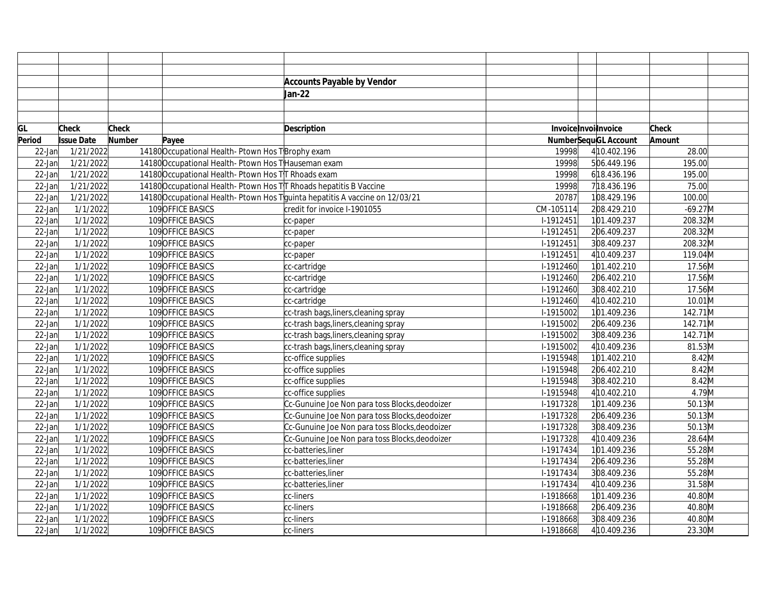|           |                   |               |                                                                   | <b>Accounts Payable by Vendor</b>                                           |           |                             |            |
|-----------|-------------------|---------------|-------------------------------------------------------------------|-----------------------------------------------------------------------------|-----------|-----------------------------|------------|
|           |                   |               |                                                                   | Jan-22                                                                      |           |                             |            |
|           |                   |               |                                                                   |                                                                             |           |                             |            |
|           |                   |               |                                                                   |                                                                             |           |                             |            |
| GL        | <b>Check</b>      | <b>Check</b>  |                                                                   | <b>Description</b>                                                          |           | Invoice Invoilnvoice        | Check      |
| Period    | <b>Issue Date</b> | <b>Number</b> | Payee                                                             |                                                                             |           | <b>NumberSequGL Account</b> | Amount     |
| $22$ -Jan | 1/21/2022         |               | 14180 Occupational Health-Ptown Hos T Brophy exam                 |                                                                             | 19998     | 4 10.402.196                | 28.00      |
| $22$ -Jan | 1/21/2022         |               | 14180 Occupational Health-Ptown Hos T Hauseman exam               |                                                                             | 19998     | 506.449.196                 | 195.00     |
| $22$ -Jan | 1/21/2022         |               | 14180 Occupational Health-Ptown Hos TT Rhoads exam                |                                                                             | 19998     | 618.436.196                 | 195.00     |
| $22$ -Jan | 1/21/2022         |               | 14180 Occupational Health-Ptown Hos TT Rhoads hepatitis B Vaccine |                                                                             | 19998     | 718.436.196                 | 75.00      |
| $22$ -Jan | 1/21/2022         |               |                                                                   | 14180 Occupational Health-Ptown Hos Tguinta hepatitis A vaccine on 12/03/21 | 20787     | 108.429.196                 | 100.00     |
| $22$ -Jan | 1/1/2022          |               | 109 OFFICE BASICS                                                 | credit for invoice I-1901055                                                | CM-105114 | 208.429.210                 | $-69.27$ M |
| 22-Jan    | 1/1/2022          |               | 109 OFFICE BASICS                                                 | cc-paper                                                                    | I-1912451 | 101.409.237                 | 208.32M    |
| 22-Jan    | 1/1/2022          |               | 109 OFFICE BASICS                                                 | cc-paper                                                                    | I-1912451 | 206.409.237                 | 208.32M    |
| $22$ -Jan | 1/1/2022          |               | 109 OFFICE BASICS                                                 | cc-paper                                                                    | I-1912451 | 308.409.237                 | 208.32M    |
| 22-Jan    | 1/1/2022          |               | 109 OFFICE BASICS                                                 | cc-paper                                                                    | I-1912451 | 4 10.409.237                | 119.04M    |
| $22$ -Jan | 1/1/2022          |               | 109 OFFICE BASICS                                                 | cc-cartridge                                                                | I-1912460 | 101.402.210                 | 17.56M     |
| 22-Jan    | 1/1/2022          |               | 109 OFFICE BASICS                                                 | cc-cartridge                                                                | I-1912460 | 206.402.210                 | 17.56M     |
| 22-Jan    | 1/1/2022          |               | 109 OFFICE BASICS                                                 | cc-cartridge                                                                | I-1912460 | 308.402.210                 | 17.56M     |
| $22$ -Jan | 1/1/2022          |               | 109 OFFICE BASICS                                                 | cc-cartridge                                                                | I-1912460 | 4 10.402.210                | 10.01M     |
| 22-Jan    | 1/1/2022          |               | 109 OFFICE BASICS                                                 | cc-trash bags, liners, cleaning spray                                       | I-1915002 | 101.409.236                 | 142.71M    |
| 22-Jan    | 1/1/2022          |               | 109 OFFICE BASICS                                                 | cc-trash bags, liners, cleaning spray                                       | I-1915002 | 206.409.236                 | 142.71M    |
| $22$ -Jan | 1/1/2022          |               | 109 OFFICE BASICS                                                 | cc-trash bags, liners, cleaning spray                                       | I-1915002 | 308.409.236                 | 142.71M    |
| 22-Jan    | 1/1/2022          |               | 109 OFFICE BASICS                                                 | cc-trash bags, liners, cleaning spray                                       | I-1915002 | 4 10.409.236                | 81.53M     |
| $22$ -Jan | 1/1/2022          |               | 109 OFFICE BASICS                                                 | cc-office supplies                                                          | I-1915948 | 101.402.210                 | $8.42$ M   |
| 22-Jan    | 1/1/2022          |               | 109 OFFICE BASICS                                                 | cc-office supplies                                                          | I-1915948 | 206.402.210                 | $8.42$ M   |
| 22-Jan    | 1/1/2022          |               | 109 OFFICE BASICS                                                 | cc-office supplies                                                          | I-1915948 | 308.402.210                 | $8.42$ M   |
| $22$ -Jan | 1/1/2022          |               | 109 OFFICE BASICS                                                 | cc-office supplies                                                          | I-1915948 | 4 10.402.210                | 4.79M      |
| 22-Jan    | 1/1/2022          |               | 109 OFFICE BASICS                                                 | Cc-Gunuine Joe Non para toss Blocks, deodoizer                              | I-1917328 | 101.409.236                 | $50.13$ M  |
| 22-Jan    | 1/1/2022          |               | 109 OFFICE BASICS                                                 | Cc-Gunuine Joe Non para toss Blocks, deodoizer                              | I-1917328 | 206.409.236                 | 50.13M     |
| 22-Jan    | 1/1/2022          |               | 109 OFFICE BASICS                                                 | Cc-Gunuine Joe Non para toss Blocks, deodoizer                              | I-1917328 | 308.409.236                 | $50.13$ M  |
| 22-Jan    | 1/1/2022          |               | 109 OFFICE BASICS                                                 | Cc-Gunuine Joe Non para toss Blocks, deodoizer                              | I-1917328 | 4 10.409.236                | 28.64M     |
| 22-Jan    | 1/1/2022          |               | 109 OFFICE BASICS                                                 | cc-batteries, liner                                                         | I-1917434 | 101.409.236                 | 55.28M     |
| 22-Jan    | 1/1/2022          |               | 109 OFFICE BASICS                                                 | cc-batteries, liner                                                         | I-1917434 | 206.409.236                 | 55.28M     |
| 22-Jan    | 1/1/2022          |               | 109 OFFICE BASICS                                                 | cc-batteries, liner                                                         | I-1917434 | 308.409.236                 | 55.28M     |
| 22-Jan    | 1/1/2022          |               | 109 OFFICE BASICS                                                 | cc-batteries, liner                                                         | I-1917434 | 4 10.409.236                | 31.58M     |
| 22-Jan    | 1/1/2022          |               | 109 OFFICE BASICS                                                 | cc-liners                                                                   | I-1918668 | 101.409.236                 | 40.80M     |
| 22-Jan    | 1/1/2022          |               | 109 OFFICE BASICS                                                 | cc-liners                                                                   | I-1918668 | 206.409.236                 | 40.80M     |
| 22-Jan    | 1/1/2022          |               | 109 OFFICE BASICS                                                 | cc-liners                                                                   | I-1918668 | 308.409.236                 | 40.80M     |
| $22$ -Jan | 1/1/2022          |               | 109 OFFICE BASICS                                                 | cc-liners                                                                   | I-1918668 | 4 10.409.236                | 23.30M     |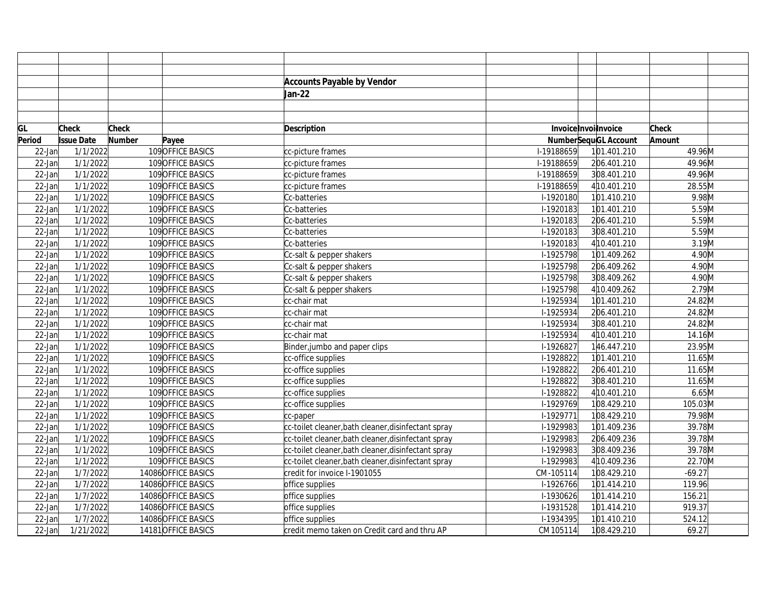|           |                   |               |                     | <b>Accounts Payable by Vendor</b>                   |            |                             |                     |  |
|-----------|-------------------|---------------|---------------------|-----------------------------------------------------|------------|-----------------------------|---------------------|--|
|           |                   |               |                     | Jan-22                                              |            |                             |                     |  |
|           |                   |               |                     |                                                     |            |                             |                     |  |
|           |                   |               |                     |                                                     |            |                             |                     |  |
| GL        | <b>Check</b>      | Check         |                     | <b>Description</b>                                  |            | InvoiceInvoilnvoice         | Check               |  |
| Period    | <b>Issue Date</b> | <b>Number</b> | Payee               |                                                     |            | <b>NumberSequGL Account</b> | Amount              |  |
| $22$ -Jan | 1/1/2022          |               | 109 OFFICE BASICS   | cc-picture frames                                   | I-19188659 | 101.401.210                 | 49.96M              |  |
| $22$ -Jan | 1/1/2022          |               | 109 OFFICE BASICS   | cc-picture frames                                   | I-19188659 | 206.401.210                 | 49.96M              |  |
| $22$ -Jan | 1/1/2022          |               | 109 OFFICE BASICS   | cc-picture frames                                   | I-19188659 | 308.401.210                 | 49.96M              |  |
| $22$ -Jan | 1/1/2022          |               | 109 OFFICE BASICS   | cc-picture frames                                   | I-19188659 | 4 10.401.210                | 28.55M              |  |
| $22$ -Jan | 1/1/2022          |               | 109 OFFICE BASICS   | Cc-batteries                                        | I-1920180  | 101.410.210                 | $9.98$ M            |  |
| $22$ -Jan | 1/1/2022          |               | 109OFFICE BASICS    | Cc-batteries                                        | I-1920183  | 101.401.210                 | 5.59M               |  |
| 22-Jan    | 1/1/2022          |               | 109OFFICE BASICS    | Cc-batteries                                        | I-1920183  | 206.401.210                 | 5.59M               |  |
| $22$ -Jan | 1/1/2022          |               | 109 OFFICE BASICS   | Cc-batteries                                        | I-1920183  | 308.401.210                 | 5.59M               |  |
| $22$ -Jan | 1/1/2022          |               | 109 OFFICE BASICS   | Cc-batteries                                        | I-1920183  | 410.401.210                 | 3.19M               |  |
| $22$ -Jan | 1/1/2022          |               | 109 OFFICE BASICS   | Cc-salt & pepper shakers                            | I-1925798  | 101.409.262                 | 4.90M               |  |
| $22$ -Jan | 1/1/2022          |               | 109 OFFICE BASICS   | Cc-salt & pepper shakers                            | I-1925798  | 206.409.262                 | 4.90M               |  |
| $22$ -Jan | 1/1/2022          |               | 109 OFFICE BASICS   | Cc-salt & pepper shakers                            | I-1925798  | 308.409.262                 | 4.90M               |  |
| $22$ -Jan | 1/1/2022          |               | 109 OFFICE BASICS   | Cc-salt & pepper shakers                            | I-1925798  | 4 10.409.262                | 2.79M               |  |
| $22$ -Jan | 1/1/2022          |               | 109 OFFICE BASICS   | cc-chair mat                                        | I-1925934  | 101.401.210                 | 24.82M              |  |
| $22$ -Jan | 1/1/2022          |               | 109 OFFICE BASICS   | cc-chair mat                                        | I-1925934  | 206.401.210                 | 24.82M              |  |
| 22-Jan    | 1/1/2022          |               | 109 OFFICE BASICS   | cc-chair mat                                        | I-1925934  | 308.401.210                 | 24.82M              |  |
| $22$ -Jan | 1/1/2022          |               | 109 OFFICE BASICS   | cc-chair mat                                        | I-1925934  | 4 10.401.210                | $14.16\overline{M}$ |  |
| $22$ -Jan | 1/1/2022          |               | 109 OFFICE BASICS   | Binder, jumbo and paper clips                       | I-1926827  | 146.447.210                 | 23.95M              |  |
| $22$ -Jan | 1/1/2022          |               | 109OFFICE BASICS    | cc-office supplies                                  | I-1928822  | 101.401.210                 | 11.65M              |  |
| $22$ -Jan | 1/1/2022          |               | 109 OFFICE BASICS   | cc-office supplies                                  | I-1928822  | 206.401.210                 | 11.65M              |  |
| $22$ -Jan | 1/1/2022          |               | 109 OFFICE BASICS   | cc-office supplies                                  | I-1928822  | 308.401.210                 | 11.65M              |  |
| $22$ -Jan | 1/1/2022          |               | 109 OFFICE BASICS   | cc-office supplies                                  | I-1928822  | 4 10.401.210                | 6.65M               |  |
| $22$ -Jan | 1/1/2022          |               | 109 OFFICE BASICS   | cc-office supplies                                  | I-1929769  | 108.429.210                 | 105.03M             |  |
| $22$ -Jan | 1/1/2022          |               | 109OFFICE BASICS    | cc-paper                                            | I-1929771  | 108.429.210                 | 79.98M              |  |
| 22-Jan    | 1/1/2022          |               | 109OFFICE BASICS    | cc-toilet cleaner, bath cleaner, disinfectant spray | I-1929983  | 101.409.236                 | 39.78M              |  |
| $22$ -Jan | 1/1/2022          |               | 109 OFFICE BASICS   | cc-toilet cleaner, bath cleaner, disinfectant spray | I-1929983  | 206.409.236                 | 39.78M              |  |
| $22$ -Jan | 1/1/2022          |               | 109 OFFICE BASICS   | cc-toilet cleaner, bath cleaner, disinfectant spray | I-1929983  | 308.409.236                 | 39.78M              |  |
| $22$ -Jan | 1/1/2022          |               | 109 OFFICE BASICS   | cc-toilet cleaner, bath cleaner, disinfectant spray | I-1929983  | 4 10.409.236                | 22.70M              |  |
| $22$ -Jan | 1/7/2022          |               | 14086 OFFICE BASICS | credit for invoice I-1901055                        | CM-105114  | 108.429.210                 | $-69.27$            |  |
| $22$ -Jan | 1/7/2022          |               | 14086 OFFICE BASICS | office supplies                                     | I-1926766  | 101.414.210                 | 119.96              |  |
| $22$ -Jan | 1/7/2022          |               | 14086 OFFICE BASICS | office supplies                                     | I-1930626  | 101.414.210                 | 156.21              |  |
| $22$ -Jan | 1/7/2022          |               | 14086 OFFICE BASICS | office supplies                                     | I-1931528  | 101.414.210                 | 919.37              |  |
| 22-Jan    | 1/7/2022          |               | 14086 OFFICE BASICS | office supplies                                     | I-1934395  | 101.410.210                 | 524.12              |  |
| $22$ -Jan | 1/21/2022         |               | 14181 OFFICE BASICS | credit memo taken on Credit card and thru AP        | CM105114   | 108.429.210                 | 69.27               |  |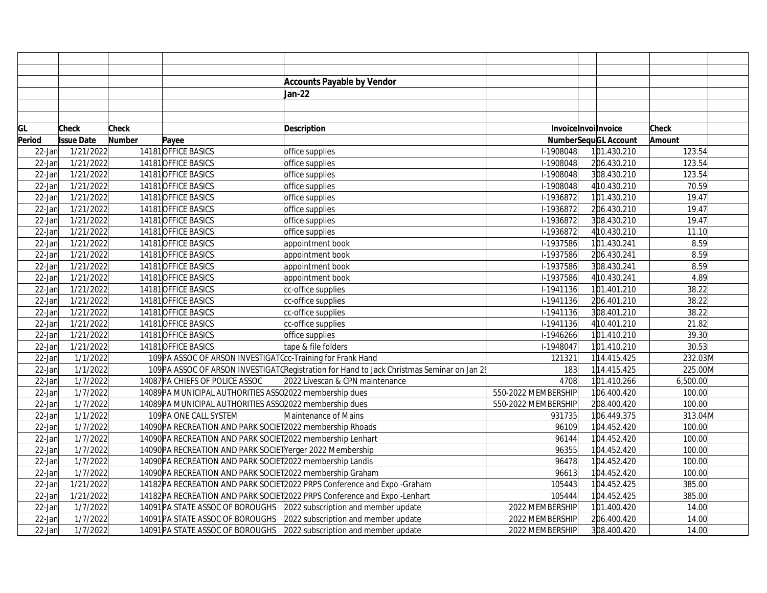|           |                   |        |                                                              | <b>Accounts Payable by Vendor</b>                                                          |                             |              |              |
|-----------|-------------------|--------|--------------------------------------------------------------|--------------------------------------------------------------------------------------------|-----------------------------|--------------|--------------|
|           |                   |        |                                                              | Jan-22                                                                                     |                             |              |              |
|           |                   |        |                                                              |                                                                                            |                             |              |              |
|           |                   |        |                                                              |                                                                                            |                             |              |              |
| GL        | <b>Check</b>      | Check  |                                                              | Description                                                                                | InvoiceInvoilnvoice         |              | <b>Check</b> |
| Period    | <b>Issue Date</b> | Number | Payee                                                        |                                                                                            | <b>NumberSequGL Account</b> |              | Amount       |
| 22-Jan    | 1/21/2022         |        | 14181 OFFICE BASICS                                          | office supplies                                                                            | I-1908048                   | 101.430.210  | 123.54       |
| $22$ -Jan | 1/21/2022         |        | 14181 OFFICE BASICS                                          | office supplies                                                                            | I-1908048                   | 206.430.210  | 123.54       |
| $22$ -Jan | 1/21/2022         |        | 14181 OFFICE BASICS                                          | office supplies                                                                            | I-1908048                   | 308.430.210  | 123.54       |
| $22$ -Jan | 1/21/2022         |        | 14181OFFICE BASICS                                           | office supplies                                                                            | I-1908048                   | 4 10.430.210 | 70.59        |
| $22$ -Jan | 1/21/2022         |        | 14181 OFFICE BASICS                                          | office supplies                                                                            | I-1936872                   | 101.430.210  | 19.47        |
| $22$ -Jan | 1/21/2022         |        | 14181 OFFICE BASICS                                          | office supplies                                                                            | I-1936872                   | 206.430.210  | 19.47        |
| $22$ -Jan | 1/21/2022         |        | 14181 OFFICE BASICS                                          | office supplies                                                                            | I-1936872                   | 308.430.210  | 19.47        |
| $22$ -Jan | 1/21/2022         |        | 14181 OFFICE BASICS                                          | office supplies                                                                            | I-1936872                   | 4 10.430.210 | 11.10        |
| $22$ -Jan | 1/21/2022         |        | 14181OFFICE BASICS                                           | appointment book                                                                           | I-1937586                   | 101.430.241  | 8.59         |
| $22$ -Jan | 1/21/2022         |        | 14181OFFICE BASICS                                           | appointment book                                                                           | I-1937586                   | 206.430.241  | 8.59         |
| $22$ -Jan | 1/21/2022         |        | 14181 OFFICE BASICS                                          | appointment book                                                                           | I-1937586                   | 308.430.241  | 8.59         |
| $22$ -Jan | 1/21/2022         |        | 14181 OFFICE BASICS                                          | appointment book                                                                           | I-1937586                   | 410.430.241  | 4.89         |
| $22$ -Jan | 1/21/2022         |        | 14181 OFFICE BASICS                                          | cc-office supplies                                                                         | I-1941136                   | 101.401.210  | 38.22        |
| $22$ -Jan | 1/21/2022         |        | 14181 OFFICE BASICS                                          | cc-office supplies                                                                         | I-1941136                   | 206.401.210  | 38.22        |
| $22$ -Jan | 1/21/2022         |        | 14181 OFFICE BASICS                                          | cc-office supplies                                                                         | I-1941136                   | 308.401.210  | 38.22        |
| $22$ -Jan | 1/21/2022         |        | 14181 OFFICE BASICS                                          | cc-office supplies                                                                         | I-1941136                   | 4 10.401.210 | 21.82        |
| $22$ -Jan | 1/21/2022         |        | 14181 OFFICE BASICS                                          | office supplies                                                                            | I-1946266                   | 101.410.210  | 39.30        |
| $22$ -Jan | 1/21/2022         |        | 14181 OFFICE BASICS                                          | tape & file folders                                                                        | I-1948047                   | 101.410.210  | 30.53        |
| $22$ -Jan | 1/1/2022          |        | 109 PA ASSOC OF ARSON INVESTIGAT Ccc-Training for Frank Hand |                                                                                            | 121321                      | 114.415.425  | 232.03M      |
| $22$ -Jan | 1/1/2022          |        |                                                              | 109 PA ASSOC OF ARSON INVESTIGAT (Registration for Hand to Jack Christmas Seminar on Jan 2 | 183                         | 114.415.425  | 225.00M      |
| 22-Jan    | 1/7/2022          |        | 14087 PA CHIEFS OF POLICE ASSOC                              | 2022 Livescan & CPN maintenance                                                            | 4708                        | 101.410.266  | 6,500.00     |
| $22$ -Jan | 1/7/2022          |        | 14089 PA MUNICIPAL AUTHORITIES ASSO 2022 membership dues     |                                                                                            | 550-2022 MEMBERSHIP         | 106.400.420  | 100.00       |
| $22$ -Jan | 1/7/2022          |        | 14089 PA MUNICIPAL AUTHORITIES ASSC 2022 membership dues     |                                                                                            | 550-2022 MEMBERSHIP         | 208.400.420  | 100.00       |
| $22$ -Jan | 1/1/2022          |        | 109 PA ONE CALL SYSTEM                                       | Maintenance of Mains                                                                       | 931735                      | 106.449.375  | 313.04M      |
| 22-Jan    | 1/7/2022          |        | 14090 PA RECREATION AND PARK SOCIET 2022 membership Rhoads   |                                                                                            | 96109                       | 104.452.420  | 100.00       |
| 22-Jan    | 1/7/2022          |        | 14090 PA RECREATION AND PARK SOCIET 2022 membership Lenhart  |                                                                                            | 96144                       | 104.452.420  | 100.00       |
| $22$ -Jan | 1/7/2022          |        | 14090 PA RECREATION AND PARK SOCIET Yerger 2022 Membership   |                                                                                            | 96355                       | 104.452.420  | 100.00       |
| $22$ -Jan | 1/7/2022          |        | 14090 PA RECREATION AND PARK SOCIET 2022 membership Landis   |                                                                                            | 96478                       | 104.452.420  | 100.00       |
| $22$ -Jan | 1/7/2022          |        | 14090 PA RECREATION AND PARK SOCIET 2022 membership Graham   |                                                                                            | 96613                       | 104.452.420  | 100.00       |
| $22$ -Jan | 1/21/2022         |        |                                                              | 14182 PA RECREATION AND PARK SOCIET 2022 PRPS Conference and Expo - Graham                 | 105443                      | 104.452.425  | 385.00       |
| $22$ -Jan | 1/21/2022         |        |                                                              | 14182 PA RECREATION AND PARK SOCIET 2022 PRPS Conference and Expo-Lenhart                  | 105444                      | 104.452.425  | 385.00       |
| $22$ -Jan | 1/7/2022          |        |                                                              | 14091 PA STATE ASSOC OF BOROUGHS 2022 subscription and member update                       | 2022 MEMBERSHIP             | 101.400.420  | 14.00        |
| 22-Jan    | 1/7/2022          |        |                                                              | 14091 PA STATE ASSOC OF BOROUGHS 2022 subscription and member update                       | 2022 MEMBERSHIP             | 206.400.420  | 14.00        |
| $22$ -Jan | 1/7/2022          |        |                                                              | 14091 PA STATE ASSOC OF BOROUGHS 2022 subscription and member update                       | 2022 MEMBERSHIP             | 308.400.420  | 14.00        |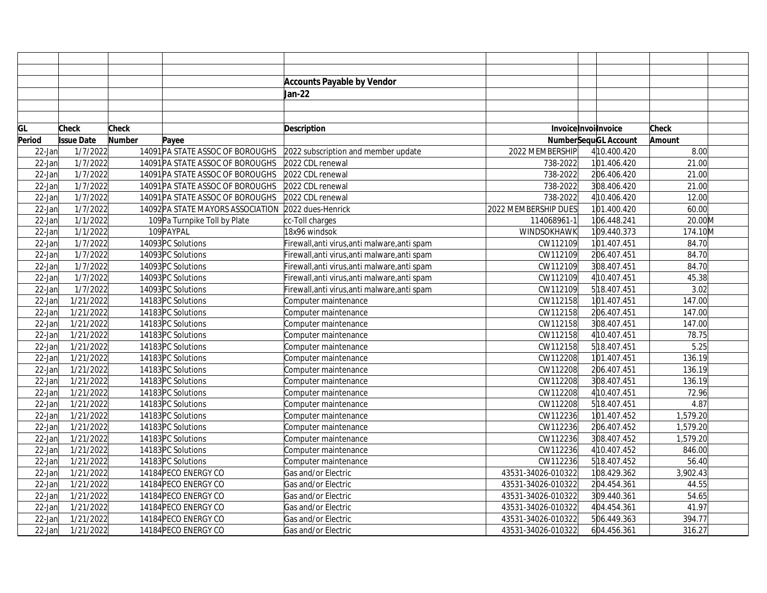|           |                   |               |                                   | <b>Accounts Payable by Vendor</b>             |                      |                             |              |  |
|-----------|-------------------|---------------|-----------------------------------|-----------------------------------------------|----------------------|-----------------------------|--------------|--|
|           |                   |               |                                   | Jan-22                                        |                      |                             |              |  |
|           |                   |               |                                   |                                               |                      |                             |              |  |
|           |                   |               |                                   |                                               |                      |                             |              |  |
| GL        | Check             | <b>Check</b>  |                                   | <b>Description</b>                            |                      | InvoiceInvoilnvoice         | <b>Check</b> |  |
| Period    | <b>Issue Date</b> | <b>Number</b> | Payee                             |                                               |                      | <b>NumberSequGL Account</b> | Amount       |  |
| $22$ -Jan | 1/7/2022          |               | 14091 PA STATE ASSOC OF BOROUGHS  | 2022 subscription and member update           | 2022 MEMBERSHIP      | 4 10.400.420                | 8.00         |  |
| $22$ -Jan | 1/7/2022          |               | 14091 PA STATE ASSOC OF BOROUGHS  | 2022 CDL renewal                              | 738-2022             | 101.406.420                 | 21.00        |  |
| $22$ -Jan | 1/7/2022          |               | 14091 PA STATE ASSOC OF BOROUGHS  | 2022 CDL renewal                              | 738-2022             | 206.406.420                 | 21.00        |  |
| $22$ -Jan | 1/7/2022          |               | 14091 PA STATE ASSOC OF BOROUGHS  | 2022 CDL renewal                              | 738-2022             | 308.406.420                 | 21.00        |  |
| $22$ -Jan | 1/7/2022          |               | 14091 PA STATE ASSOC OF BOROUGHS  | 2022 CDL renewal                              | 738-2022             | 410.406.420                 | 12.00        |  |
| $22$ -Jan | 1/7/2022          |               | 14092 PA STATE MAYORS ASSOCIATION | 2022 dues-Henrick                             | 2022 MEMBERSHIP DUES | 101.400.420                 | 60.00        |  |
| $22$ -Jan | 1/1/2022          |               | 109 Pa Turnpike Toll by Plate     | cc-Toll charges                               | 114068961-1          | 106.448.241                 | 20.00M       |  |
| $22$ -Jan | 1/1/2022          |               | 109 PAYPAL                        | 18x96 windsok                                 | WINDSOKHAWK          | 109.440.373                 | 174.10M      |  |
| $22$ -Jan | 1/7/2022          |               | 14093 PC Solutions                | Firewall, anti virus, anti malware, anti spam | CW112109             | 101.407.451                 | 84.70        |  |
| $22$ -Jan | 1/7/2022          |               | 14093 PC Solutions                | Firewall, anti virus, anti malware, anti spam | CW112109             | 206.407.451                 | 84.70        |  |
| $22$ -Jan | 1/7/2022          |               | 14093 PC Solutions                | Firewall, anti virus, anti malware, anti spam | CW112109             | 308.407.451                 | 84.70        |  |
| $22$ -Jan | 1/7/2022          |               | 14093 PC Solutions                | Firewall, anti virus, anti malware, anti spam | CW112109             | 4 10.407.451                | 45.38        |  |
| $22$ -Jan | 1/7/2022          |               | 14093 PC Solutions                | Firewall, anti virus, anti malware, anti spam | CW112109             | 518.407.451                 | 3.02         |  |
| $22$ -Jan | 1/21/2022         |               | 14183 PC Solutions                | Computer maintenance                          | CW112158             | 101.407.451                 | 147.00       |  |
| $22$ -Jan | 1/21/2022         |               | 14183 PC Solutions                | Computer maintenance                          | CW112158             | 206.407.451                 | 147.00       |  |
| $22$ -Jan | 1/21/2022         |               | 14183 PC Solutions                | Computer maintenance                          | CW112158             | 308.407.451                 | 147.00       |  |
| $22$ -Jan | 1/21/2022         |               | 14183 PC Solutions                | Computer maintenance                          | CW112158             | 4 10.407.451                | 78.75        |  |
| $22$ -Jan | 1/21/2022         |               | 14183 PC Solutions                | Computer maintenance                          | CW112158             | 518.407.451                 | 5.25         |  |
| $22$ -Jan | 1/21/2022         |               | 14183 PC Solutions                | Computer maintenance                          | CW112208             | 101.407.451                 | 136.19       |  |
| $22$ -Jan | 1/21/2022         |               | 14183 PC Solutions                | Computer maintenance                          | CW112208             | 206.407.451                 | 136.19       |  |
| $22$ -Jan | 1/21/2022         |               | 14183 PC Solutions                | Computer maintenance                          | CW112208             | 308.407.451                 | 136.19       |  |
| $22$ -Jan | 1/21/2022         |               | 14183 PC Solutions                | Computer maintenance                          | CW112208             | 4 10.407.451                | 72.96        |  |
| $22$ -Jan | 1/21/2022         |               | 14183 PC Solutions                | Computer maintenance                          | CW112208             | 518.407.451                 | 4.87         |  |
| $22$ -Jan | 1/21/2022         |               | 14183 PC Solutions                | Computer maintenance                          | CW112236             | 101.407.452                 | 1,579.20     |  |
| $22$ -Jan | 1/21/2022         |               | 14183 PC Solutions                | Computer maintenance                          | CW112236             | 206.407.452                 | 1,579.20     |  |
| $22$ -Jan | 1/21/2022         |               | 14183 PC Solutions                | Computer maintenance                          | CW112236             | 308.407.452                 | 1,579.20     |  |
| $22$ -Jan | 1/21/2022         |               | 14183 PC Solutions                | Computer maintenance                          | CW112236             | 4 10.407.452                | 846.00       |  |
| $22$ -Jan | 1/21/2022         |               | 14183 PC Solutions                | Computer maintenance                          | CW112236             | 5 18.407.452                | 56.40        |  |
| $22$ -Jan | 1/21/2022         |               | 14184 PECO ENERGY CO              | Gas and/or Electric                           | 43531-34026-010322   | 108.429.362                 | 3,902.43     |  |
| $22$ -Jan | 1/21/2022         |               | 14184 PECO ENERGY CO              | Gas and/or Electric                           | 43531-34026-010322   | 204.454.361                 | 44.55        |  |
| $22$ -Jan | 1/21/2022         |               | 14184 PECO ENERGY CO              | Gas and/or Electric                           | 43531-34026-010322   | 309.440.361                 | 54.65        |  |
| $22$ -Jan | 1/21/2022         |               | 14184 PECO ENERGY CO              | Gas and/or Electric                           | 43531-34026-010322   | 404.454.361                 | 41.97        |  |
| $22$ -Jan | 1/21/2022         |               | 14184 PECO ENERGY CO              | Gas and/or Electric                           | 43531-34026-010322   | 506.449.363                 | 394.77       |  |
| $22$ -Jan | 1/21/2022         |               | 14184 PECO ENERGY CO              | Gas and/or Electric                           | 43531-34026-010322   | 604.456.361                 | 316.27       |  |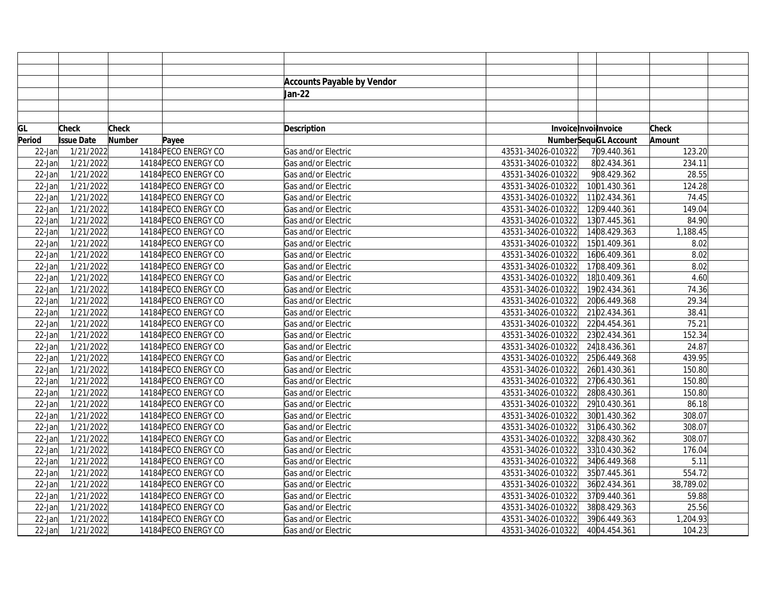|           |                   |               |                      | <b>Accounts Payable by Vendor</b> |                    |                             |              |
|-----------|-------------------|---------------|----------------------|-----------------------------------|--------------------|-----------------------------|--------------|
|           |                   |               |                      | Jan-22                            |                    |                             |              |
|           |                   |               |                      |                                   |                    |                             |              |
|           |                   |               |                      |                                   |                    |                             |              |
| GL        | Check             | <b>Check</b>  |                      | <b>Description</b>                |                    | Invoice Invoilnvoice        | <b>Check</b> |
| Period    | <b>Issue Date</b> | <b>Number</b> | Payee                |                                   |                    | <b>NumberSequGL Account</b> | Amount       |
| 22-Jan    | 1/21/2022         |               | 14184 PECO ENERGY CO | Gas and/or Electric               | 43531-34026-010322 | 709.440.361                 | 123.20       |
| 22-Jan    | 1/21/2022         |               | 14184 PECO ENERGY CO | Gas and/or Electric               | 43531-34026-010322 | 802.434.361                 | 234.11       |
| $22$ -Jan | 1/21/2022         |               | 14184 PECO ENERGY CO | Gas and/or Electric               | 43531-34026-010322 | 908.429.362                 | 28.55        |
| $22$ -Jan | 1/21/2022         |               | 14184 PECO ENERGY CO | Gas and/or Electric               | 43531-34026-010322 | 1001.430.361                | 124.28       |
| 22-Jan    | 1/21/2022         |               | 14184 PECO ENERGY CO | Gas and/or Electric               | 43531-34026-010322 | 1102.434.361                | 74.45        |
| 22-Jan    | 1/21/2022         |               | 14184 PECO ENERGY CO | Gas and/or Electric               | 43531-34026-010322 | 1209.440.361                | 149.04       |
| 22-Jan    | 1/21/2022         |               | 14184 PECO ENERGY CO | Gas and/or Electric               | 43531-34026-010322 | 1307.445.361                | 84.90        |
| $22$ -Jan | 1/21/2022         |               | 14184 PECO ENERGY CO | Gas and/or Electric               | 43531-34026-010322 | 1408.429.363                | 1,188.45     |
| $22$ -Jan | 1/21/2022         |               | 14184 PECO ENERGY CO | Gas and/or Electric               | 43531-34026-010322 | 1501.409.361                | 8.02         |
| 22-Jan    | 1/21/2022         |               | 14184 PECO ENERGY CO | Gas and/or Electric               | 43531-34026-010322 | 1606.409.361                | 8.02         |
| 22-Jan    | 1/21/2022         |               | 14184 PECO ENERGY CO | Gas and/or Electric               | 43531-34026-010322 | 1708.409.361                | 8.02         |
| 22-Jan    | 1/21/2022         |               | 14184 PECO ENERGY CO | Gas and/or Electric               | 43531-34026-010322 | 18 10.409.361               | 4.60         |
| 22-Jan    | 1/21/2022         |               | 14184 PECO ENERGY CO | Gas and/or Electric               | 43531-34026-010322 | 1902.434.361                | 74.36        |
| 22-Jan    | 1/21/2022         |               | 14184 PECO ENERGY CO | Gas and/or Electric               | 43531-34026-010322 | 2006.449.368                | 29.34        |
| 22-Jan    | 1/21/2022         |               | 14184 PECO ENERGY CO | Gas and/or Electric               | 43531-34026-010322 | 2102.434.361                | 38.41        |
| 22-Jan    | 1/21/2022         |               | 14184 PECO ENERGY CO | Gas and/or Electric               | 43531-34026-010322 | 2204.454.361                | 75.21        |
| $22$ -Jan | 1/21/2022         |               | 14184 PECO ENERGY CO | Gas and/or Electric               | 43531-34026-010322 | 2302.434.361                | 152.34       |
| $22$ -Jan | 1/21/2022         |               | 14184 PECO ENERGY CO | Gas and/or Electric               | 43531-34026-010322 | 24 18.436.361               | 24.87        |
| 22-Jan    | 1/21/2022         |               | 14184 PECO ENERGY CO | Gas and/or Electric               | 43531-34026-010322 | 2506.449.368                | 439.95       |
| 22-Jan    | 1/21/2022         |               | 14184 PECO ENERGY CO | Gas and/or Electric               | 43531-34026-010322 | 2601.430.361                | 150.80       |
| 22-Jan    | 1/21/2022         |               | 14184 PECO ENERGY CO | Gas and/or Electric               | 43531-34026-010322 | 2706.430.361                | 150.80       |
| 22-Jan    | 1/21/2022         |               | 14184 PECO ENERGY CO | Gas and/or Electric               | 43531-34026-010322 | 2808.430.361                | 150.80       |
| 22-Jan    | 1/21/2022         |               | 14184 PECO ENERGY CO | Gas and/or Electric               | 43531-34026-010322 | 29 10.430.361               | 86.18        |
| 22-Jan    | 1/21/2022         |               | 14184 PECO ENERGY CO | Gas and/or Electric               | 43531-34026-010322 | 3001.430.362                | 308.07       |
| 22-Jan    | 1/21/2022         |               | 14184 PECO ENERGY CO | Gas and/or Electric               | 43531-34026-010322 | 3106.430.362                | 308.07       |
| $22$ -Jan | 1/21/2022         |               | 14184 PECO ENERGY CO | Gas and/or Electric               | 43531-34026-010322 | 3208.430.362                | 308.07       |
| $22$ -Jan | 1/21/2022         |               | 14184 PECO ENERGY CO | Gas and/or Electric               | 43531-34026-010322 | 33 10.430.362               | 176.04       |
| 22-Jan    | 1/21/2022         |               | 14184 PECO ENERGY CO | Gas and/or Electric               | 43531-34026-010322 | 3406.449.368                | 5.11         |
| 22-Jan    | 1/21/2022         |               | 14184 PECO ENERGY CO | Gas and/or Electric               | 43531-34026-010322 | 3507.445.361                | 554.72       |
| 22-Jan    | 1/21/2022         |               | 14184 PECO ENERGY CO | Gas and/or Electric               | 43531-34026-010322 | 3602.434.361                | 38,789.02    |
| 22-Jan    | 1/21/2022         |               | 14184 PECO ENERGY CO | Gas and/or Electric               | 43531-34026-010322 | 3709.440.361                | 59.88        |
| 22-Jan    | 1/21/2022         |               | 14184 PECO ENERGY CO | Gas and/or Electric               | 43531-34026-010322 | 3808.429.363                | 25.56        |
| 22-Jan    | 1/21/2022         |               | 14184 PECO ENERGY CO | Gas and/or Electric               | 43531-34026-010322 | 3906.449.363                | 1,204.93     |
| $22$ -Jan | 1/21/2022         |               | 14184 PECO ENERGY CO | Gas and/or Electric               | 43531-34026-010322 | 4004.454.361                | 104.23       |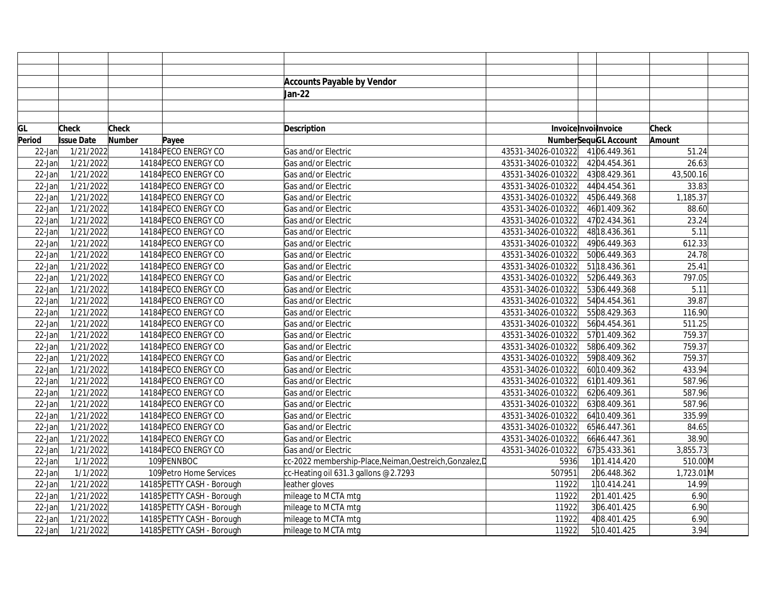|           |                   |              |                            | <b>Accounts Payable by Vendor</b>                        |                    |                             |              |  |
|-----------|-------------------|--------------|----------------------------|----------------------------------------------------------|--------------------|-----------------------------|--------------|--|
|           |                   |              |                            | Jan-22                                                   |                    |                             |              |  |
|           |                   |              |                            |                                                          |                    |                             |              |  |
|           |                   |              |                            |                                                          |                    |                             |              |  |
| GL        | <b>Check</b>      | <b>Check</b> |                            | <b>Description</b>                                       |                    | InvoiceInvoilnvoice         | <b>Check</b> |  |
| Period    | <b>Issue Date</b> | Number       | Payee                      |                                                          |                    | <b>NumberSequGL Account</b> | Amount       |  |
| $22$ -Jan | 1/21/2022         |              | 14184 PECO ENERGY CO       | Gas and/or Electric                                      | 43531-34026-010322 | 4106.449.361                | 51.24        |  |
| $22$ -Jan | 1/21/2022         |              | 14184 PECO ENERGY CO       | Gas and/or Electric                                      | 43531-34026-010322 | 4204.454.361                | 26.63        |  |
| $22$ -Jan | 1/21/2022         |              | 14184 PECO ENERGY CO       | Gas and/or Electric                                      | 43531-34026-010322 | 4308.429.361                | 43,500.16    |  |
| $22$ -Jan | 1/21/2022         |              | 14184 PECO ENERGY CO       | Gas and/or Electric                                      | 43531-34026-010322 | 4404.454.361                | 33.83        |  |
| $22$ -Jan | 1/21/2022         |              | 14184 PECO ENERGY CO       | Gas and/or Electric                                      | 43531-34026-010322 | 4506.449.368                | 1,185.37     |  |
| $22$ -Jan | 1/21/2022         |              | 14184 PECO ENERGY CO       | Gas and/or Electric                                      | 43531-34026-010322 | 4601.409.362                | 88.60        |  |
| $22$ -Jan | 1/21/2022         |              | 14184 PECO ENERGY CO       | Gas and/or Electric                                      | 43531-34026-010322 | 4702.434.361                | 23.24        |  |
| $22$ -Jan | 1/21/2022         |              | 14184 PECO ENERGY CO       | Gas and/or Electric                                      | 43531-34026-010322 | 48 18.436.361               | 5.11         |  |
| $22$ -Jan | 1/21/2022         |              | 14184 PECO ENERGY CO       | Gas and/or Electric                                      | 43531-34026-010322 | 4906.449.363                | 612.33       |  |
| $22$ -Jan | 1/21/2022         |              | 14184 PECO ENERGY CO       | Gas and/or Electric                                      | 43531-34026-010322 | 5006.449.363                | 24.78        |  |
| $22$ -Jan | 1/21/2022         |              | 14184 PECO ENERGY CO       | Gas and/or Electric                                      | 43531-34026-010322 | 51 18.436.361               | 25.41        |  |
| $22$ -Jan | 1/21/2022         |              | 14184 PECO ENERGY CO       | Gas and/or Electric                                      | 43531-34026-010322 | 5206.449.363                | 797.05       |  |
| $22$ -Jan | 1/21/2022         |              | 14184 PECO ENERGY CO       | Gas and/or Electric                                      | 43531-34026-010322 | 5306.449.368                | 5.11         |  |
| $22$ -Jan | 1/21/2022         |              | 14184 PECO ENERGY CO       | Gas and/or Electric                                      | 43531-34026-010322 | 5404.454.361                | 39.87        |  |
| $22$ -Jan | 1/21/2022         |              | 14184 PECO ENERGY CO       | Gas and/or Electric                                      | 43531-34026-010322 | 5508.429.363                | 116.90       |  |
| $22$ -Jan | 1/21/2022         |              | 14184 PECO ENERGY CO       | Gas and/or Electric                                      | 43531-34026-010322 | 5604.454.361                | 511.25       |  |
| $22$ -Jan | 1/21/2022         |              | 14184 PECO ENERGY CO       | Gas and/or Electric                                      | 43531-34026-010322 | 5701.409.362                | 759.37       |  |
| $22$ -Jan | 1/21/2022         |              | 14184 PECO ENERGY CO       | Gas and/or Electric                                      | 43531-34026-010322 | 5806.409.362                | 759.37       |  |
| $22$ -Jan | 1/21/2022         |              | 14184 PECO ENERGY CO       | Gas and/or Electric                                      | 43531-34026-010322 | 5908.409.362                | 759.37       |  |
| $22$ -Jan | 1/21/2022         |              | 14184 PECO ENERGY CO       | Gas and/or Electric                                      | 43531-34026-010322 | 60 10.409.362               | 433.94       |  |
| $22$ -Jan | 1/21/2022         |              | 14184 PECO ENERGY CO       | Gas and/or Electric                                      | 43531-34026-010322 | 6101.409.361                | 587.96       |  |
| $22$ -Jan | 1/21/2022         |              | 14184 PECO ENERGY CO       | Gas and/or Electric                                      | 43531-34026-010322 | 6206.409.361                | 587.96       |  |
| $22$ -Jan | 1/21/2022         |              | 14184 PECO ENERGY CO       | Gas and/or Electric                                      | 43531-34026-010322 | 6308.409.361                | 587.96       |  |
| $22$ -Jan | 1/21/2022         |              | 14184 PECO ENERGY CO       | Gas and/or Electric                                      | 43531-34026-010322 | 64 10.409.361               | 335.99       |  |
| $22$ -Jan | 1/21/2022         |              | 14184 PECO ENERGY CO       | Gas and/or Electric                                      | 43531-34026-010322 | 6546.447.361                | 84.65        |  |
| $22$ -Jan | 1/21/2022         |              | 14184 PECO ENERGY CO       | Gas and/or Electric                                      | 43531-34026-010322 | 6646.447.361                | 38.90        |  |
| $22$ -Jan | 1/21/2022         |              | 14184 PECO ENERGY CO       | Gas and/or Electric                                      | 43531-34026-010322 | 6735.433.361                | 3,855.73     |  |
| $22$ -Jan | 1/1/2022          |              | 109 PENNBOC                | cc-2022 membership-Place, Neiman, Oestreich, Gonzalez, D | 5936               | 101.414.420                 | 510.00M      |  |
| $22$ -Jan | 1/1/2022          |              | 109 Petro Home Services    | cc-Heating oil 631.3 gallons @2.7293                     | 507951             | 206.448.362                 | 1,723.01M    |  |
| $22$ -Jan | 1/21/2022         |              | 14185 PETTY CASH - Borough | leather gloves                                           | 11922              | 110.414.241                 | 14.99        |  |
| $22$ -Jan | 1/21/2022         |              | 14185 PETTY CASH - Borough | mileage to MCTA mtg                                      | 11922              | 201.401.425                 | 6.90         |  |
| $22$ -Jan | 1/21/2022         |              | 14185 PETTY CASH - Borough | mileage to MCTA mtg                                      | 11922              | 306.401.425                 | 6.90         |  |
| $22$ -Jan | 1/21/2022         |              | 14185 PETTY CASH - Borough | mileage to MCTA mtg                                      | 11922              | 408.401.425                 | 6.90         |  |
| $22$ -Jan | 1/21/2022         |              | 14185 PETTY CASH - Borough | mileage to MCTA mtg                                      | 11922              | 510.401.425                 | 3.94         |  |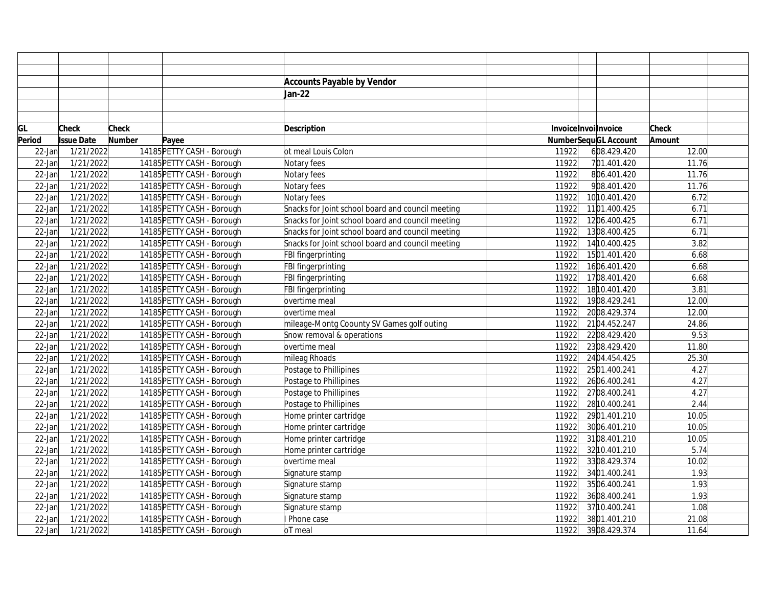|           |                   |        |                            | <b>Accounts Payable by Vendor</b>                 |                     |                             |              |
|-----------|-------------------|--------|----------------------------|---------------------------------------------------|---------------------|-----------------------------|--------------|
|           |                   |        |                            | Jan-22                                            |                     |                             |              |
|           |                   |        |                            |                                                   |                     |                             |              |
|           |                   |        |                            |                                                   |                     |                             |              |
| GL        | Check             | Check  |                            | <b>Description</b>                                | InvoiceInvoilnvoice |                             | <b>Check</b> |
| Period    | <b>Issue Date</b> | Number | Payee                      |                                                   |                     | <b>NumberSequGL Account</b> | Amount       |
| $22$ -Jan | 1/21/2022         |        | 14185 PETTY CASH - Borough | ot meal Louis Colon                               | 11922               | 608.429.420                 | 12.00        |
| $22$ -Jan | 1/21/2022         |        | 14185 PETTY CASH - Borough | Notary fees                                       | 11922               | 701.401.420                 | 11.76        |
| $22$ -Jan | 1/21/2022         |        | 14185 PETTY CASH - Borough | Notary fees                                       | 11922               | 806.401.420                 | 11.76        |
| $22$ -Jan | 1/21/2022         |        | 14185 PETTY CASH - Borough | Notary fees                                       | 11922               | 908.401.420                 | 11.76        |
| $22$ -Jan | 1/21/2022         |        | 14185 PETTY CASH - Borough | Notary fees                                       | 11922               | 10 10.401.420               | 6.72         |
| $22$ -Jan | 1/21/2022         |        | 14185 PETTY CASH - Borough | Snacks for Joint school board and council meeting | 11922               | 1101.400.425                | 6.71         |
| $22$ -Jan | 1/21/2022         |        | 14185 PETTY CASH - Borough | Snacks for Joint school board and council meeting | 11922               | 1206.400.425                | 6.71         |
| $22$ -Jan | 1/21/2022         |        | 14185 PETTY CASH - Borough | Snacks for Joint school board and council meeting | 11922               | 1308.400.425                | 6.71         |
| $22$ -Jan | 1/21/2022         |        | 14185 PETTY CASH - Borough | Snacks for Joint school board and council meeting | 11922               | 14 10.400.425               | 3.82         |
| $22$ -Jan | 1/21/2022         |        | 14185 PETTY CASH - Borough | FBI fingerprinting                                | 11922               | 1501.401.420                | 6.68         |
| $22$ -Jan | 1/21/2022         |        | 14185 PETTY CASH - Borough | FBI fingerprinting                                | 11922               | 1606.401.420                | 6.68         |
| $22$ -Jan | 1/21/2022         |        | 14185 PETTY CASH - Borough | FBI fingerprinting                                | 11922               | 1708.401.420                | 6.68         |
| $22$ -Jan | 1/21/2022         |        | 14185 PETTY CASH - Borough | FBI fingerprinting                                | 11922               | 1810.401.420                | 3.81         |
| $22$ -Jan | 1/21/2022         |        | 14185 PETTY CASH - Borough | overtime meal                                     | 11922               | 1908.429.241                | 12.00        |
| $22$ -Jan | 1/21/2022         |        | 14185 PETTY CASH - Borough | overtime meal                                     | 11922               | 2008.429.374                | 12.00        |
| $22$ -Jan | 1/21/2022         |        | 14185 PETTY CASH - Borough | mileage-Montg Coounty SV Games golf outing        | 11922               | 2104.452.247                | 24.86        |
| $22$ -Jan | 1/21/2022         |        | 14185 PETTY CASH - Borough | Snow removal & operations                         | 11922               | 2208.429.420                | 9.53         |
| $22$ -Jan | 1/21/2022         |        | 14185 PETTY CASH - Borough | overtime meal                                     | 11922               | 2308.429.420                | 11.80        |
| $22$ -Jan | 1/21/2022         |        | 14185 PETTY CASH - Borough | mileag Rhoads                                     | 11922               | 2404.454.425                | 25.30        |
| $22$ -Jan | 1/21/2022         |        | 14185 PETTY CASH - Borough | Postage to Phillipines                            | 11922               | 2501.400.241                | 4.27         |
| $22$ -Jan | 1/21/2022         |        | 14185 PETTY CASH - Borough | Postage to Phillipines                            | 11922               | 2606.400.241                | 4.27         |
| $22$ -Jan | 1/21/2022         |        | 14185 PETTY CASH - Borough | Postage to Phillipines                            | 11922               | 2708.400.241                | 4.27         |
| $22$ -Jan | 1/21/2022         |        | 14185 PETTY CASH - Borough | Postage to Phillipines                            | 11922               | 28 10.400.241               | 2.44         |
| $22$ -Jan | 1/21/2022         |        | 14185 PETTY CASH - Borough | Home printer cartridge                            | 11922               | 2901.401.210                | 10.05        |
| $22$ -Jan | 1/21/2022         |        | 14185 PETTY CASH - Borough | Home printer cartridge                            | 11922               | 3006.401.210                | 10.05        |
| $22$ -Jan | 1/21/2022         |        | 14185 PETTY CASH - Borough | Home printer cartridge                            | 11922               | 3108.401.210                | 10.05        |
| $22$ -Jan | 1/21/2022         |        | 14185 PETTY CASH - Borough | Home printer cartridge                            | 11922               | 32 10.401.210               | 5.74         |
| $22$ -Jan | 1/21/2022         |        | 14185 PETTY CASH - Borough | overtime meal                                     | 11922               | 3308.429.374                | 10.02        |
| $22$ -Jan | 1/21/2022         |        | 14185 PETTY CASH - Borough | Signature stamp                                   | 11922               | 3401.400.241                | 1.93         |
| $22$ -Jan | 1/21/2022         |        | 14185 PETTY CASH - Borough | Signature stamp                                   | 11922               | 3506.400.241                | 1.93         |
| $22$ -Jan | 1/21/2022         |        | 14185 PETTY CASH - Borough | Signature stamp                                   | 11922               | 3608.400.241                | 1.93         |
| $22$ -Jan | 1/21/2022         |        | 14185 PETTY CASH - Borough | Signature stamp                                   | 11922               | 37 10.400.241               | 1.08         |
| $22$ -Jan | 1/21/2022         |        | 14185 PETTY CASH - Borough | Phone case                                        | 11922               | 3801.401.210                | 21.08        |
| $22$ -Jan | 1/21/2022         |        | 14185 PETTY CASH - Borough | oT meal                                           | 11922               | 3908.429.374                | 11.64        |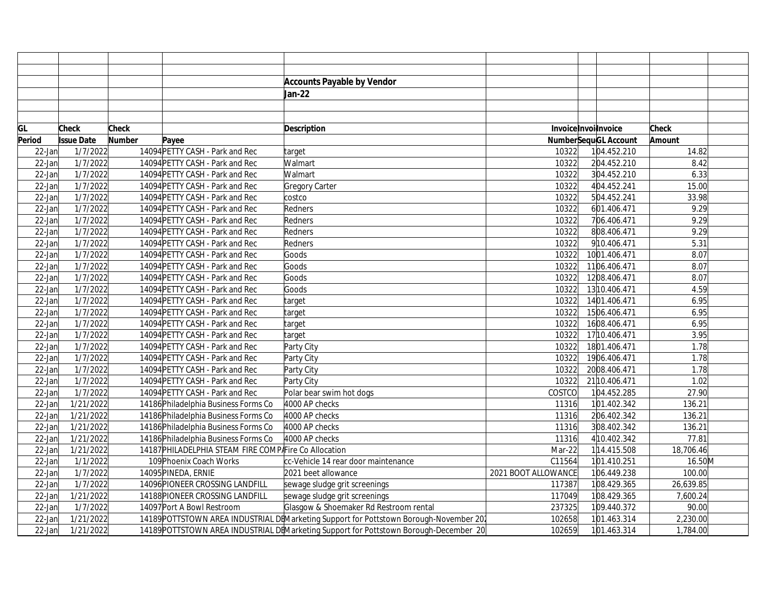|        |                   |               |                                                       | <b>Accounts Payable by Vendor</b>                                                      |                     |                      |               |  |
|--------|-------------------|---------------|-------------------------------------------------------|----------------------------------------------------------------------------------------|---------------------|----------------------|---------------|--|
|        |                   |               |                                                       | Jan-22                                                                                 |                     |                      |               |  |
|        |                   |               |                                                       |                                                                                        |                     |                      |               |  |
|        |                   |               |                                                       |                                                                                        |                     |                      |               |  |
| GL     | <b>Check</b>      | Check         |                                                       | Description                                                                            |                     | InvoiceInvoilnvoice  | <b>Check</b>  |  |
| Period | <b>Issue Date</b> | <b>Number</b> | Payee                                                 |                                                                                        |                     | NumberSequGL Account | <b>Amount</b> |  |
| 22-Jan | 1/7/2022          |               | 14094 PETTY CASH - Park and Rec                       | target                                                                                 | 10322               | 104.452.210          | 14.82         |  |
| 22-Jan | 1/7/2022          |               | 14094 PETTY CASH - Park and Rec                       | Walmart                                                                                | 10322               | 204.452.210          | 8.42          |  |
| 22-Jan | 1/7/2022          |               | 14094 PETTY CASH - Park and Rec                       | Walmart                                                                                | 10322               | 304.452.210          | 6.33          |  |
| 22-Jan | 1/7/2022          |               | 14094 PETTY CASH - Park and Rec                       | Gregory Carter                                                                         | 10322               | 404.452.241          | 15.00         |  |
| 22-Jan | 1/7/2022          |               | 14094 PETTY CASH - Park and Rec                       | costco                                                                                 | 10322               | 504.452.241          | 33.98         |  |
| 22-Jan | 1/7/2022          |               | 14094 PETTY CASH - Park and Rec                       | Redners                                                                                | 10322               | 601.406.471          | 9.29          |  |
| 22-Jan | 1/7/2022          |               | 14094 PETTY CASH - Park and Rec                       | Redners                                                                                | 10322               | 706.406.471          | 9.29          |  |
| 22-Jan | 1/7/2022          |               | 14094 PETTY CASH - Park and Rec                       | Redners                                                                                | 10322               | 808.406.471          | 9.29          |  |
| 22-Jan | 1/7/2022          |               | 14094 PETTY CASH - Park and Rec                       | Redners                                                                                | 10322               | 910.406.471          | 5.31          |  |
| 22-Jan | 1/7/2022          |               | 14094 PETTY CASH - Park and Rec                       | Goods                                                                                  | 10322               | 1001.406.471         | 8.07          |  |
| 22-Jan | 1/7/2022          |               | 14094 PETTY CASH - Park and Rec                       | Goods                                                                                  | 10322               | 1106.406.471         | 8.07          |  |
| 22-Jan | 1/7/2022          |               | 14094 PETTY CASH - Park and Rec                       | Goods                                                                                  | 10322               | 1208.406.471         | 8.07          |  |
| 22-Jan | 1/7/2022          |               | 14094 PETTY CASH - Park and Rec                       | Goods                                                                                  | 10322               | 13 10.406.471        | 4.59          |  |
| 22-Jan | 1/7/2022          |               | 14094 PETTY CASH - Park and Rec                       | target                                                                                 | 10322               | 1401.406.471         | 6.95          |  |
| 22-Jan | 1/7/2022          |               | 14094 PETTY CASH - Park and Rec                       | target                                                                                 | 10322               | 1506.406.471         | 6.95          |  |
| 22-Jan | 1/7/2022          |               | 14094 PETTY CASH - Park and Rec                       | target                                                                                 | 10322               | 1608.406.471         | 6.95          |  |
| 22-Jan | 1/7/2022          |               | 14094 PETTY CASH - Park and Rec                       | target                                                                                 | 10322               | 17 10.406.471        | 3.95          |  |
| 22-Jan | 1/7/2022          |               | 14094 PETTY CASH - Park and Rec                       | Party City                                                                             | 10322               | 1801.406.471         | 1.78          |  |
| 22-Jan | 1/7/2022          |               | 14094 PETTY CASH - Park and Rec                       | Party City                                                                             | 10322               | 1906.406.471         | 1.78          |  |
| 22-Jan | 1/7/2022          |               | 14094 PETTY CASH - Park and Rec                       | Party City                                                                             | 10322               | 2008.406.471         | 1.78          |  |
| 22-Jan | 1/7/2022          |               | 14094 PETTY CASH - Park and Rec                       | Party City                                                                             | 10322               | 21 10.406.471        | 1.02          |  |
| 22-Jan | 1/7/2022          |               | 14094 PETTY CASH - Park and Rec                       | Polar bear swim hot dogs                                                               | COSTCO              | 104.452.285          | 27.90         |  |
| 22-Jan | 1/21/2022         |               | 14186 Philadelphia Business Forms Co                  | 4000 AP checks                                                                         | 11316               | 101.402.342          | 136.21        |  |
| 22-Jan | 1/21/2022         |               | 14186 Philadelphia Business Forms Co                  | 4000 AP checks                                                                         | 11316               | 206.402.342          | 136.21        |  |
| 22-Jar | 1/21/2022         |               | 14186 Philadelphia Business Forms Co                  | 4000 AP checks                                                                         | 11316               | 308.402.342          | 136.21        |  |
| 22-Jar | 1/21/2022         |               | 14186 Philadelphia Business Forms Co                  | 4000 AP checks                                                                         | 11316               | 4 10.402.342         | 77.81         |  |
| 22-Jan | 1/21/2022         |               | 14187 PHILADELPHIA STEAM FIRE COMP Fire Co Allocation |                                                                                        | Mar-22              | 114.415.508          | 18,706.46     |  |
| 22-Jan | 1/1/2022          |               | 109 Phoenix Coach Works                               | cc-Vehicle 14 rear door maintenance                                                    | C11564              | 101.410.251          | 16.50M        |  |
| 22-Jan | 1/7/2022          |               | 14095 PINEDA, ERNIE                                   | 2021 beet allowance                                                                    | 2021 BOOT ALLOWANCE | 106.449.238          | 100.00        |  |
| 22-Jan | 1/7/2022          |               | 14096 PIONEER CROSSING LANDFILL                       | sewage sludge grit screenings                                                          | 117387              | 108.429.365          | 26,639.85     |  |
| 22-Jan | 1/21/2022         |               | 14188 PIONEER CROSSING LANDFILL                       | sewage sludge grit screenings                                                          | 117049              | 108.429.365          | 7,600.24      |  |
| 22-Jan | 1/7/2022          |               | 14097 Port A Bowl Restroom                            | Glasgow & Shoemaker Rd Restroom rental                                                 | 237325              | 109.440.372          | 90.00         |  |
| 22-Jar | 1/21/2022         |               |                                                       | 14189 POTTSTOWN AREA INDUSTRIAL DEMarketing Support for Pottstown Borough-November 202 | 102658              | 101.463.314          | 2,230.00      |  |
| 22-Jan | 1/21/2022         |               |                                                       | 14189 POTTSTOWN AREA INDUSTRIAL DEMarketing Support for Pottstown Borough-December 20  | 102659              | 101.463.314          | 1,784.00      |  |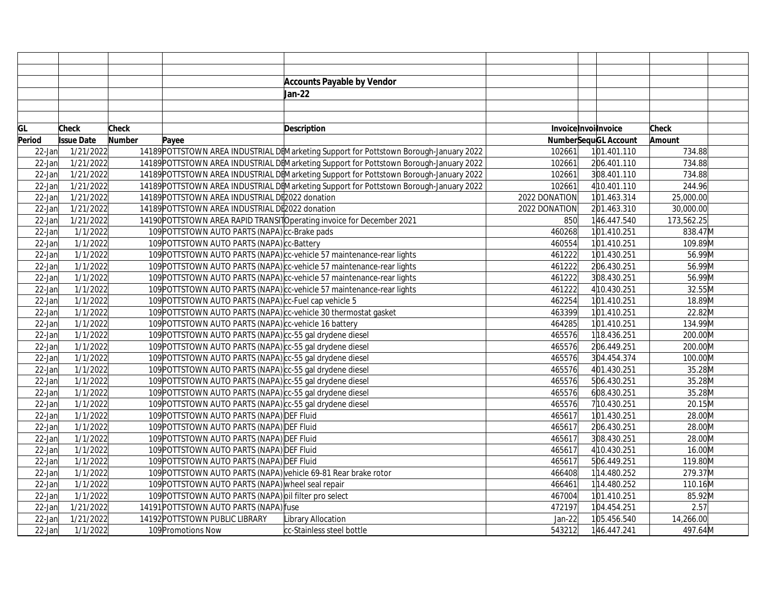|           |                   |               |                                                                | <b>Accounts Payable by Vendor</b>                                                      |               |                      |              |  |
|-----------|-------------------|---------------|----------------------------------------------------------------|----------------------------------------------------------------------------------------|---------------|----------------------|--------------|--|
|           |                   |               |                                                                | Jan-22                                                                                 |               |                      |              |  |
|           |                   |               |                                                                |                                                                                        |               |                      |              |  |
|           |                   |               |                                                                |                                                                                        |               |                      |              |  |
| GL        | <b>Check</b>      | <b>Check</b>  |                                                                | Description                                                                            |               | InvoiceInvoilnvoice  | <b>Check</b> |  |
| Period    | <b>Issue Date</b> | <b>Number</b> | Payee                                                          |                                                                                        |               | NumberSequGL Account | Amount       |  |
| $22$ -Jan | 1/21/2022         |               |                                                                | 14189 POTTSTOWN AREA INDUSTRIAL DEMarketing Support for Pottstown Borough-January 2022 | 102661        | 101.401.110          | 734.88       |  |
| $22$ -Jan | 1/21/2022         |               |                                                                | 14189 POTTSTOWN AREA INDUSTRIAL DEMarketing Support for Pottstown Borough-January 2022 | 102661        | 206.401.110          | 734.88       |  |
| $22$ -Jan | 1/21/2022         |               |                                                                | 14189 POTTSTOWN AREA INDUSTRIAL DEMarketing Support for Pottstown Borough-January 2022 | 102661        | 308.401.110          | 734.88       |  |
| $22$ -Jan | 1/21/2022         |               |                                                                | 14189 POTTSTOWN AREA INDUSTRIAL DEMarketing Support for Pottstown Borough-January 2022 | 102661        | 4 10.401.110         | 244.96       |  |
| $22$ -Jan | 1/21/2022         |               | 14189 POTTSTOWN AREA INDUSTRIAL DE2022 donation                |                                                                                        | 2022 DONATION | 101.463.314          | 25,000.00    |  |
| $22$ -Jan | 1/21/2022         |               | 14189 POTTSTOWN AREA INDUSTRIAL DE2022 donation                |                                                                                        | 2022 DONATION | 201.463.310          | 30,000.00    |  |
| $22$ -Jan | 1/21/2022         |               |                                                                | 14190 POTTSTOWN AREA RAPID TRANSITO perating invoice for December 2021                 | 850           | 146.447.540          | 173,562.25   |  |
| $22$ -Jan | 1/1/2022          |               | 109 POTTSTOWN AUTO PARTS (NAPA) cc-Brake pads                  |                                                                                        | 460268        | 101.410.251          | 838.47M      |  |
| $22$ -Jan | 1/1/2022          |               | 109 POTTSTOWN AUTO PARTS (NAPA) cc-Battery                     |                                                                                        | 460554        | 101.410.251          | 109.89M      |  |
| $22$ -Jan | 1/1/2022          |               |                                                                | 109 POTTSTOWN AUTO PARTS (NAPA) c-vehicle 57 maintenance-rear lights                   | 461222        | 101.430.251          | 56.99M       |  |
| $22$ -Jan | 1/1/2022          |               |                                                                | 109 POTTSTOWN AUTO PARTS (NAPA) cc-vehicle 57 maintenance-rear lights                  | 461222        | 206.430.251          | 56.99M       |  |
| $22$ -Jan | 1/1/2022          |               |                                                                | 109 POTTSTOWN AUTO PARTS (NAPA) cc-vehicle 57 maintenance-rear lights                  | 461222        | 308.430.251          | 56.99M       |  |
| $22$ -Jan | 1/1/2022          |               |                                                                | 109 POTTSTOWN AUTO PARTS (NAPA) cc-vehicle 57 maintenance-rear lights                  | 461222        | 4 10.430.251         | 32.55M       |  |
| $22$ -Jan | 1/1/2022          |               | 109 POTTSTOWN AUTO PARTS (NAPA) c-Fuel cap vehicle 5           |                                                                                        | 462254        | 101.410.251          | 18.89M       |  |
| $22$ -Jan | 1/1/2022          |               | 109 POTTSTOWN AUTO PARTS (NAPA) c-vehicle 30 thermostat gasket |                                                                                        | 463399        | 101.410.251          | 22.82M       |  |
| $22$ -Jan | 1/1/2022          |               | 109 POTTSTOWN AUTO PARTS (NAPA) c-vehicle 16 battery           |                                                                                        | 464285        | 101.410.251          | 134.99M      |  |
| $22$ -Jan | 1/1/2022          |               | 109 POTTSTOWN AUTO PARTS (NAPA) cc-55 gal drydene diesel       |                                                                                        | 465576        | 118.436.251          | 200.00M      |  |
| $22$ -Jan | 1/1/2022          |               | 109 POTTSTOWN AUTO PARTS (NAPA) cc-55 gal drydene diesel       |                                                                                        | 465576        | 206.449.251          | 200.00M      |  |
| $22$ -Jan | 1/1/2022          |               | 109 POTTSTOWN AUTO PARTS (NAPA) cc-55 gal drydene diesel       |                                                                                        | 465576        | 304.454.374          | 100.00M      |  |
| $22$ -Jan | 1/1/2022          |               | 109 POTTSTOWN AUTO PARTS (NAPA) cc-55 gal drydene diesel       |                                                                                        | 465576        | 401.430.251          | 35.28M       |  |
| $22$ -Jan | 1/1/2022          |               | 109 POTTSTOWN AUTO PARTS (NAPA) cc-55 gal drydene diesel       |                                                                                        | 465576        | 506.430.251          | 35.28M       |  |
| $22$ -Jan | 1/1/2022          |               | 109 POTTSTOWN AUTO PARTS (NAPA) cc-55 gal drydene diesel       |                                                                                        | 465576        | 608.430.251          | 35.28M       |  |
| $22$ -Jan | 1/1/2022          |               | 109 POTTSTOWN AUTO PARTS (NAPA) cc-55 gal drydene diesel       |                                                                                        | 465576        | 710.430.251          | 20.15M       |  |
| $22$ -Jan | 1/1/2022          |               | 109 POTTSTOWN AUTO PARTS (NAPA) DEF Fluid                      |                                                                                        | 465617        | 101.430.251          | 28.00M       |  |
| 22-Jan    | 1/1/2022          |               | 109 POTTSTOWN AUTO PARTS (NAPA) DEF Fluid                      |                                                                                        | 465617        | 206.430.251          | 28.00M       |  |
| $22$ -Jan | 1/1/2022          |               | 109 POTTSTOWN AUTO PARTS (NAPA) DEF Fluid                      |                                                                                        | 465617        | 308.430.251          | 28.00M       |  |
| $22$ -Jan | 1/1/2022          |               | 109 POTTSTOWN AUTO PARTS (NAPA) DEF Fluid                      |                                                                                        | 465617        | 4 10.430.251         | 16.00M       |  |
| $22$ -Jan | 1/1/2022          |               | 109 POTTSTOWN AUTO PARTS (NAPA) DEF Fluid                      |                                                                                        | 465617        | 506.449.251          | 119.80M      |  |
| 22-Jan    | 1/1/2022          |               | 109 POTTSTOWN AUTO PARTS (NAPA) vehicle 69-81 Rear brake rotor |                                                                                        | 466408        | 114.480.252          | 279.37M      |  |
| $22$ -Jan | 1/1/2022          |               | 109 POTTSTOWN AUTO PARTS (NAPA) wheel seal repair              |                                                                                        | 466461        | 114.480.252          | 110.16M      |  |
| $22$ -Jan | 1/1/2022          |               | 109 POTTSTOWN AUTO PARTS (NAPA) oil filter pro select          |                                                                                        | 467004        | 101.410.251          | 85.92M       |  |
| $22$ -Jan | 1/21/2022         |               | 14191 POTTSTOWN AUTO PARTS (NAPA) fuse                         |                                                                                        | 472197        | 104.454.251          | 2.57         |  |
| 22-Jan    | 1/21/2022         |               | 14192 POTTSTOWN PUBLIC LIBRARY                                 | Library Allocation                                                                     | Jan-22        | 105.456.540          | 14,266.00    |  |
| $22$ -Jan | 1/1/2022          |               | 109 Promotions Now                                             | cc-Stainless steel bottle                                                              | 543212        | 146.447.241          | 497.64M      |  |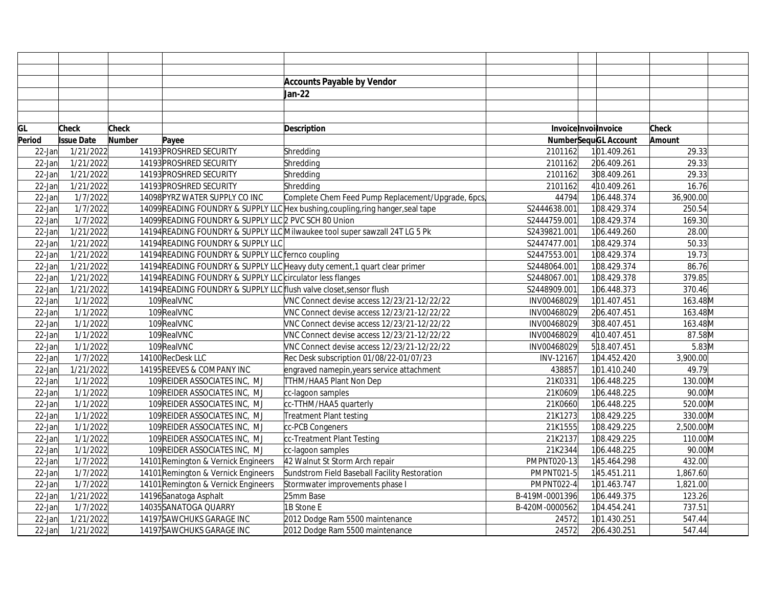|           |                   |               |                                                                     | <b>Accounts Payable by Vendor</b>                                               |                      |                             |              |
|-----------|-------------------|---------------|---------------------------------------------------------------------|---------------------------------------------------------------------------------|----------------------|-----------------------------|--------------|
|           |                   |               |                                                                     | Jan-22                                                                          |                      |                             |              |
|           |                   |               |                                                                     |                                                                                 |                      |                             |              |
|           |                   |               |                                                                     |                                                                                 |                      |                             |              |
| GL        | <b>Check</b>      | <b>Check</b>  |                                                                     | <b>Description</b>                                                              | Invoice Invoilnvoice |                             | <b>Check</b> |
| Period    | <b>Issue Date</b> | <b>Number</b> | Payee                                                               |                                                                                 |                      | <b>NumberSequGL Account</b> | Amount       |
| $22$ -Jan | 1/21/2022         |               | 14193 PROSHRED SECURITY                                             | Shredding                                                                       | 2101162              | 101.409.261                 | 29.33        |
| $22$ -Jan | 1/21/2022         |               | 14193 PROSHRED SECURITY                                             | Shredding                                                                       | 2101162              | 206.409.261                 | 29.33        |
| $22$ -Jan | 1/21/2022         |               | 14193 PROSHRED SECURITY                                             | Shredding                                                                       | 2101162              | 308.409.261                 | 29.33        |
| $22$ -Jan | 1/21/2022         |               | 14193 PROSHRED SECURITY                                             | Shredding                                                                       | 2101162              | 4 10.409.261                | 16.76        |
| $22$ -Jan | 1/7/2022          |               | 14098 PYRZ WATER SUPPLY CO INC                                      | Complete Chem Feed Pump Replacement/Upgrade, 6pcs                               | 44794                | 106.448.374                 | 36,900.00    |
| $22$ -Jan | 1/7/2022          |               |                                                                     | 14099READING FOUNDRY & SUPPLY LLC Hex bushing, coupling, ring hanger, seal tape | S2444638.001         | 108.429.374                 | 250.54       |
| 22-Jan    | 1/7/2022          |               | 14099 READING FOUNDRY & SUPPLY LLC 2 PVC SCH 80 Union               |                                                                                 | S2444759.001         | 108.429.374                 | 169.30       |
| $22$ -Jan | 1/21/2022         |               |                                                                     | 14194 READING FOUNDRY & SUPPLY LLC Milwaukee tool super sawzall 24T LG 5 Pk     | S2439821.001         | 106.449.260                 | 28.00        |
| $22$ -Jan | 1/21/2022         |               | 14194 READING FOUNDRY & SUPPLY LLC                                  |                                                                                 | S2447477.001         | 108.429.374                 | 50.33        |
| 22-Jan    | 1/21/2022         |               | 14194 READING FOUNDRY & SUPPLY LLC fernco coupling                  |                                                                                 | S2447553.001         | 108.429.374                 | 19.73        |
| $22$ -Jan | 1/21/2022         |               |                                                                     | 14194 READING FOUNDRY & SUPPLY LLC Heavy duty cement, 1 quart clear primer      | S2448064.001         | 108.429.374                 | 86.76        |
| $22$ -Jan | 1/21/2022         |               | 14194 READING FOUNDRY & SUPPLY LLC circulator less flanges          |                                                                                 | S2448067.001         | 108.429.378                 | 379.85       |
| $22$ -Jan | 1/21/2022         |               | 14194 READING FOUNDRY & SUPPLY LLC flush valve closet, sensor flush |                                                                                 | S2448909.001         | 106.448.373                 | 370.46       |
| $22$ -Jan | 1/1/2022          |               | 109RealVNC                                                          | VNC Connect devise access 12/23/21-12/22/22                                     | INV00468029          | 101.407.451                 | 163.48M      |
| 22-Jan    | 1/1/2022          |               | 109RealVNC                                                          | VNC Connect devise access 12/23/21-12/22/22                                     | INV00468029          | 206.407.451                 | 163.48M      |
| 22-Jan    | 1/1/2022          |               | 109RealVNC                                                          | VNC Connect devise access 12/23/21-12/22/22                                     | INV00468029          | 308.407.451                 | 163.48M      |
| $22$ -Jan | 1/1/2022          |               | 109RealVNC                                                          | VNC Connect devise access 12/23/21-12/22/22                                     | INV00468029          | 4 10.407.451                | 87.58M       |
| 22-Jan    | 1/1/2022          |               | 109RealVNC                                                          | VNC Connect devise access 12/23/21-12/22/22                                     | INV00468029          | 518.407.451                 | 5.83M        |
| $22$ -Jan | 1/7/2022          |               | 14100 RecDesk LLC                                                   | Rec Desk subscription 01/08/22-01/07/23                                         | INV-12167            | 104.452.420                 | 3,900.00     |
| $22$ -Jan | 1/21/2022         |               | 14195 REEVES & COMPANY INC                                          | engraved namepin, years service attachment                                      | 438857               | 101.410.240                 | 49.79        |
| 22-Jan    | 1/1/2022          |               | 109 REIDER ASSOCIATES INC, MJ                                       | TTHM/HAA5 Plant Non Dep                                                         | 21K0331              | 106.448.225                 | 130.00M      |
| $22$ -Jan | 1/1/2022          |               | 109 REIDER ASSOCIATES INC, MJ                                       | cc-lagoon samples                                                               | 21K0609              | 106.448.225                 | 90.00M       |
| 22-Jan    | 1/1/2022          |               | 109 REIDER ASSOCIATES INC. MJ                                       | cc-TTHM/HAA5 quarterly                                                          | 21K0660              | 106.448.225                 | 520.00M      |
| 22-Jan    | 1/1/2022          |               | 109 REIDER ASSOCIATES INC, MJ                                       | Treatment Plant testing                                                         | 21K1273              | 108.429.225                 | 330.00M      |
| 22-Jan    | 1/1/2022          |               | 109 REIDER ASSOCIATES INC, MJ                                       | cc-PCB Congeners                                                                | 21K1555              | 108.429.225                 | 2,500.00M    |
| 22-Jan    | 1/1/2022          |               | 109 REIDER ASSOCIATES INC, MJ                                       | cc-Treatment Plant Testing                                                      | 21K2137              | 108.429.225                 | 110.00M      |
| 22-Jan    | 1/1/2022          |               | 109 REIDER ASSOCIATES INC, MJ                                       | cc-lagoon samples                                                               | 21K2344              | 106.448.225                 | 90.00M       |
| 22-Jan    | 1/7/2022          |               | 14101 Remington & Vernick Engineers                                 | 42 Walnut St Storm Arch repair                                                  | PMPNT020-13          | 145.464.298                 | 432.00       |
| $22$ -Jan | 1/7/2022          |               | 14101 Remington & Vernick Engineers                                 | Sundstrom Field Baseball Facility Restoration                                   | <b>PMPNT021-5</b>    | 145.451.211                 | 1,867.60     |
| 22-Jan    | 1/7/2022          |               | 14101 Remington & Vernick Engineers                                 | Stormwater improvements phase I                                                 | <b>PMPNT022-4</b>    | 101.463.747                 | 1,821.00     |
| $22$ -Jan | 1/21/2022         |               | 14196 Sanatoga Asphalt                                              | 25mm Base                                                                       | B-419M-0001396       | 106.449.375                 | 123.26       |
| 22-Jan    | 1/7/2022          |               | 14035SANATOGA QUARRY                                                | 1B Stone E                                                                      | B-420M-0000562       | 104.454.241                 | 737.51       |
| 22-Jan    | 1/21/2022         |               | 14197 SAWCHUKS GARAGE INC                                           | 2012 Dodge Ram 5500 maintenance                                                 | 24572                | 101.430.251                 | 547.44       |
| $22$ -Jan | 1/21/2022         |               | 14197 SAWCHUKS GARAGE INC                                           | 2012 Dodge Ram 5500 maintenance                                                 | 24572                | 206.430.251                 | 547.44       |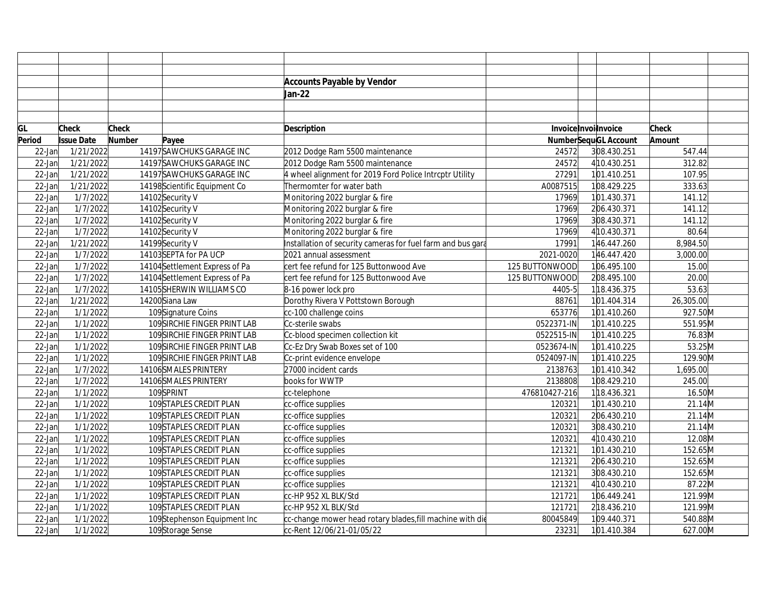|           |                   |               |                                | <b>Accounts Payable by Vendor</b>                           |                |                             |           |  |
|-----------|-------------------|---------------|--------------------------------|-------------------------------------------------------------|----------------|-----------------------------|-----------|--|
|           |                   |               |                                | Jan-22                                                      |                |                             |           |  |
|           |                   |               |                                |                                                             |                |                             |           |  |
|           |                   |               |                                |                                                             |                |                             |           |  |
| GL        | Check             | Check         |                                | Description                                                 |                | InvoiceInvoilnvoice         | Check     |  |
| Period    | <b>Issue Date</b> | <b>Number</b> | Payee                          |                                                             |                | <b>NumberSequGL Account</b> | Amount    |  |
| 22-Jan    | 1/21/2022         |               | 14197 SAWCHUKS GARAGE INC      | 2012 Dodge Ram 5500 maintenance                             | 24572          | 308.430.251                 | 547.44    |  |
| $22$ -Jan | 1/21/2022         |               | 14197 SAWCHUKS GARAGE INC      | 2012 Dodge Ram 5500 maintenance                             | 24572          | 4 10.430.251                | 312.82    |  |
| $22$ -Jan | 1/21/2022         |               | 14197SAWCHUKS GARAGE INC       | 4 wheel alignment for 2019 Ford Police Intrcptr Utility     | 27291          | 101.410.251                 | 107.95    |  |
| $22$ -Jan | 1/21/2022         |               | 14198 Scientific Equipment Co  | Thermomter for water bath                                   | A0087515       | 108.429.225                 | 333.63    |  |
| $22$ -Jan | 1/7/2022          |               | 14102Security V                | Monitoring 2022 burglar & fire                              | 17969          | 101.430.371                 | 141.12    |  |
| $22$ -Jan | 1/7/2022          |               | 14102Security V                | Monitoring 2022 burglar & fire                              | 17969          | 206.430.371                 | 141.12    |  |
| 22-Jan    | 1/7/2022          |               | 14102Security V                | Monitoring 2022 burglar & fire                              | 17969          | 308.430.371                 | 141.12    |  |
| 22-Jan    | 1/7/2022          |               | 14102Security V                | Monitoring 2022 burglar & fire                              | 17969          | 4 10.430.371                | 80.64     |  |
| $22$ -Jan | 1/21/2022         |               | 14199Security V                | Installation of security cameras for fuel farm and bus gara | 17991          | 146.447.260                 | 8,984.50  |  |
| 22-Jan    | 1/7/2022          |               | 14103SEPTA for PA UCP          | 2021 annual assessment                                      | 2021-0020      | 146.447.420                 | 3,000.00  |  |
| 22-Jan    | 1/7/2022          |               | 14104 Settlement Express of Pa | cert fee refund for 125 Buttonwood Ave                      | 125 BUTTONWOOD | 106.495.100                 | 15.00     |  |
| 22-Jan    | 1/7/2022          |               | 14104 Settlement Express of Pa | cert fee refund for 125 Buttonwood Ave                      | 125 BUTTONWOOD | 208.495.100                 | 20.00     |  |
| 22-Jan    | 1/7/2022          |               | 14105SHERWIN WILLIAMS CO       | 8-16 power lock pro                                         | 4405-5         | 118.436.375                 | 53.63     |  |
| $22$ -Jan | 1/21/2022         |               | 14200Siana Law                 | Dorothy Rivera V Pottstown Borough                          | 88761          | 101.404.314                 | 26,305.00 |  |
| 22-Jan    | 1/1/2022          |               | 109Signature Coins             | cc-100 challenge coins                                      | 653776         | 101.410.260                 | 927.50M   |  |
| 22-Jan    | 1/1/2022          |               | 109SIRCHIE FINGER PRINT LAB    | Cc-sterile swabs                                            | 0522371-IN     | 101.410.225                 | 551.95M   |  |
| $22$ -Jan | 1/1/2022          |               | 109SIRCHIE FINGER PRINT LAB    | Cc-blood specimen collection kit                            | 0522515-IN     | 101.410.225                 | 76.83M    |  |
| 22-Jan    | 1/1/2022          |               | 109SIRCHIE FINGER PRINT LAB    | Cc-Ez Dry Swab Boxes set of 100                             | 0523674-IN     | 101.410.225                 | 53.25M    |  |
| $22$ -Jan | 1/1/2022          |               | 109SIRCHIE FINGER PRINT LAB    | Cc-print evidence envelope                                  | 0524097-IN     | 101.410.225                 | 129.90M   |  |
| 22-Jan    | 1/7/2022          |               | 14106 SMALES PRINTERY          | 27000 incident cards                                        | 2138763        | 101.410.342                 | 1,695.00  |  |
| 22-Jan    | 1/7/2022          |               | 14106 SMALES PRINTERY          | books for WWTP                                              | 2138808        | 108.429.210                 | 245.00    |  |
| 22-Jan    | 1/1/2022          |               | 109SPRINT                      | cc-telephone                                                | 476810427-216  | 118.436.321                 | 16.50M    |  |
| 22-Jan    | 1/1/2022          |               | 109STAPLES CREDIT PLAN         | cc-office supplies                                          | 120321         | 101.430.210                 | $21.14$ M |  |
| 22-Jan    | 1/1/2022          |               | 109STAPLES CREDIT PLAN         | cc-office supplies                                          | 120321         | 206.430.210                 | 21.14M    |  |
| 22-Jan    | 1/1/2022          |               | 109STAPLES CREDIT PLAN         | cc-office supplies                                          | 120321         | 308.430.210                 | $21.14$ M |  |
| 22-Jan    | 1/1/2022          |               | 109STAPLES CREDIT PLAN         | cc-office supplies                                          | 120321         | 4 10.430.210                | 12.08M    |  |
| 22-Jan    | 1/1/2022          |               | 109STAPLES CREDIT PLAN         | cc-office supplies                                          | 121321         | 101.430.210                 | 152.65M   |  |
| 22-Jan    | 1/1/2022          |               | 109STAPLES CREDIT PLAN         | cc-office supplies                                          | 121321         | 206.430.210                 | 152.65M   |  |
| 22-Jan    | 1/1/2022          |               | 109STAPLES CREDIT PLAN         | cc-office supplies                                          | 121321         | 308.430.210                 | 152.65M   |  |
| 22-Jan    | 1/1/2022          |               | 109STAPLES CREDIT PLAN         | cc-office supplies                                          | 121321         | 4 10.430.210                | 87.22M    |  |
| 22-Jan    | 1/1/2022          |               | 109STAPLES CREDIT PLAN         | cc-HP 952 XL BLK/Std                                        | 121721         | 106.449.241                 | 121.99M   |  |
| 22-Jan    | 1/1/2022          |               | 109STAPLES CREDIT PLAN         | cc-HP 952 XL BLK/Std                                        | 121721         | 218.436.210                 | 121.99M   |  |
| 22-Jan    | 1/1/2022          |               | 109Stephenson Equipment Inc    | cc-change mower head rotary blades,fill machine with die    | 80045849       | 109.440.371                 | 540.88M   |  |
| $22$ -Jan | 1/1/2022          |               | 109Storage Sense               | cc-Rent 12/06/21-01/05/22                                   | 23231          | 101.410.384                 | 627.00M   |  |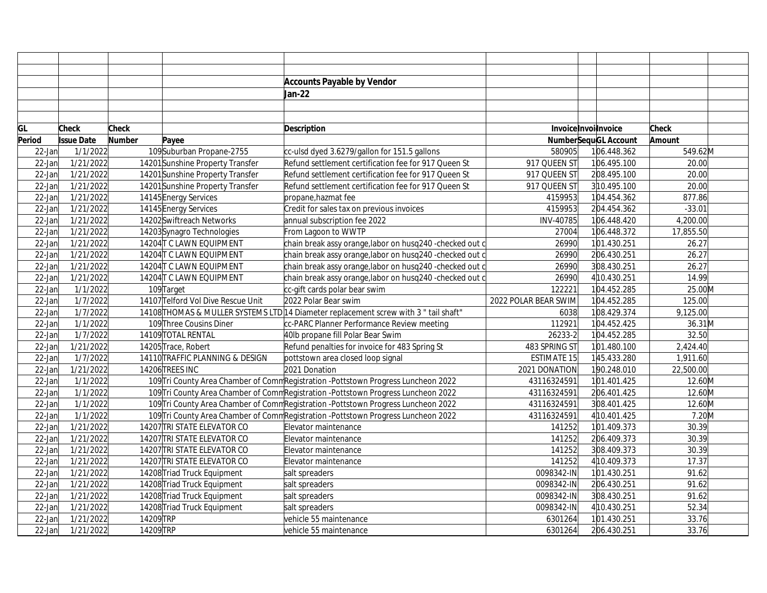|           |                   |               |                                    | <b>Accounts Payable by Vendor</b>                                                    |                      |                             |              |  |
|-----------|-------------------|---------------|------------------------------------|--------------------------------------------------------------------------------------|----------------------|-----------------------------|--------------|--|
|           |                   |               |                                    | Jan-22                                                                               |                      |                             |              |  |
|           |                   |               |                                    |                                                                                      |                      |                             |              |  |
|           |                   |               |                                    |                                                                                      |                      |                             |              |  |
| GL        | <b>Check</b>      | <b>Check</b>  |                                    | Description                                                                          |                      | InvoiceInvoilnvoice         | <b>Check</b> |  |
| Period    | <b>Issue Date</b> | <b>Number</b> | Payee                              |                                                                                      |                      | <b>NumberSequGL Account</b> | Amount       |  |
| $22$ -Jan | 1/1/2022          |               | 109Suburban Propane-2755           | cc-ulsd dyed 3.6279/gallon for 151.5 gallons                                         | 580905               | 106.448.362                 | 549.62M      |  |
| $22$ -Jan | 1/21/2022         |               | 14201 Sunshine Property Transfer   | Refund settlement certification fee for 917 Queen St                                 | 917 QUEEN ST         | 106.495.100                 | 20.00        |  |
| $22$ -Jan | 1/21/2022         |               | 14201 Sunshine Property Transfer   | Refund settlement certification fee for 917 Queen St                                 | 917 QUEEN ST         | 208.495.100                 | 20.00        |  |
| $22$ -Jan | 1/21/2022         |               | 14201 Sunshine Property Transfer   | Refund settlement certification fee for 917 Queen St                                 | 917 QUEEN ST         | 310.495.100                 | 20.00        |  |
| $22$ -Jan | 1/21/2022         |               | 14145 Energy Services              | propane, hazmat fee                                                                  | 4159953              | 104.454.362                 | 877.86       |  |
| $22$ -Jan | 1/21/2022         |               | 14145 Energy Services              | Credit for sales tax on previous invoices                                            | 4159953              | 204.454.362                 | $-33.01$     |  |
| 22-Jan    | 1/21/2022         |               | 14202Swiftreach Networks           | annual subscription fee 2022                                                         | INV-40785            | 106.448.420                 | 4,200.00     |  |
| $22$ -Jan | 1/21/2022         |               | 14203 Synagro Technologies         | From Lagoon to WWTP                                                                  | 27004                | 106.448.372                 | 17,855.50    |  |
| $22$ -Jan | 1/21/2022         |               | 14204 TC LAWN EQUIPMENT            | chain break assy orange, labor on husq240 -checked out c                             | 26990                | 101.430.251                 | 26.27        |  |
| 22-Jan    | 1/21/2022         |               | 14204 TC LAWN EQUIPMENT            | chain break assy orange, labor on husq240 -checked out c                             | 26990                | 206.430.251                 | 26.27        |  |
| 22-Jan    | 1/21/2022         |               | 14204 TC LAWN EQUIPMENT            | chain break assy orange, labor on husq240 -checked out c                             | 26990                | 308.430.251                 | 26.27        |  |
| $22$ -Jan | 1/21/2022         |               | 14204 TC LAWN EQUIPMENT            | chain break assy orange, labor on husq240 -checked out c                             | 26990                | 4 10.430.251                | 14.99        |  |
| $22$ -Jan | 1/1/2022          |               | 109 Target                         | cc-gift cards polar bear swim                                                        | 122221               | 104.452.285                 | 25.00M       |  |
| $22$ -Jan | 1/7/2022          |               | 14107 Telford Vol Dive Rescue Unit | 2022 Polar Bear swim                                                                 | 2022 POLAR BEAR SWIM | 104.452.285                 | 125.00       |  |
| 22-Jan    | 1/7/2022          |               |                                    | 14108 THOMAS & MULLER SYSTEMS LTD 14 Diameter replacement screw with 3 " tail shaft" | 6038                 | 108.429.374                 | 9,125.00     |  |
| 22-Jan    | 1/1/2022          |               | 109 Three Cousins Diner            | cc-PARC Planner Performance Review meeting                                           | 112921               | 104.452.425                 | 36.31M       |  |
| $22$ -Jan | 1/7/2022          |               | 14109 TOTAL RENTAL                 | 40lb propane fill Polar Bear Swim                                                    | 26233-2              | 104.452.285                 | 32.50        |  |
| $22$ -Jan | 1/21/2022         |               | 14205 Trace, Robert                | Refund penalties for invoice for 483 Spring St                                       | 483 SPRING ST        | 101.480.100                 | 2,424.40     |  |
| $22$ -Jan | 1/7/2022          |               | 14110 TRAFFIC PLANNING & DESIGN    | pottstown area closed loop signal                                                    | <b>ESTIMATE 15</b>   | 145.433.280                 | 1,911.60     |  |
| $22$ -Jan | 1/21/2022         |               | 14206 TREES INC                    | 2021 Donation                                                                        | 2021 DONATION        | 190.248.010                 | 22,500.00    |  |
| $22$ -Jan | 1/1/2022          |               |                                    | 109 Tri County Area Chamber of Comm Registration - Pottstown Progress Luncheon 2022  | 43116324591          | 101.401.425                 | 12.60M       |  |
| $22$ -Jan | 1/1/2022          |               |                                    | 109 Tri County Area Chamber of Comm Registration - Pottstown Progress Luncheon 2022  | 43116324591          | 206.401.425                 | 12.60M       |  |
| $22$ -Jan | 1/1/2022          |               |                                    | 109 Tri County Area Chamber of Comm Registration - Pottstown Progress Luncheon 2022  | 43116324591          | 308.401.425                 | 12.60M       |  |
| 22-Jan    | 1/1/2022          |               |                                    | 109 Tri County Area Chamber of Comm Registration - Pottstown Progress Luncheon 2022  | 43116324591          | 4 10.401.425                | 7.20M        |  |
| 22-Jan    | 1/21/2022         |               | 14207 TRI STATE ELEVATOR CO        | Elevator maintenance                                                                 | 141252               | 101.409.373                 | 30.39        |  |
| $22$ -Jan | 1/21/2022         |               | 14207 TRI STATE ELEVATOR CO        | Elevator maintenance                                                                 | 141252               | 206.409.373                 | 30.39        |  |
| $22$ -Jan | 1/21/2022         |               | 14207 TRI STATE ELEVATOR CO        | Elevator maintenance                                                                 | 141252               | 308.409.373                 | 30.39        |  |
| 22-Jan    | 1/21/2022         |               | 14207 TRI STATE ELEVATOR CO        | Elevator maintenance                                                                 | 141252               | 4 10.409.373                | 17.37        |  |
| $22$ -Jan | 1/21/2022         |               | 14208 Triad Truck Equipment        | salt spreaders                                                                       | 0098342-IN           | 101.430.251                 | 91.62        |  |
| $22$ -Jan | 1/21/2022         |               | 14208 Triad Truck Equipment        | salt spreaders                                                                       | 0098342-IN           | 206.430.251                 | 91.62        |  |
| $22$ -Jan | 1/21/2022         |               | 14208 Triad Truck Equipment        | salt spreaders                                                                       | 0098342-IN           | 308.430.251                 | 91.62        |  |
| $22$ -Jan | 1/21/2022         |               | 14208 Triad Truck Equipment        | salt spreaders                                                                       | 0098342-IN           | 4 10.430.251                | 52.34        |  |
| 22-Jan    | 1/21/2022         | 14209 TRP     |                                    | vehicle 55 maintenance                                                               | 6301264              | 101.430.251                 | 33.76        |  |
| $22$ -Jan | 1/21/2022         | 14209 TRP     |                                    | vehicle 55 maintenance                                                               | 6301264              | 206.430.251                 | 33.76        |  |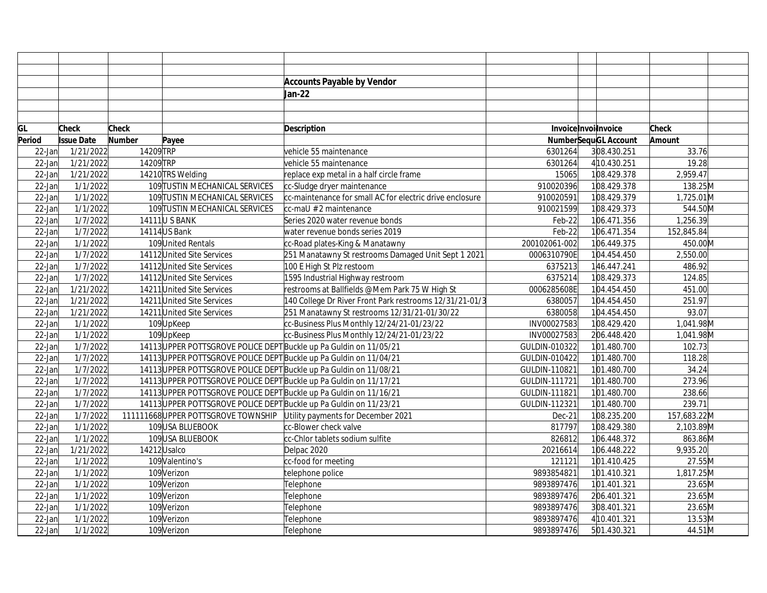|           |                   |              |                                                                    | <b>Accounts Payable by Vendor</b>                        |               |                             |              |  |
|-----------|-------------------|--------------|--------------------------------------------------------------------|----------------------------------------------------------|---------------|-----------------------------|--------------|--|
|           |                   |              |                                                                    | Jan-22                                                   |               |                             |              |  |
|           |                   |              |                                                                    |                                                          |               |                             |              |  |
|           |                   |              |                                                                    |                                                          |               |                             |              |  |
| GL        | Check             | <b>Check</b> |                                                                    | <b>Description</b>                                       |               | Invoice Invoilnvoice        | <b>Check</b> |  |
| Period    | <b>Issue Date</b> | Number       | Payee                                                              |                                                          |               | <b>NumberSequGL Account</b> | Amount       |  |
| $22$ -Jan | 1/21/2022         | 14209 TRP    |                                                                    | vehicle 55 maintenance                                   | 6301264       | 308.430.251                 | 33.76        |  |
| $22$ -Jan | 1/21/2022         | 14209 TRP    |                                                                    | vehicle 55 maintenance                                   | 6301264       | 4 10.430.251                | 19.28        |  |
| $22$ -Jan | 1/21/2022         |              | 14210 TRS Welding                                                  | replace exp metal in a half circle frame                 | 15065         | 108.429.378                 | 2,959.47     |  |
| $22$ -Jan | 1/1/2022          |              | 109 TUSTIN MECHANICAL SERVICES                                     | cc-Sludge dryer maintenance                              | 910020396     | 108.429.378                 | 138.25M      |  |
| $22$ -Jan | 1/1/2022          |              | 109 TUSTIN MECHANICAL SERVICES                                     | cc-maintenance for small AC for electric drive enclosure | 910020591     | 108.429.379                 | 1,725.01M    |  |
| $22$ -Jan | 1/1/2022          |              | 109 TUSTIN MECHANICAL SERVICES                                     | cc-maU # 2 maintenance                                   | 910021599     | 108.429.373                 | 544.50M      |  |
| 22-Jan    | 1/7/2022          |              | 14111 U S BANK                                                     | Series 2020 water revenue bonds                          | Feb-22        | 106.471.356                 | 1,256.39     |  |
| 22-Jan    | 1/7/2022          |              | 14114 US Bank                                                      | water revenue bonds series 2019                          | Feb-22        | 106.471.354                 | 152,845.84   |  |
| $22$ -Jan | 1/1/2022          |              | 109 United Rentals                                                 | cc-Road plates-King & Manatawny                          | 200102061-002 | 106.449.375                 | 450.00M      |  |
| $22$ -Jan | 1/7/2022          |              | 14112 United Site Services                                         | 251 Manatawny St restrooms Damaged Unit Sept 1 2021      | 0006310790E   | 104.454.450                 | 2,550.00     |  |
| $22$ -Jan | 1/7/2022          |              | 14112 United Site Services                                         | 100 E High St Plz restoom                                | 6375213       | 146.447.241                 | 486.92       |  |
| $22$ -Jan | 1/7/2022          |              | 14112 United Site Services                                         | 1595 Industrial Highway restroom                         | 6375214       | 108.429.373                 | 124.85       |  |
| $22$ -Jan | 1/21/2022         |              | 14211 United Site Services                                         | restrooms at Ballfields @Mem Park 75 W High St           | 0006285608E   | 104.454.450                 | 451.00       |  |
| $22$ -Jan | 1/21/2022         |              | 14211 United Site Services                                         | 140 College Dr River Front Park restrooms 12/31/21-01/3  | 6380057       | 104.454.450                 | 251.97       |  |
| 22-Jan    | 1/21/2022         |              | 14211 United Site Services                                         | 251 Manatawny St restrooms 12/31/21-01/30/22             | 6380058       | 104.454.450                 | 93.07        |  |
| $22$ -Jan | 1/1/2022          |              | 109UpKeep                                                          | cc-Business Plus Monthly 12/24/21-01/23/22               | INV00027583   | 108.429.420                 | 1,041.98M    |  |
| 22-Jan    | 1/1/2022          |              | 109UpKeep                                                          | cc-Business Plus Monthly 12/24/21-01/23/22               | INV00027583   | 206.448.420                 | 1,041.98M    |  |
| $22$ -Jan | 1/7/2022          |              | 14113 UPPER POTTSGROVE POLICE DEPT Buckle up Pa Guldin on 11/05/21 |                                                          | GULDIN-010322 | 101.480.700                 | 102.73       |  |
| $22$ -Jan | 1/7/2022          |              | 14113 UPPER POTTSGROVE POLICE DEPT Buckle up Pa Guldin on 11/04/21 |                                                          | GULDIN-010422 | 101.480.700                 | 118.28       |  |
| $22$ -Jan | 1/7/2022          |              | 14113 UPPER POTTSGROVE POLICE DEPT Buckle up Pa Guldin on 11/08/21 |                                                          | GULDIN-110821 | 101.480.700                 | 34.24        |  |
| $22$ -Jan | 1/7/2022          |              | 14113 UPPER POTTSGROVE POLICE DEPT Buckle up Pa Guldin on 11/17/21 |                                                          | GULDIN-111721 | 101.480.700                 | 273.96       |  |
| $22$ -Jan | 1/7/2022          |              | 14113 UPPER POTTSGROVE POLICE DEPT Buckle up Pa Guldin on 11/16/21 |                                                          | GULDIN-111821 | 101.480.700                 | 238.66       |  |
| $22$ -Jan | 1/7/2022          |              | 14113 UPPER POTTSGROVE POLICE DEPT Buckle up Pa Guldin on 11/23/21 |                                                          | GULDIN-112321 | 101.480.700                 | 239.71       |  |
| 22-Jan    | 1/7/2022          |              | 111111668UPPER POTTSGROVE TOWNSHIP                                 | Utility payments for December 2021                       | Dec-21        | 108.235.200                 | 157,683.22M  |  |
| 22-Jan    | 1/1/2022          |              | 109USA BLUEBOOK                                                    | cc-Blower check valve                                    | 817797        | 108.429.380                 | 2,103.89M    |  |
| 22-Jan    | 1/1/2022          |              | 109USA BLUEBOOK                                                    | cc-Chlor tablets sodium sulfite                          | 826812        | 106.448.372                 | 863.86M      |  |
| $22$ -Jan | 1/21/2022         |              | 14212Usalco                                                        | Delpac 2020                                              | 20216614      | 106.448.222                 | 9,935.20     |  |
| $22$ -Jan | 1/1/2022          |              | 109 Valentino's                                                    | cc-food for meeting                                      | 121121        | 101.410.425                 | 27.55M       |  |
| $22$ -Jan | 1/1/2022          |              | 109 Verizon                                                        | telephone police                                         | 9893854821    | 101.410.321                 | 1,817.25M    |  |
| 22-Jan    | 1/1/2022          |              | 109Verizon                                                         | Telephone                                                | 9893897476    | 101.401.321                 | 23.65M       |  |
| 22-Jan    | 1/1/2022          |              | 109Verizon                                                         | Telephone                                                | 9893897476    | 206.401.321                 | 23.65M       |  |
| $22$ -Jan | 1/1/2022          |              | 109 Verizon                                                        | Telephone                                                | 9893897476    | 308.401.321                 | 23.65M       |  |
| 22-Jan    | 1/1/2022          |              | 109Verizon                                                         | Telephone                                                | 9893897476    | 4 10.401.321                | 13.53M       |  |
| $22$ -Jan | 1/1/2022          |              | 109 Verizon                                                        | Telephone                                                | 9893897476    | 501.430.321                 | 44.51M       |  |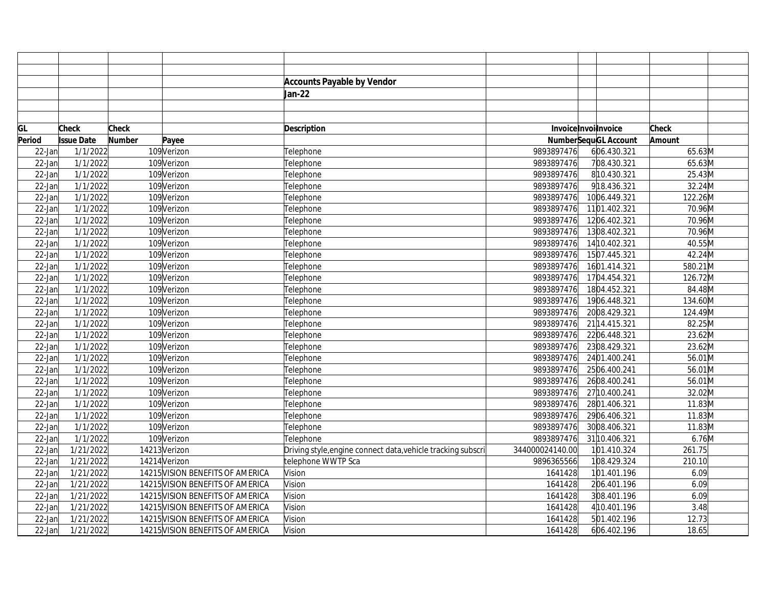|           |                   |               |                                  | <b>Accounts Payable by Vendor</b>                            |                 |                      |         |  |
|-----------|-------------------|---------------|----------------------------------|--------------------------------------------------------------|-----------------|----------------------|---------|--|
|           |                   |               |                                  | Jan-22                                                       |                 |                      |         |  |
|           |                   |               |                                  |                                                              |                 |                      |         |  |
|           |                   |               |                                  |                                                              |                 |                      |         |  |
| GL        | <b>Check</b>      | Check         |                                  | Description                                                  |                 | InvoiceInvoilnvoice  | Check   |  |
| Period    | <b>Issue Date</b> | <b>Number</b> | Payee                            |                                                              |                 | NumberSequGL Account | Amount  |  |
| $22$ -Jan | 1/1/2022          |               | 109 Verizon                      | Telephone                                                    | 9893897476      | 606.430.321          | 65.63M  |  |
| $22$ -Jan | 1/1/2022          |               | 109Verizon                       | Telephone                                                    | 9893897476      | 708.430.321          | 65.63M  |  |
| $22$ -Jan | 1/1/2022          |               | 109 Verizon                      | Telephone                                                    | 9893897476      | 8 10.430.321         | 25.43M  |  |
| $22$ -Jan | 1/1/2022          |               | 109Verizon                       | Telephone                                                    | 9893897476      | 918.436.321          | 32.24M  |  |
| $22$ -Jan | 1/1/2022          |               | 109Verizon                       | Telephone                                                    | 9893897476      | 1006.449.321         | 122.26M |  |
| $22$ -Jan | 1/1/2022          |               | 109Verizon                       | Telephone                                                    | 9893897476      | 1101.402.321         | 70.96M  |  |
| 22-Jan    | 1/1/2022          |               | 109Verizon                       | Telephone                                                    | 9893897476      | 1206.402.321         | 70.96M  |  |
| $22$ -Jan | 1/1/2022          |               | 109Verizon                       | Telephone                                                    | 9893897476      | 1308.402.321         | 70.96M  |  |
| $22$ -Jan | 1/1/2022          |               | 109Verizon                       | Telephone                                                    | 9893897476      | 14 10.402.321        | 40.55M  |  |
| $22$ -Jan | 1/1/2022          |               | 109Verizon                       | Telephone                                                    | 9893897476      | 1507.445.321         | 42.24M  |  |
| 22-Jan    | 1/1/2022          |               | 109Verizon                       | Telephone                                                    | 9893897476      | 1601.414.321         | 580.21M |  |
| $22$ -Jan | 1/1/2022          |               | 109Verizon                       | Telephone                                                    | 9893897476      | 1704.454.321         | 126.72M |  |
| $22$ -Jan | 1/1/2022          |               | 109Verizon                       | Telephone                                                    | 9893897476      | 1804.452.321         | 84.48M  |  |
| $22$ -Jan | 1/1/2022          |               | 109Verizon                       | Telephone                                                    | 9893897476      | 1906.448.321         | 134.60M |  |
| $22$ -Jan | 1/1/2022          |               | 109Verizon                       | Telephone                                                    | 9893897476      | 2008.429.321         | 124.49M |  |
| 22-Jan    | 1/1/2022          |               | 109Verizon                       | Telephone                                                    | 9893897476      | 21 14.415.321        | 82.25M  |  |
| $22$ -Jan | 1/1/2022          |               | 109Verizon                       | Telephone                                                    | 9893897476      | 2206.448.321         | 23.62M  |  |
| $22$ -Jan | 1/1/2022          |               | 109Verizon                       | Telephone                                                    | 9893897476      | 2308.429.321         | 23.62M  |  |
| $22$ -Jan | 1/1/2022          |               | 109Verizon                       | Telephone                                                    | 9893897476      | 2401.400.241         | 56.01M  |  |
| 22-Jan    | 1/1/2022          |               | 109Verizon                       | Telephone                                                    | 9893897476      | 2506.400.241         | 56.01M  |  |
| $22$ -Jan | 1/1/2022          |               | 109Verizon                       | Telephone                                                    | 9893897476      | 2608.400.241         | 56.01M  |  |
| 22-Jan    | 1/1/2022          |               | 109Verizon                       | Telephone                                                    | 9893897476      | 27 10.400.241        | 32.02M  |  |
| $22$ -Jan | 1/1/2022          |               | 109Verizon                       | Telephone                                                    | 9893897476      | 2801.406.321         | 11.83M  |  |
| $22$ -Jan | 1/1/2022          |               | 109Verizon                       | Telephone                                                    | 9893897476      | 2906.406.321         | 11.83M  |  |
| 22-Jan    | 1/1/2022          |               | 109Verizon                       | Telephone                                                    | 9893897476      | 3008.406.321         | 11.83M  |  |
| 22-Jan    | 1/1/2022          |               | 109Verizon                       | Telephone                                                    | 9893897476      | 31 10.406.321        | 6.76M   |  |
| $22$ -Jan | 1/21/2022         |               | 14213 Verizon                    | Driving style, engine connect data, vehicle tracking subscri | 344000024140.00 | 101.410.324          | 261.75  |  |
| $22$ -Jan | 1/21/2022         |               | 14214 Verizon                    | telephone WWTP Sca                                           | 9896365566      | 108.429.324          | 210.10  |  |
| $22$ -Jan | 1/21/2022         |               | 14215 VISION BENEFITS OF AMERICA | Vision                                                       | 1641428         | 101.401.196          | 6.09    |  |
| $22$ -Jan | 1/21/2022         |               | 14215 VISION BENEFITS OF AMERICA | Vision                                                       | 1641428         | 206.401.196          | 6.09    |  |
| $22$ -Jan | 1/21/2022         |               | 14215 VISION BENEFITS OF AMERICA | Vision                                                       | 1641428         | 308.401.196          | 6.09    |  |
| $22$ -Jan | 1/21/2022         |               | 14215 VISION BENEFITS OF AMERICA | Vision                                                       | 1641428         | 4 10.401.196         | 3.48    |  |
| $22$ -Jan | 1/21/2022         |               | 14215 VISION BENEFITS OF AMERICA | Vision                                                       | 1641428         | 501.402.196          | 12.73   |  |
| $22$ -Jan | 1/21/2022         |               | 14215 VISION BENEFITS OF AMERICA | Vision                                                       | 1641428         | 606.402.196          | 18.65   |  |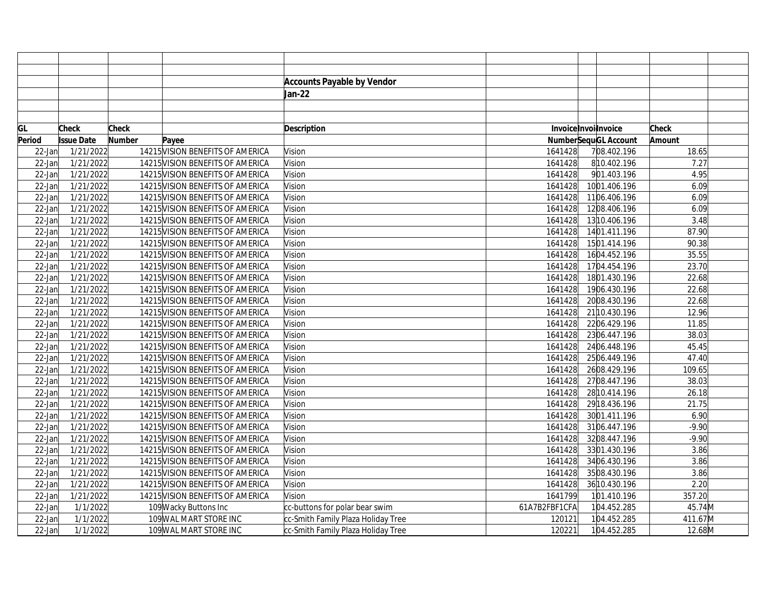|        |                         |               |                                  | <b>Accounts Payable by Vendor</b>  |               |                             |         |  |
|--------|-------------------------|---------------|----------------------------------|------------------------------------|---------------|-----------------------------|---------|--|
|        |                         |               |                                  | Jan-22                             |               |                             |         |  |
|        |                         |               |                                  |                                    |               |                             |         |  |
|        |                         |               |                                  |                                    |               |                             |         |  |
| GL     | Check                   | Check         |                                  | Description                        |               | Invoice Invoilnvoice        | Check   |  |
| Period | <b>Issue Date</b>       | <b>Number</b> | Payee                            |                                    |               | <b>NumberSequGL Account</b> | Amount  |  |
| 22-Jan | 1/21/2022               |               | 14215 VISION BENEFITS OF AMERICA | Vision                             | 1641428       | 708.402.196                 | 18.65   |  |
| 22-Jan | 1/21/2022               |               | 14215 VISION BENEFITS OF AMERICA | Vision                             | 1641428       | 810.402.196                 | 7.27    |  |
| 22-Jan | 1/21/2022               |               | 14215 VISION BENEFITS OF AMERICA | Vision                             | 1641428       | 901.403.196                 | 4.95    |  |
| 22-Jan | 1/21/2022               |               | 14215 VISION BENEFITS OF AMERICA | Vision                             | 1641428       | 1001.406.196                | 6.09    |  |
| 22-Jan | 1/21/2022               |               | 14215 VISION BENEFITS OF AMERICA | Vision                             | 1641428       | 1106.406.196                | 6.09    |  |
| 22-Jan | 1/21/2022               |               | 14215 VISION BENEFITS OF AMERICA | Vision                             | 1641428       | 1208.406.196                | 6.09    |  |
| 22-Jar | 1/21/2022               |               | 14215 VISION BENEFITS OF AMERICA | Vision                             | 1641428       | 13 10.406.196               | 3.48    |  |
| 22-Jan | 1/21/2022               |               | 14215 VISION BENEFITS OF AMERICA | Vision                             | 1641428       | 1401.411.196                | 87.90   |  |
| 22-Jan | 1/21/2022               |               | 14215 VISION BENEFITS OF AMERICA | Vision                             | 1641428       | 1501.414.196                | 90.38   |  |
| 22-Jan | 1/21/2022               |               | 14215 VISION BENEFITS OF AMERICA | Vision                             | 1641428       | 1604.452.196                | 35.55   |  |
| 22-Jan | 1/21/2022               |               | 14215 VISION BENEFITS OF AMERICA | Vision                             | 1641428       | 1704.454.196                | 23.70   |  |
| 22-Jan | 1/21/2022               |               | 14215 VISION BENEFITS OF AMERICA | Vision                             | 1641428       | 1801.430.196                | 22.68   |  |
| 22-Jan | 1/21/2022               |               | 14215 VISION BENEFITS OF AMERICA | Vision                             | 1641428       | 1906.430.196                | 22.68   |  |
| 22-Jan | 1/21/2022               |               | 14215 VISION BENEFITS OF AMERICA | Vision                             | 1641428       | 2008.430.196                | 22.68   |  |
| 22-Jan | 1/21/2022               |               | 14215 VISION BENEFITS OF AMERICA | Vision                             | 1641428       | 21 10.430.196               | 12.96   |  |
| 22-Jan | 1/21/2022               |               | 14215 VISION BENEFITS OF AMERICA | Vision                             | 1641428       | 2206.429.196                | 11.85   |  |
| 22-Jan | 1/21/2022               |               | 14215 VISION BENEFITS OF AMERICA | Vision                             | 1641428       | 2306.447.196                | 38.03   |  |
| 22-Jan | 1/21/2022               |               | 14215 VISION BENEFITS OF AMERICA | Vision                             | 1641428       | 2406.448.196                | 45.45   |  |
| 22-Jan | 1/21/2022               |               | 14215 VISION BENEFITS OF AMERICA | Vision                             | 1641428       | 2506.449.196                | 47.40   |  |
| 22-Jar | 1/21/2022               |               | 14215 VISION BENEFITS OF AMERICA | Vision                             | 1641428       | 2608.429.196                | 109.65  |  |
| 22-Jan | 1/21/2022               |               | 14215 VISION BENEFITS OF AMERICA | Vision                             | 1641428       | 2708.447.196                | 38.03   |  |
| 22-Jan | 1/21/2022               |               | 14215 VISION BENEFITS OF AMERICA | Vision                             | 1641428       | 28 10.414.196               | 26.18   |  |
| 22-Jan | 1/21/2022               |               | 14215 VISION BENEFITS OF AMERICA | Vision                             | 1641428       | 29 18.436.196               | 21.75   |  |
| 22-Jan | 1/21/2022               |               | 14215 VISION BENEFITS OF AMERICA | Vision                             | 1641428       | 3001.411.196                | 6.90    |  |
| 22-Jar | 1/21/2022               |               | 14215 VISION BENEFITS OF AMERICA | Vision                             | 1641428       | 3106.447.196                | $-9.90$ |  |
| 22-Jan | 1/21/2022               |               | 14215 VISION BENEFITS OF AMERICA | Vision                             | 1641428       | 3208.447.196                | $-9.90$ |  |
| 22-Jan | 1/21/2022               |               | 14215 VISION BENEFITS OF AMERICA | Vision                             | 1641428       | 3301.430.196                | 3.86    |  |
| 22-Jar | $\frac{1}{2}$ 1/21/2022 |               | 14215 VISION BENEFITS OF AMERICA | Vision                             | 1641428       | 3406.430.196                | 3.86    |  |
| 22-Jan | 1/21/2022               |               | 14215 VISION BENEFITS OF AMERICA | Vision                             | 1641428       | 3508.430.196                | 3.86    |  |
| 22-Jan | 1/21/2022               |               | 14215 VISION BENEFITS OF AMERICA | Vision                             | 1641428       | 36 10.430.196               | 2.20    |  |
| 22-Jan | 1/21/2022               |               | 14215 VISION BENEFITS OF AMERICA | Vision                             | 1641799       | 101.410.196                 | 357.20  |  |
| 22-Jan | 1/1/2022                |               | 109 Wacky Buttons Inc            | cc-buttons for polar bear swim     | 61A7B2FBF1CFA | 104.452.285                 | 45.74M  |  |
| 22-Jan | 1/1/2022                |               | 109 WAL MART STORE INC           | cc-Smith Family Plaza Holiday Tree | 120121        | 104.452.285                 | 411.67M |  |
| 22-Jan | 1/1/2022                |               | 109 WAL MART STORE INC           | cc-Smith Family Plaza Holiday Tree | 120221        | 104.452.285                 | 12.68M  |  |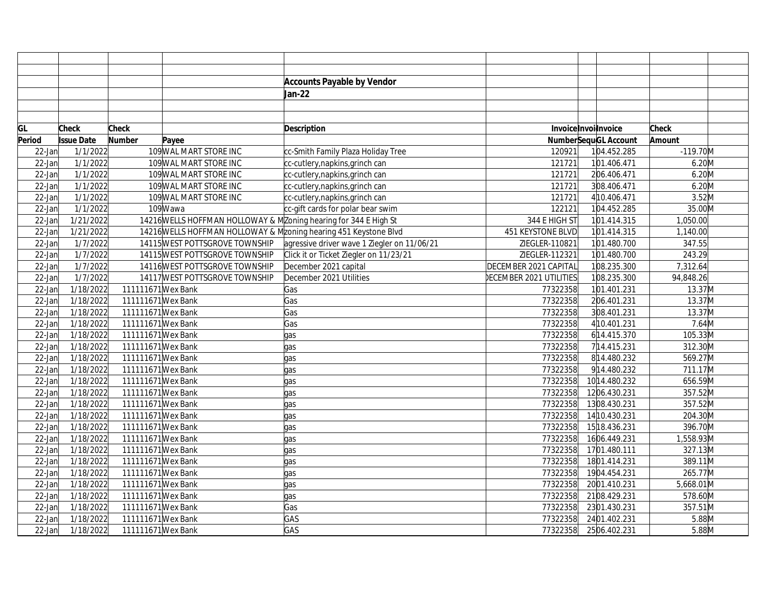|           |                   |                    |                                                                  | <b>Accounts Payable by Vendor</b>                                |                                |                             |              |
|-----------|-------------------|--------------------|------------------------------------------------------------------|------------------------------------------------------------------|--------------------------------|-----------------------------|--------------|
|           |                   |                    |                                                                  | Jan-22                                                           |                                |                             |              |
|           |                   |                    |                                                                  |                                                                  |                                |                             |              |
|           |                   |                    |                                                                  |                                                                  |                                |                             |              |
| GL        | <b>Check</b>      | <b>Check</b>       |                                                                  | Description                                                      |                                | InvoiceInvoilnvoice         | <b>Check</b> |
| Period    | <b>Issue Date</b> | Number             | Payee                                                            |                                                                  |                                | <b>NumberSequGL Account</b> | Amount       |
| $22$ -Jan | 1/1/2022          |                    | 109 WAL MART STORE INC                                           | cc-Smith Family Plaza Holiday Tree                               | 120921                         | 104.452.285                 | $-119.70$ M  |
| $22$ -Jan | 1/1/2022          |                    | 109 WAL MART STORE INC                                           | cc-cutlery, napkins, grinch can                                  | 121721                         | 101.406.471                 | $6.20$ M     |
| $22$ -Jan | 1/1/2022          |                    | 109 WAL MART STORE INC                                           | cc-cutlery,napkins,grinch can                                    | 121721                         | 206.406.471                 | 6.20M        |
| $22$ -Jan | 1/1/2022          |                    | 109 WAL MART STORE INC                                           | cc-cutlery,napkins,grinch can                                    | 121721                         | 308.406.471                 | $6.20$ M     |
| $22$ -Jan | 1/1/2022          |                    | 109 WAL MART STORE INC                                           | cc-cutlery,napkins,grinch can                                    | 121721                         | 4 10.406.471                | $3.52$ M     |
| $22$ -Jan | 1/1/2022          |                    | 109Wawa                                                          | cc-gift cards for polar bear swim                                | 122121                         | 104.452.285                 | 35.00M       |
| $22$ -Jan | 1/21/2022         |                    | 14216 WELLS HOFFMAN HOLLOWAY & MZoning hearing for 344 E High St |                                                                  | 344 E HIGH ST                  | 101.414.315                 | 1,050.00     |
| $22$ -Jan | 1/21/2022         |                    |                                                                  | 14216 WELLS HOFFMAN HOLLOWAY & Mzoning hearing 451 Keystone Blvd | 451 KEYSTONE BLVD              | 101.414.315                 | 1,140.00     |
| 22-Jan    | 1/7/2022          |                    | 14115 WEST POTTSGROVE TOWNSHIP                                   | agressive driver wave 1 Ziegler on 11/06/21                      | ZIEGLER-110821                 | 101.480.700                 | 347.55       |
| $22$ -Jan | 1/7/2022          |                    | 14115 WEST POTTSGROVE TOWNSHIP                                   | Click it or Ticket Ziegler on 11/23/21                           | ZIEGLER-112321                 | 101.480.700                 | 243.29       |
| $22$ -Jan | 1/7/2022          |                    | 14116 WEST POTTSGROVE TOWNSHIP                                   | December 2021 capital                                            | <b>DECEMBER 2021 CAPITAL</b>   | 108.235.300                 | 7,312.64     |
| $22$ -Jan | 1/7/2022          |                    | 14117 WEST POTTSGROVE TOWNSHIP                                   | December 2021 Utilities                                          | <b>DECEMBER 2021 UTILITIES</b> | 108.235.300                 | 94,848.26    |
| $22$ -Jan | 1/18/2022         | 111111671 Wex Bank |                                                                  | Gas                                                              | 77322358                       | 101.401.231                 | 13.37M       |
| $22$ -Jan | 1/18/2022         | 111111671 Wex Bank |                                                                  | Gas                                                              | 77322358                       | 206.401.231                 | 13.37M       |
| 22-Jan    | 1/18/2022         | 111111671 Wex Bank |                                                                  | Gas                                                              | 77322358                       | 308.401.231                 | 13.37M       |
| $22$ -Jan | 1/18/2022         | 111111671 Wex Bank |                                                                  | Gas                                                              | 77322358                       | 4 10.401.231                | 7.64M        |
| $22$ -Jan | 1/18/2022         | 111111671 Wex Bank |                                                                  | gas                                                              | 77322358                       | 614.415.370                 | 105.33M      |
| $22$ -Jan | 1/18/2022         | 111111671 Wex Bank |                                                                  | gas                                                              | 77322358                       | 714.415.231                 | 312.30M      |
| $22$ -Jan | 1/18/2022         | 111111671 Wex Bank |                                                                  | qas                                                              | 77322358                       | 814.480.232                 | 569.27M      |
| $22$ -Jan | 1/18/2022         | 111111671 Wex Bank |                                                                  | qas                                                              | 77322358                       | 914.480.232                 | 711.17M      |
| $22$ -Jan | 1/18/2022         | 111111671 Wex Bank |                                                                  | gas                                                              | 77322358                       | 10 14.480.232               | 656.59M      |
| $22$ -Jan | 1/18/2022         | 111111671 Wex Bank |                                                                  | gas                                                              | 77322358                       | 1206.430.231                | 357.52M      |
| $22$ -Jan | 1/18/2022         | 111111671 Wex Bank |                                                                  | qas                                                              | 77322358                       | 1308.430.231                | 357.52M      |
| 22-Jan    | 1/18/2022         | 111111671 Wex Bank |                                                                  | qas                                                              | 77322358                       | 14 10.430.231               | 204.30M      |
| $22$ -Jan | 1/18/2022         | 111111671 Wex Bank |                                                                  | qas                                                              | 77322358                       | 15 18.436.231               | 396.70M      |
| $22$ -Jan | 1/18/2022         | 111111671 Wex Bank |                                                                  | gas                                                              | 77322358                       | 1606.449.231                | 1,558.93M    |
| 22-Jan    | 1/18/2022         | 111111671 Wex Bank |                                                                  | gas                                                              | 77322358                       | 1701.480.111                | 327.13M      |
| $22$ -Jan | 1/18/2022         | 111111671 Wex Bank |                                                                  | qas                                                              | 77322358                       | 1801.414.231                | 389.11M      |
| $22$ -Jan | 1/18/2022         | 111111671 Wex Bank |                                                                  | qas                                                              | 77322358                       | 1904.454.231                | 265.77M      |
| $22$ -Jan | 1/18/2022         | 111111671 Wex Bank |                                                                  | gas                                                              | 77322358                       | 2001.410.231                | 5,668.01M    |
| $22$ -Jan | 1/18/2022         | 111111671 Wex Bank |                                                                  | qas                                                              | 77322358                       | 2108.429.231                | 578.60M      |
| $22$ -Jan | 1/18/2022         | 111111671 Wex Bank |                                                                  | Gas                                                              | 77322358                       | 2301.430.231                | 357.51M      |
| 22-Jan    | 1/18/2022         | 111111671 Wex Bank |                                                                  | GAS                                                              | 77322358                       | 2401.402.231                | $5.88$ M     |
| $22$ -Jan | 1/18/2022         | 111111671 Wex Bank |                                                                  | GAS                                                              | 77322358                       | 2506.402.231                | $5.88$ M     |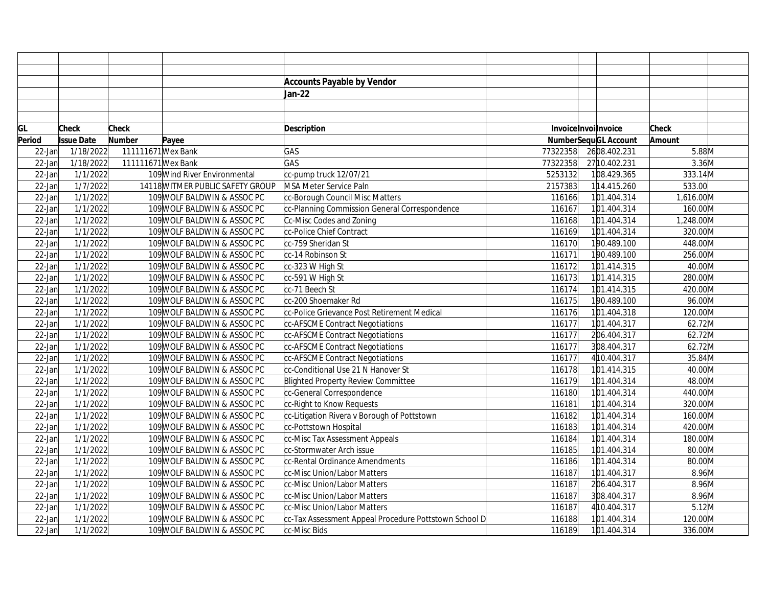|           |                   |                    |                                  | <b>Accounts Payable by Vendor</b>                     |          |                             |              |  |
|-----------|-------------------|--------------------|----------------------------------|-------------------------------------------------------|----------|-----------------------------|--------------|--|
|           |                   |                    |                                  | Jan-22                                                |          |                             |              |  |
|           |                   |                    |                                  |                                                       |          |                             |              |  |
|           |                   |                    |                                  |                                                       |          |                             |              |  |
| GL        | Check             | <b>Check</b>       |                                  | <b>Description</b>                                    |          | Invoice Invoilnvoice        | <b>Check</b> |  |
| Period    | <b>Issue Date</b> | <b>Number</b>      | Payee                            |                                                       |          | <b>NumberSequGL Account</b> | Amount       |  |
| $22$ -Jan | 1/18/2022         | 111111671 Wex Bank |                                  | GAS                                                   | 77322358 | 2608.402.231                | 5.88M        |  |
| $22$ -Jan | 1/18/2022         | 111111671 Wex Bank |                                  | GAS                                                   | 77322358 | 27 10.402.231               | $3.36$ M     |  |
| $22$ -Jan | 1/1/2022          |                    | 109 Wind River Environmental     | cc-pump truck 12/07/21                                | 5253132  | 108.429.365                 | 333.14M      |  |
| $22$ -Jan | 1/7/2022          |                    | 14118 WITMER PUBLIC SAFETY GROUP | MSA Meter Service Paln                                | 2157383  | 114.415.260                 | 533.00       |  |
| $22$ -Jan | 1/1/2022          |                    | 109 WOLF BALDWIN & ASSOC PC      | cc-Borough Council Misc Matters                       | 116166   | 101.404.314                 | 1,616.00M    |  |
| $22$ -Jan | 1/1/2022          |                    | 109 WOLF BALDWIN & ASSOC PC      | cc-Planning Commission General Correspondence         | 116167   | 101.404.314                 | 160.00M      |  |
| 22-Jan    | 1/1/2022          |                    | 109 WOLF BALDWIN & ASSOC PC      | Cc-Misc Codes and Zoning                              | 116168   | 101.404.314                 | 1,248.00M    |  |
| 22-Jan    | 1/1/2022          |                    | 109 WOLF BALDWIN & ASSOC PC      | cc-Police Chief Contract                              | 116169   | 101.404.314                 | 320.00M      |  |
| $22$ -Jan | 1/1/2022          |                    | 109 WOLF BALDWIN & ASSOC PC      | cc-759 Sheridan St                                    | 116170   | 190.489.100                 | 448.00M      |  |
| $22$ -Jan | 1/1/2022          |                    | 109 WOLF BALDWIN & ASSOC PC      | cc-14 Robinson St                                     | 116171   | 190.489.100                 | 256.00M      |  |
| $22$ -Jan | 1/1/2022          |                    | 109 WOLF BALDWIN & ASSOC PC      | cc-323 W High St                                      | 116172   | 101.414.315                 | $40.00$ M    |  |
| 22-Jan    | 1/1/2022          |                    | 109 WOLF BALDWIN & ASSOC PC      | cc-591 W High St                                      | 116173   | 101.414.315                 | 280.00M      |  |
| $22$ -Jan | 1/1/2022          |                    | 109 WOLF BALDWIN & ASSOC PC      | cc-71 Beech St                                        | 116174   | 101.414.315                 | 420.00M      |  |
| $22$ -Jan | 1/1/2022          |                    | 109 WOLF BALDWIN & ASSOC PC      | cc-200 Shoemaker Rd                                   | 116175   | 190.489.100                 | 96.00M       |  |
| 22-Jan    | 1/1/2022          |                    | 109 WOLF BALDWIN & ASSOC PC      | cc-Police Grievance Post Retirement Medical           | 116176   | 101.404.318                 | 120.00M      |  |
| 22-Jan    | 1/1/2022          |                    | 109 WOLF BALDWIN & ASSOC PC      | cc-AFSCME Contract Negotiations                       | 116177   | 101.404.317                 | 62.72M       |  |
| $22$ -Jan | 1/1/2022          |                    | 109 WOLF BALDWIN & ASSOC PC      | cc-AFSCME Contract Negotiations                       | 116177   | 206.404.317                 | 62.72M       |  |
| $22$ -Jan | 1/1/2022          |                    | 109 WOLF BALDWIN & ASSOC PC      | cc-AFSCME Contract Negotiations                       | 116177   | 308.404.317                 | 62.72M       |  |
| $22$ -Jan | 1/1/2022          |                    | 109 WOLF BALDWIN & ASSOC PC      | cc-AFSCME Contract Negotiations                       | 116177   | 4 10.404.317                | 35.84M       |  |
| $22$ -Jan | 1/1/2022          |                    | 109 WOLF BALDWIN & ASSOC PC      | cc-Conditional Use 21 N Hanover St                    | 116178   | 101.414.315                 | 40.00M       |  |
| 22-Jan    | 1/1/2022          |                    | 109 WOLF BALDWIN & ASSOC PC      | Blighted Property Review Committee                    | 116179   | 101.404.314                 | 48.00M       |  |
| $22$ -Jan | 1/1/2022          |                    | 109 WOLF BALDWIN & ASSOC PC      | cc-General Correspondence                             | 116180   | 101.404.314                 | 440.00M      |  |
| $22$ -Jan | 1/1/2022          |                    | 109 WOLF BALDWIN & ASSOC PC      | cc-Right to Know Requests                             | 116181   | 101.404.314                 | 320.00M      |  |
| $22$ -Jan | 1/1/2022          |                    | 109 WOLF BALDWIN & ASSOC PC      | cc-Litigation Rivera v Borough of Pottstown           | 116182   | 101.404.314                 | 160.00M      |  |
| 22-Jan    | 1/1/2022          |                    | 109 WOLF BALDWIN & ASSOC PC      | cc-Pottstown Hospital                                 | 116183   | 101.404.314                 | 420.00M      |  |
| 22-Jan    | 1/1/2022          |                    | 109 WOLF BALDWIN & ASSOC PC      | cc-Misc Tax Assessment Appeals                        | 116184   | 101.404.314                 | 180.00M      |  |
| 22-Jan    | 1/1/2022          |                    | 109 WOLF BALDWIN & ASSOC PC      | cc-Stormwater Arch issue                              | 116185   | 101.404.314                 | 80.00M       |  |
| $22$ -Jan | 1/1/2022          |                    | 109 WOLF BALDWIN & ASSOC PC      | cc-Rental Ordinance Amendments                        | 116186   | 101.404.314                 | 80.00M       |  |
| $22$ -Jan | 1/1/2022          |                    | 109 WOLF BALDWIN & ASSOC PC      | cc-Misc Union/Labor Matters                           | 116187   | 101.404.317                 | 8.96M        |  |
| 22-Jan    | 1/1/2022          |                    | 109 WOLF BALDWIN & ASSOC PC      | cc-Misc Union/Labor Matters                           | 116187   | 206.404.317                 | 8.96M        |  |
| 22-Jan    | 1/1/2022          |                    | 109 WOLF BALDWIN & ASSOC PC      | cc-Misc Union/Labor Matters                           | 116187   | 308.404.317                 | 8.96M        |  |
| 22-Jan    | 1/1/2022          |                    | 109 WOLF BALDWIN & ASSOC PC      | cc-Misc Union/Labor Matters                           | 116187   | 4 10.404.317                | $5.12$ M     |  |
| 22-Jan    | 1/1/2022          |                    | 109 WOLF BALDWIN & ASSOC PC      | cc-Tax Assessment Appeal Procedure Pottstown School D | 116188   | 101.404.314                 | 120.00M      |  |
| $22$ -Jan | 1/1/2022          |                    | 109 WOLF BALDWIN & ASSOC PC      | cc-Misc Bids                                          | 116189   | 101.404.314                 | 336.00M      |  |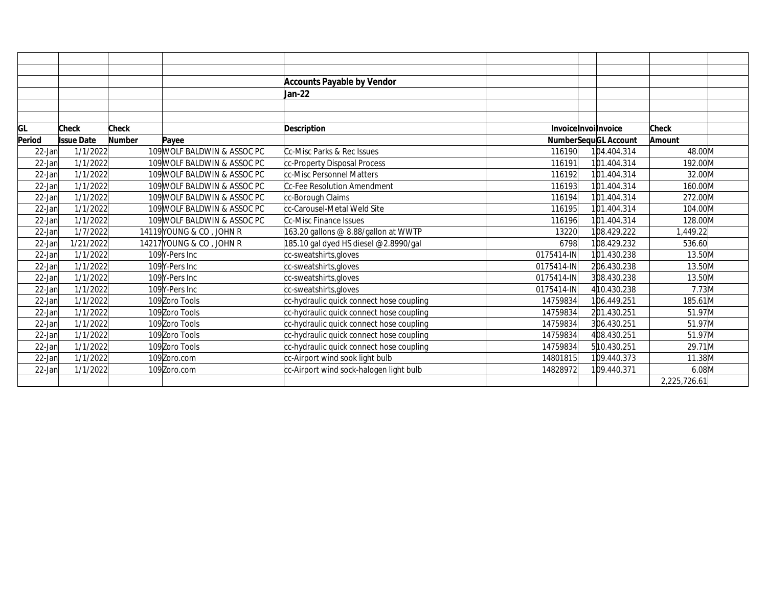|        |                   |               |                             | <b>Accounts Payable by Vendor</b>        |                      |                             |              |  |
|--------|-------------------|---------------|-----------------------------|------------------------------------------|----------------------|-----------------------------|--------------|--|
|        |                   |               |                             | Jan-22                                   |                      |                             |              |  |
|        |                   |               |                             |                                          |                      |                             |              |  |
|        |                   |               |                             |                                          |                      |                             |              |  |
| GL     | Check             | Check         |                             | <b>Description</b>                       | Invoice Invoilnvoice |                             | Check        |  |
| Period | <b>Issue Date</b> | <b>Number</b> | Payee                       |                                          |                      | <b>NumberSequGL Account</b> |              |  |
| 22-Jan | 1/1/2022          |               | 109 WOLF BALDWIN & ASSOC PC | Cc-Misc Parks & Rec Issues               | 116190               | 104.404.314                 | 48.00M       |  |
| 22-Jan | 1/1/2022          |               | 109 WOLF BALDWIN & ASSOC PC | cc-Property Disposal Process             | 116191               | 101.404.314                 | 192.00M      |  |
| 22-Jan | 1/1/2022          |               | 109 WOLF BALDWIN & ASSOC PC | cc-Misc Personnel Matters                | 116192               | 101.404.314                 | 32.00M       |  |
| 22-Jan | 1/1/2022          |               | 109 WOLF BALDWIN & ASSOC PC | Cc-Fee Resolution Amendment              | 116193               | 101.404.314                 | 160.00M      |  |
| 22-Jan | 1/1/2022          |               | 109 WOLF BALDWIN & ASSOC PC | cc-Borough Claims                        | 116194               | 101.404.314                 | 272.00M      |  |
| 22-Jan | 1/1/2022          |               | 109 WOLF BALDWIN & ASSOC PC | cc-Carousel-Metal Weld Site              | 116195               | 101.404.314                 | 104.00M      |  |
| 22-Jan | 1/1/2022          |               | 109 WOLF BALDWIN & ASSOC PC | Cc-Misc Finance Issues                   | 116196               | 101.404.314                 | 128.00M      |  |
| 22-Jan | 1/7/2022          |               | 14119 YOUNG & CO, JOHN R    | 163.20 gallons @ 8.88/gallon at WWTP     | 13220                | 108.429.222                 | 1.449.22     |  |
| 22-Jan | 1/21/2022         |               | 14217 YOUNG & CO, JOHN R    | 185.10 gal dyed HS diesel @2.8990/gal    | 6798                 | 108.429.232                 | 536.60       |  |
| 22-Jan | 1/1/2022          |               | 109Y-Pers Inc               | cc-sweatshirts, gloves                   | 0175414-IN           | 101.430.238                 | 13.50M       |  |
| 22-Jan | 1/1/2022          |               | 109Y-Pers Inc               | cc-sweatshirts, gloves                   | 0175414-IN           | 206.430.238                 | 13.50M       |  |
| 22-Jan | 1/1/2022          |               | 109Y-Pers Inc               | cc-sweatshirts, gloves                   | 0175414-IN           | 308.430.238                 | 13.50M       |  |
| 22-Jan | 1/1/2022          |               | 109Y-Pers Inc               | cc-sweatshirts, gloves                   | 0175414-IN           | 4 10.430.238                | 7.73M        |  |
| 22-Jan | 1/1/2022          |               | 109 Zoro Tools              | cc-hydraulic quick connect hose coupling | 14759834             | 106.449.251                 | 185.61M      |  |
| 22-Jan | 1/1/2022          |               | 109Zoro Tools               | cc-hydraulic quick connect hose coupling | 14759834             | 201.430.251                 | 51.97M       |  |
| 22-Jan | 1/1/2022          |               | 109 Zoro Tools              | cc-hydraulic quick connect hose coupling | 14759834             | 306.430.251                 | 51.97M       |  |
| 22-Jan | 1/1/2022          |               | 109 Zoro Tools              | cc-hydraulic quick connect hose coupling | 14759834             | 408.430.251                 | 51.97M       |  |
| 22-Jan | 1/1/2022          |               | 109 Zoro Tools              | cc-hydraulic quick connect hose coupling | 14759834             | 510.430.251                 | 29.71M       |  |
| 22-Jan | 1/1/2022          |               | 109Zoro.com                 | cc-Airport wind sook light bulb          | 14801815             | 109.440.373                 | 11.38M       |  |
| 22-Jan | 1/1/2022          |               | 109Zoro.com                 | cc-Airport wind sock-halogen light bulb  | 14828972             | 109.440.371                 | 6.08M        |  |
|        |                   |               |                             |                                          |                      |                             | 2,225,726.61 |  |